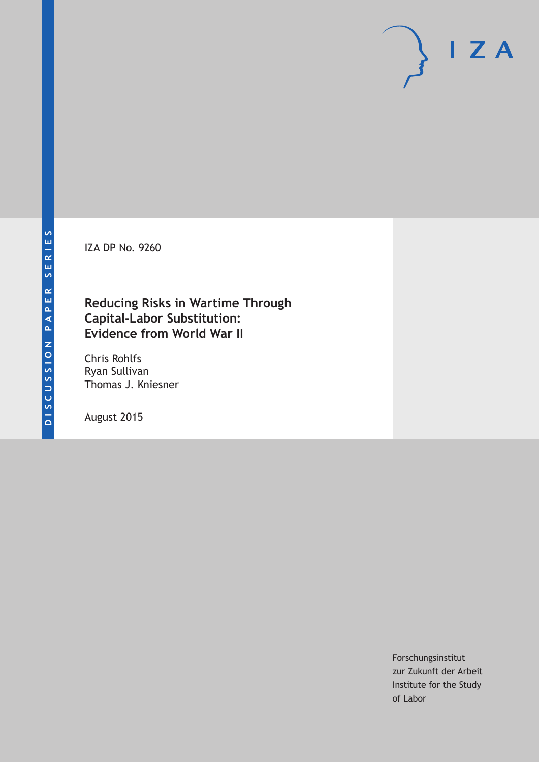IZA DP No. 9260

### **Reducing Risks in Wartime Through Capital-Labor Substitution: Evidence from World War II**

Chris Rohlfs Ryan Sullivan Thomas J. Kniesner

August 2015

Forschungsinstitut zur Zukunft der Arbeit Institute for the Study of Labor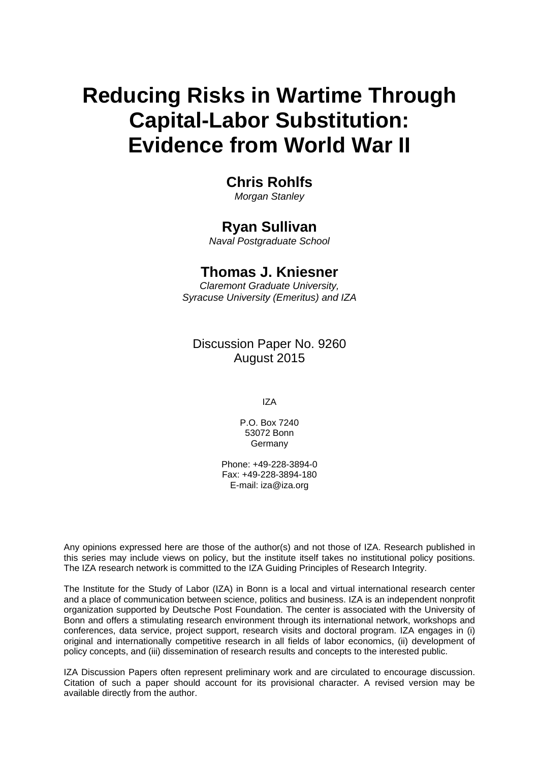# **Reducing Risks in Wartime Through Capital-Labor Substitution: Evidence from World War II**

## **Chris Rohlfs**

*Morgan Stanley* 

### **Ryan Sullivan**

*Naval Postgraduate School* 

### **Thomas J. Kniesner**

*Claremont Graduate University, Syracuse University (Emeritus) and IZA*

Discussion Paper No. 9260 August 2015

IZA

P.O. Box 7240 53072 Bonn Germany

Phone: +49-228-3894-0 Fax: +49-228-3894-180 E-mail: iza@iza.org

Any opinions expressed here are those of the author(s) and not those of IZA. Research published in this series may include views on policy, but the institute itself takes no institutional policy positions. The IZA research network is committed to the IZA Guiding Principles of Research Integrity.

The Institute for the Study of Labor (IZA) in Bonn is a local and virtual international research center and a place of communication between science, politics and business. IZA is an independent nonprofit organization supported by Deutsche Post Foundation. The center is associated with the University of Bonn and offers a stimulating research environment through its international network, workshops and conferences, data service, project support, research visits and doctoral program. IZA engages in (i) original and internationally competitive research in all fields of labor economics, (ii) development of policy concepts, and (iii) dissemination of research results and concepts to the interested public.

IZA Discussion Papers often represent preliminary work and are circulated to encourage discussion. Citation of such a paper should account for its provisional character. A revised version may be available directly from the author.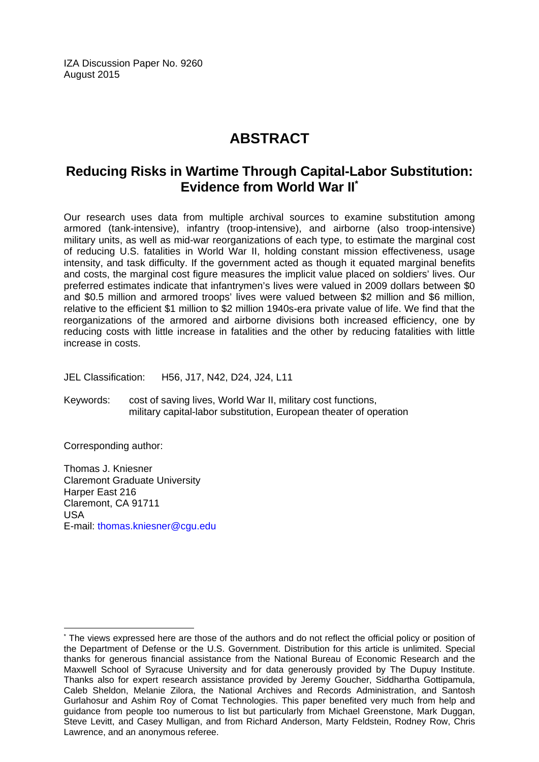IZA Discussion Paper No. 9260 August 2015

# **ABSTRACT**

### **Reducing Risks in Wartime Through Capital-Labor Substitution: Evidence from World War II\***

Our research uses data from multiple archival sources to examine substitution among armored (tank-intensive), infantry (troop-intensive), and airborne (also troop-intensive) military units, as well as mid-war reorganizations of each type, to estimate the marginal cost of reducing U.S. fatalities in World War II, holding constant mission effectiveness, usage intensity, and task difficulty. If the government acted as though it equated marginal benefits and costs, the marginal cost figure measures the implicit value placed on soldiers' lives. Our preferred estimates indicate that infantrymen's lives were valued in 2009 dollars between \$0 and \$0.5 million and armored troops' lives were valued between \$2 million and \$6 million, relative to the efficient \$1 million to \$2 million 1940s-era private value of life. We find that the reorganizations of the armored and airborne divisions both increased efficiency, one by reducing costs with little increase in fatalities and the other by reducing fatalities with little increase in costs.

JEL Classification: H56, J17, N42, D24, J24, L11

Keywords: cost of saving lives, World War II, military cost functions, military capital-labor substitution, European theater of operation

Corresponding author:

Thomas J. Kniesner Claremont Graduate University Harper East 216 Claremont, CA 91711 USA E-mail: thomas.kniesner@cgu.edu

 $\overline{\phantom{a}}$ \* The views expressed here are those of the authors and do not reflect the official policy or position of the Department of Defense or the U.S. Government. Distribution for this article is unlimited. Special thanks for generous financial assistance from the National Bureau of Economic Research and the Maxwell School of Syracuse University and for data generously provided by The Dupuy Institute. Thanks also for expert research assistance provided by Jeremy Goucher, Siddhartha Gottipamula, Caleb Sheldon, Melanie Zilora, the National Archives and Records Administration, and Santosh Gurlahosur and Ashim Roy of Comat Technologies. This paper benefited very much from help and guidance from people too numerous to list but particularly from Michael Greenstone, Mark Duggan, Steve Levitt, and Casey Mulligan, and from Richard Anderson, Marty Feldstein, Rodney Row, Chris Lawrence, and an anonymous referee.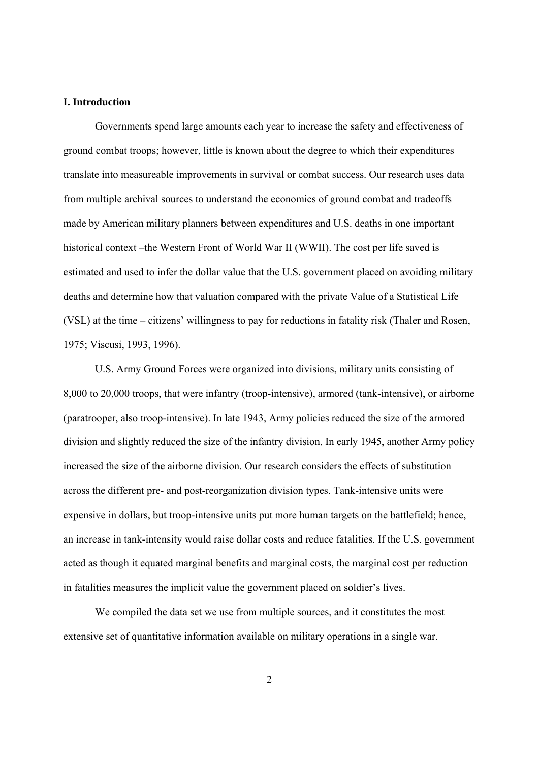#### **I. Introduction**

Governments spend large amounts each year to increase the safety and effectiveness of ground combat troops; however, little is known about the degree to which their expenditures translate into measureable improvements in survival or combat success. Our research uses data from multiple archival sources to understand the economics of ground combat and tradeoffs made by American military planners between expenditures and U.S. deaths in one important historical context –the Western Front of World War II (WWII). The cost per life saved is estimated and used to infer the dollar value that the U.S. government placed on avoiding military deaths and determine how that valuation compared with the private Value of a Statistical Life (VSL) at the time – citizens' willingness to pay for reductions in fatality risk (Thaler and Rosen, 1975; Viscusi, 1993, 1996).

U.S. Army Ground Forces were organized into divisions, military units consisting of 8,000 to 20,000 troops, that were infantry (troop-intensive), armored (tank-intensive), or airborne (paratrooper, also troop-intensive). In late 1943, Army policies reduced the size of the armored division and slightly reduced the size of the infantry division. In early 1945, another Army policy increased the size of the airborne division. Our research considers the effects of substitution across the different pre- and post-reorganization division types. Tank-intensive units were expensive in dollars, but troop-intensive units put more human targets on the battlefield; hence, an increase in tank-intensity would raise dollar costs and reduce fatalities. If the U.S. government acted as though it equated marginal benefits and marginal costs, the marginal cost per reduction in fatalities measures the implicit value the government placed on soldier's lives.

We compiled the data set we use from multiple sources, and it constitutes the most extensive set of quantitative information available on military operations in a single war.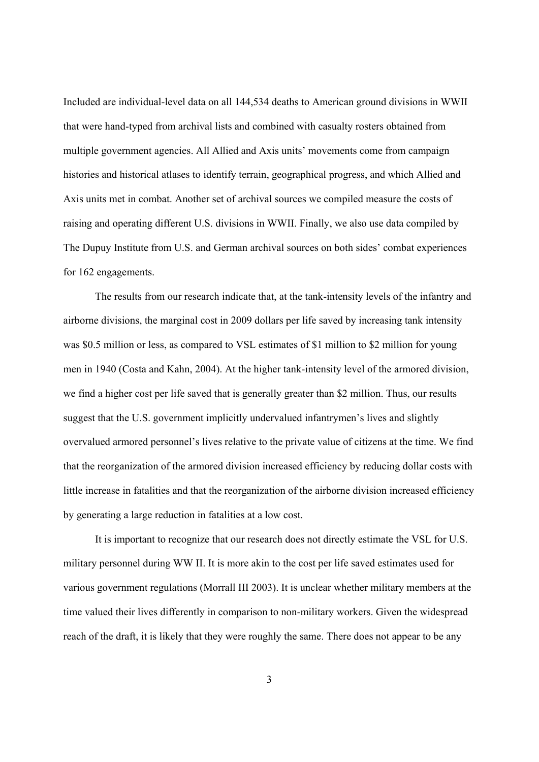Included are individual-level data on all 144,534 deaths to American ground divisions in WWII that were hand-typed from archival lists and combined with casualty rosters obtained from multiple government agencies. All Allied and Axis units' movements come from campaign histories and historical atlases to identify terrain, geographical progress, and which Allied and Axis units met in combat. Another set of archival sources we compiled measure the costs of raising and operating different U.S. divisions in WWII. Finally, we also use data compiled by The Dupuy Institute from U.S. and German archival sources on both sides' combat experiences for 162 engagements.

 The results from our research indicate that, at the tank-intensity levels of the infantry and airborne divisions, the marginal cost in 2009 dollars per life saved by increasing tank intensity was \$0.5 million or less, as compared to VSL estimates of \$1 million to \$2 million for young men in 1940 (Costa and Kahn, 2004). At the higher tank-intensity level of the armored division, we find a higher cost per life saved that is generally greater than \$2 million. Thus, our results suggest that the U.S. government implicitly undervalued infantrymen's lives and slightly overvalued armored personnel's lives relative to the private value of citizens at the time. We find that the reorganization of the armored division increased efficiency by reducing dollar costs with little increase in fatalities and that the reorganization of the airborne division increased efficiency by generating a large reduction in fatalities at a low cost.

 It is important to recognize that our research does not directly estimate the VSL for U.S. military personnel during WW II. It is more akin to the cost per life saved estimates used for various government regulations (Morrall III 2003). It is unclear whether military members at the time valued their lives differently in comparison to non-military workers. Given the widespread reach of the draft, it is likely that they were roughly the same. There does not appear to be any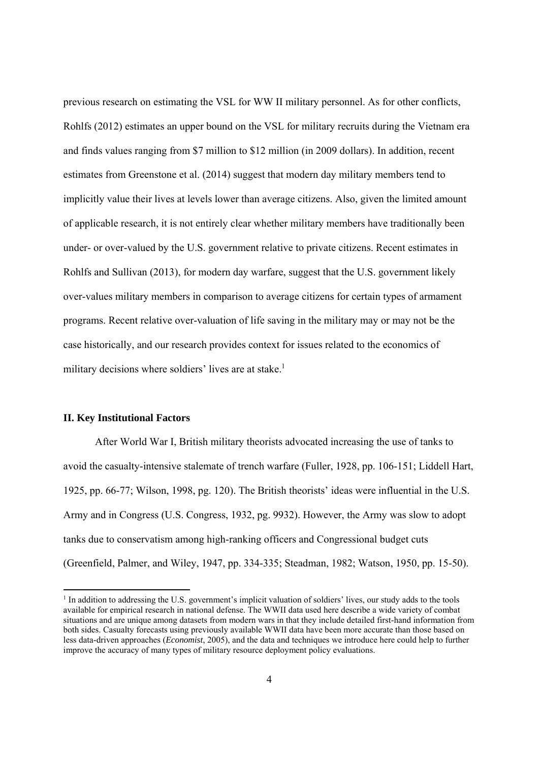previous research on estimating the VSL for WW II military personnel. As for other conflicts, Rohlfs (2012) estimates an upper bound on the VSL for military recruits during the Vietnam era and finds values ranging from \$7 million to \$12 million (in 2009 dollars). In addition, recent estimates from Greenstone et al. (2014) suggest that modern day military members tend to implicitly value their lives at levels lower than average citizens. Also, given the limited amount of applicable research, it is not entirely clear whether military members have traditionally been under- or over-valued by the U.S. government relative to private citizens. Recent estimates in Rohlfs and Sullivan (2013), for modern day warfare, suggest that the U.S. government likely over-values military members in comparison to average citizens for certain types of armament programs. Recent relative over-valuation of life saving in the military may or may not be the case historically, and our research provides context for issues related to the economics of military decisions where soldiers' lives are at stake.<sup>1</sup>

#### **II. Key Institutional Factors**

After World War I, British military theorists advocated increasing the use of tanks to avoid the casualty-intensive stalemate of trench warfare (Fuller, 1928, pp. 106-151; Liddell Hart, 1925, pp. 66-77; Wilson, 1998, pg. 120). The British theorists' ideas were influential in the U.S. Army and in Congress (U.S. Congress, 1932, pg. 9932). However, the Army was slow to adopt tanks due to conservatism among high-ranking officers and Congressional budget cuts (Greenfield, Palmer, and Wiley, 1947, pp. 334-335; Steadman, 1982; Watson, 1950, pp. 15-50).

<sup>&</sup>lt;sup>1</sup> In addition to addressing the U.S. government's implicit valuation of soldiers' lives, our study adds to the tools available for empirical research in national defense. The WWII data used here describe a wide variety of combat situations and are unique among datasets from modern wars in that they include detailed first-hand information from both sides. Casualty forecasts using previously available WWII data have been more accurate than those based on less data-driven approaches (*Economist*, 2005), and the data and techniques we introduce here could help to further improve the accuracy of many types of military resource deployment policy evaluations.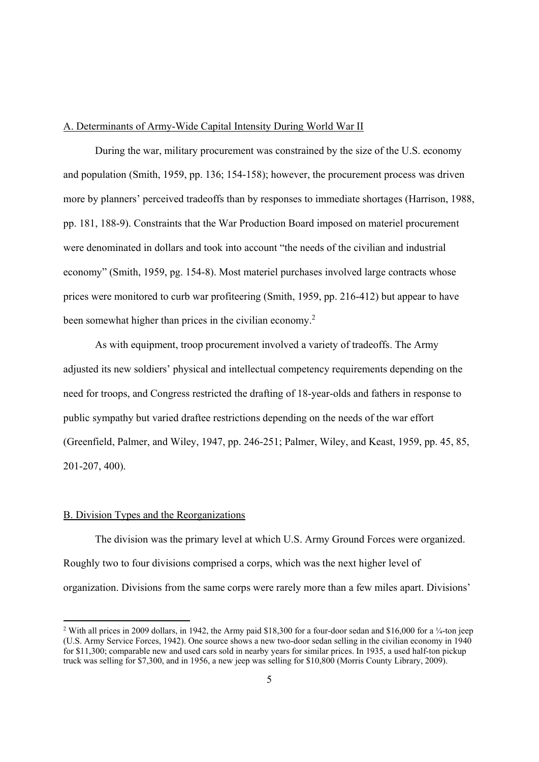#### A. Determinants of Army-Wide Capital Intensity During World War II

During the war, military procurement was constrained by the size of the U.S. economy and population (Smith, 1959, pp. 136; 154-158); however, the procurement process was driven more by planners' perceived tradeoffs than by responses to immediate shortages (Harrison, 1988, pp. 181, 188-9). Constraints that the War Production Board imposed on materiel procurement were denominated in dollars and took into account "the needs of the civilian and industrial economy" (Smith, 1959, pg. 154-8). Most materiel purchases involved large contracts whose prices were monitored to curb war profiteering (Smith, 1959, pp. 216-412) but appear to have been somewhat higher than prices in the civilian economy.<sup>2</sup>

As with equipment, troop procurement involved a variety of tradeoffs. The Army adjusted its new soldiers' physical and intellectual competency requirements depending on the need for troops, and Congress restricted the drafting of 18-year-olds and fathers in response to public sympathy but varied draftee restrictions depending on the needs of the war effort (Greenfield, Palmer, and Wiley, 1947, pp. 246-251; Palmer, Wiley, and Keast, 1959, pp. 45, 85, 201-207, 400).

#### B. Division Types and the Reorganizations

The division was the primary level at which U.S. Army Ground Forces were organized. Roughly two to four divisions comprised a corps, which was the next higher level of organization. Divisions from the same corps were rarely more than a few miles apart. Divisions'

<sup>&</sup>lt;sup>2</sup> With all prices in 2009 dollars, in 1942, the Army paid \$18,300 for a four-door sedan and \$16,000 for a  $\frac{1}{4}$ -ton jeep (U.S. Army Service Forces, 1942). One source shows a new two-door sedan selling in the civilian economy in 1940 for \$11,300; comparable new and used cars sold in nearby years for similar prices. In 1935, a used half-ton pickup truck was selling for \$7,300, and in 1956, a new jeep was selling for \$10,800 (Morris County Library, 2009).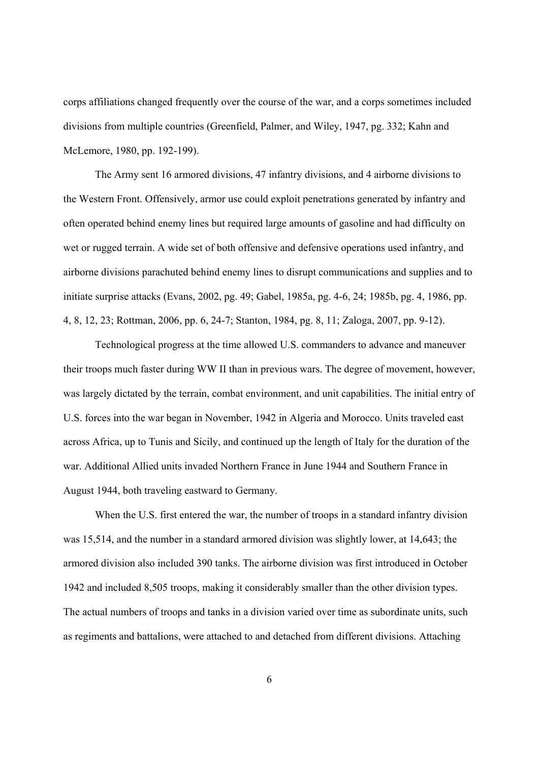corps affiliations changed frequently over the course of the war, and a corps sometimes included divisions from multiple countries (Greenfield, Palmer, and Wiley, 1947, pg. 332; Kahn and McLemore, 1980, pp. 192-199).

The Army sent 16 armored divisions, 47 infantry divisions, and 4 airborne divisions to the Western Front. Offensively, armor use could exploit penetrations generated by infantry and often operated behind enemy lines but required large amounts of gasoline and had difficulty on wet or rugged terrain. A wide set of both offensive and defensive operations used infantry, and airborne divisions parachuted behind enemy lines to disrupt communications and supplies and to initiate surprise attacks (Evans, 2002, pg. 49; Gabel, 1985a, pg. 4-6, 24; 1985b, pg. 4, 1986, pp. 4, 8, 12, 23; Rottman, 2006, pp. 6, 24-7; Stanton, 1984, pg. 8, 11; Zaloga, 2007, pp. 9-12).

Technological progress at the time allowed U.S. commanders to advance and maneuver their troops much faster during WW II than in previous wars. The degree of movement, however, was largely dictated by the terrain, combat environment, and unit capabilities. The initial entry of U.S. forces into the war began in November, 1942 in Algeria and Morocco. Units traveled east across Africa, up to Tunis and Sicily, and continued up the length of Italy for the duration of the war. Additional Allied units invaded Northern France in June 1944 and Southern France in August 1944, both traveling eastward to Germany.

When the U.S. first entered the war, the number of troops in a standard infantry division was 15,514, and the number in a standard armored division was slightly lower, at 14,643; the armored division also included 390 tanks. The airborne division was first introduced in October 1942 and included 8,505 troops, making it considerably smaller than the other division types. The actual numbers of troops and tanks in a division varied over time as subordinate units, such as regiments and battalions, were attached to and detached from different divisions. Attaching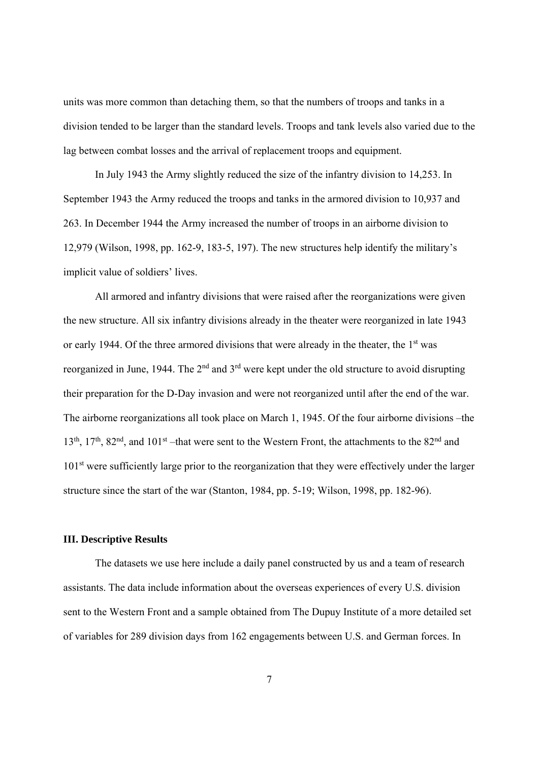units was more common than detaching them, so that the numbers of troops and tanks in a division tended to be larger than the standard levels. Troops and tank levels also varied due to the lag between combat losses and the arrival of replacement troops and equipment.

In July 1943 the Army slightly reduced the size of the infantry division to 14,253. In September 1943 the Army reduced the troops and tanks in the armored division to 10,937 and 263. In December 1944 the Army increased the number of troops in an airborne division to 12,979 (Wilson, 1998, pp. 162-9, 183-5, 197). The new structures help identify the military's implicit value of soldiers' lives.

All armored and infantry divisions that were raised after the reorganizations were given the new structure. All six infantry divisions already in the theater were reorganized in late 1943 or early 1944. Of the three armored divisions that were already in the theater, the 1<sup>st</sup> was reorganized in June, 1944. The 2nd and 3rd were kept under the old structure to avoid disrupting their preparation for the D-Day invasion and were not reorganized until after the end of the war. The airborne reorganizations all took place on March 1, 1945. Of the four airborne divisions –the 13<sup>th</sup>, 17<sup>th</sup>, 82<sup>nd</sup>, and 101<sup>st</sup> –that were sent to the Western Front, the attachments to the 82<sup>nd</sup> and 101<sup>st</sup> were sufficiently large prior to the reorganization that they were effectively under the larger structure since the start of the war (Stanton, 1984, pp. 5-19; Wilson, 1998, pp. 182-96).

#### **III. Descriptive Results**

 The datasets we use here include a daily panel constructed by us and a team of research assistants. The data include information about the overseas experiences of every U.S. division sent to the Western Front and a sample obtained from The Dupuy Institute of a more detailed set of variables for 289 division days from 162 engagements between U.S. and German forces. In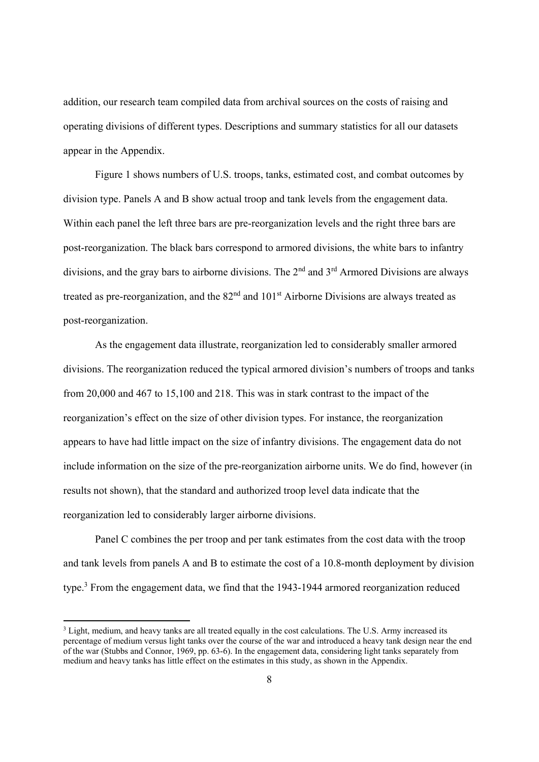addition, our research team compiled data from archival sources on the costs of raising and operating divisions of different types. Descriptions and summary statistics for all our datasets appear in the Appendix.

 Figure 1 shows numbers of U.S. troops, tanks, estimated cost, and combat outcomes by division type. Panels A and B show actual troop and tank levels from the engagement data. Within each panel the left three bars are pre-reorganization levels and the right three bars are post-reorganization. The black bars correspond to armored divisions, the white bars to infantry divisions, and the gray bars to airborne divisions. The  $2<sup>nd</sup>$  and  $3<sup>rd</sup>$  Armored Divisions are always treated as pre-reorganization, and the 82<sup>nd</sup> and 101<sup>st</sup> Airborne Divisions are always treated as post-reorganization.

 As the engagement data illustrate, reorganization led to considerably smaller armored divisions. The reorganization reduced the typical armored division's numbers of troops and tanks from 20,000 and 467 to 15,100 and 218. This was in stark contrast to the impact of the reorganization's effect on the size of other division types. For instance, the reorganization appears to have had little impact on the size of infantry divisions. The engagement data do not include information on the size of the pre-reorganization airborne units. We do find, however (in results not shown), that the standard and authorized troop level data indicate that the reorganization led to considerably larger airborne divisions.

 Panel C combines the per troop and per tank estimates from the cost data with the troop and tank levels from panels A and B to estimate the cost of a 10.8-month deployment by division type.<sup>3</sup> From the engagement data, we find that the 1943-1944 armored reorganization reduced

<sup>&</sup>lt;sup>3</sup> Light, medium, and heavy tanks are all treated equally in the cost calculations. The U.S. Army increased its percentage of medium versus light tanks over the course of the war and introduced a heavy tank design near the end of the war (Stubbs and Connor, 1969, pp. 63-6). In the engagement data, considering light tanks separately from medium and heavy tanks has little effect on the estimates in this study, as shown in the Appendix.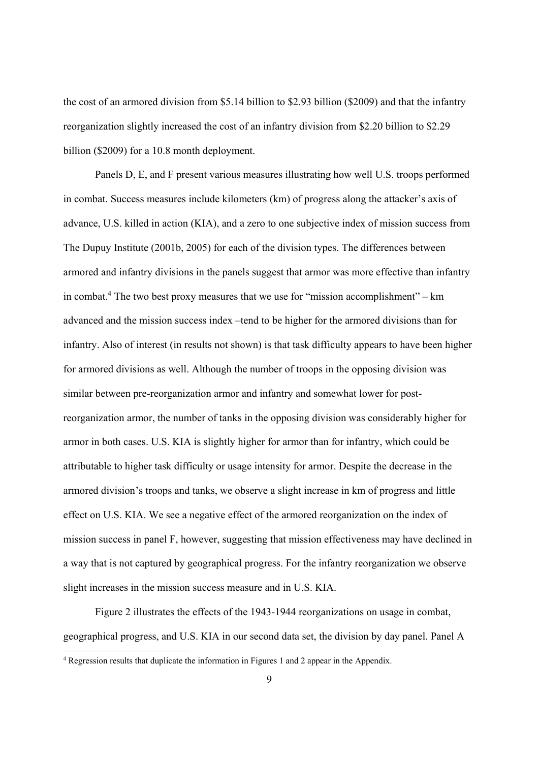the cost of an armored division from \$5.14 billion to \$2.93 billion (\$2009) and that the infantry reorganization slightly increased the cost of an infantry division from \$2.20 billion to \$2.29 billion (\$2009) for a 10.8 month deployment.

Panels D, E, and F present various measures illustrating how well U.S. troops performed in combat. Success measures include kilometers (km) of progress along the attacker's axis of advance, U.S. killed in action (KIA), and a zero to one subjective index of mission success from The Dupuy Institute (2001b, 2005) for each of the division types. The differences between armored and infantry divisions in the panels suggest that armor was more effective than infantry in combat.<sup>4</sup> The two best proxy measures that we use for "mission accomplishment" – km advanced and the mission success index –tend to be higher for the armored divisions than for infantry. Also of interest (in results not shown) is that task difficulty appears to have been higher for armored divisions as well. Although the number of troops in the opposing division was similar between pre-reorganization armor and infantry and somewhat lower for postreorganization armor, the number of tanks in the opposing division was considerably higher for armor in both cases. U.S. KIA is slightly higher for armor than for infantry, which could be attributable to higher task difficulty or usage intensity for armor. Despite the decrease in the armored division's troops and tanks, we observe a slight increase in km of progress and little effect on U.S. KIA. We see a negative effect of the armored reorganization on the index of mission success in panel F, however, suggesting that mission effectiveness may have declined in a way that is not captured by geographical progress. For the infantry reorganization we observe slight increases in the mission success measure and in U.S. KIA.

 Figure 2 illustrates the effects of the 1943-1944 reorganizations on usage in combat, geographical progress, and U.S. KIA in our second data set, the division by day panel. Panel A

<sup>4</sup> Regression results that duplicate the information in Figures 1 and 2 appear in the Appendix.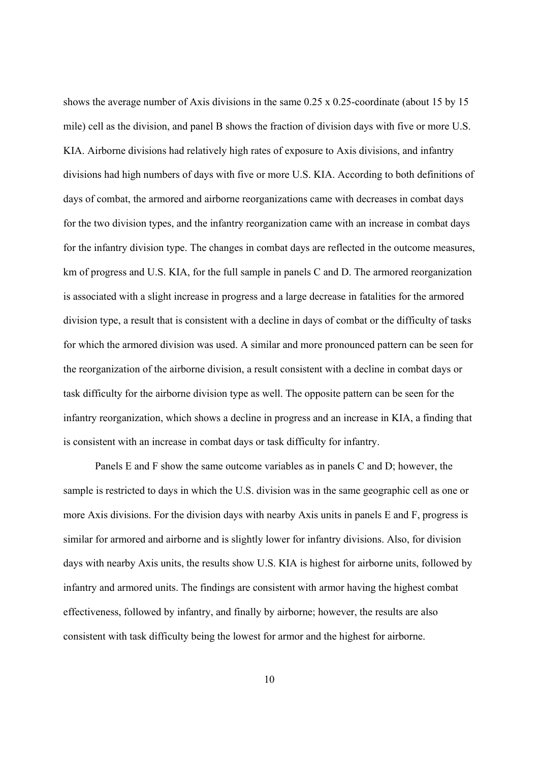shows the average number of Axis divisions in the same 0.25 x 0.25-coordinate (about 15 by 15 mile) cell as the division, and panel B shows the fraction of division days with five or more U.S. KIA. Airborne divisions had relatively high rates of exposure to Axis divisions, and infantry divisions had high numbers of days with five or more U.S. KIA. According to both definitions of days of combat, the armored and airborne reorganizations came with decreases in combat days for the two division types, and the infantry reorganization came with an increase in combat days for the infantry division type. The changes in combat days are reflected in the outcome measures, km of progress and U.S. KIA, for the full sample in panels C and D. The armored reorganization is associated with a slight increase in progress and a large decrease in fatalities for the armored division type, a result that is consistent with a decline in days of combat or the difficulty of tasks for which the armored division was used. A similar and more pronounced pattern can be seen for the reorganization of the airborne division, a result consistent with a decline in combat days or task difficulty for the airborne division type as well. The opposite pattern can be seen for the infantry reorganization, which shows a decline in progress and an increase in KIA, a finding that is consistent with an increase in combat days or task difficulty for infantry.

 Panels E and F show the same outcome variables as in panels C and D; however, the sample is restricted to days in which the U.S. division was in the same geographic cell as one or more Axis divisions. For the division days with nearby Axis units in panels E and F, progress is similar for armored and airborne and is slightly lower for infantry divisions. Also, for division days with nearby Axis units, the results show U.S. KIA is highest for airborne units, followed by infantry and armored units. The findings are consistent with armor having the highest combat effectiveness, followed by infantry, and finally by airborne; however, the results are also consistent with task difficulty being the lowest for armor and the highest for airborne.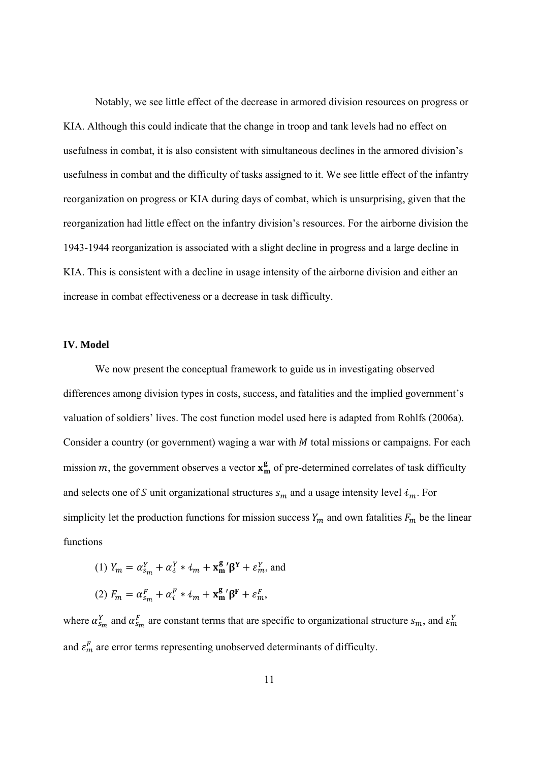Notably, we see little effect of the decrease in armored division resources on progress or KIA. Although this could indicate that the change in troop and tank levels had no effect on usefulness in combat, it is also consistent with simultaneous declines in the armored division's usefulness in combat and the difficulty of tasks assigned to it. We see little effect of the infantry reorganization on progress or KIA during days of combat, which is unsurprising, given that the reorganization had little effect on the infantry division's resources. For the airborne division the 1943-1944 reorganization is associated with a slight decline in progress and a large decline in KIA. This is consistent with a decline in usage intensity of the airborne division and either an increase in combat effectiveness or a decrease in task difficulty.

#### **IV. Model**

We now present the conceptual framework to guide us in investigating observed differences among division types in costs, success, and fatalities and the implied government's valuation of soldiers' lives. The cost function model used here is adapted from Rohlfs (2006a). Consider a country (or government) waging a war with  $M$  total missions or campaigns. For each mission m, the government observes a vector  $x_m^g$  of pre-determined correlates of task difficulty and selects one of S unit organizational structures  $s_m$  and a usage intensity level  $i_m$ . For simplicity let the production functions for mission success  $Y_m$  and own fatalities  $F_m$  be the linear functions

(1) 
$$
Y_m = \alpha_{s_m}^Y + \alpha_i^Y * i_m + \mathbf{x}_m^g' \beta^Y + \varepsilon_m^Y
$$
, and  
\n(2)  $F_m = \alpha_{s_m}^F + \alpha_i^F * i_m + \mathbf{x}_m^g' \beta^F + \varepsilon_m^F$ ,

where  $\alpha_{s_m}^Y$  and  $\alpha_{s_m}^F$  are constant terms that are specific to organizational structure  $s_m$ , and  $\varepsilon_m^Y$ and  $\varepsilon_m^F$  are error terms representing unobserved determinants of difficulty.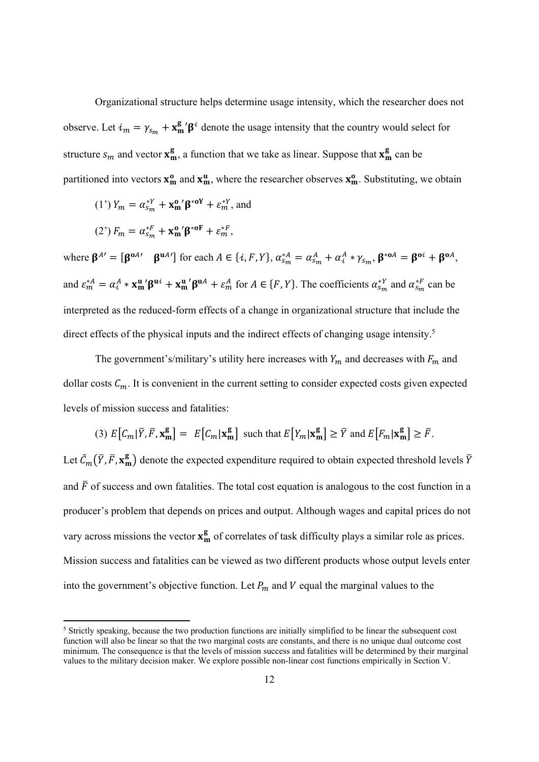Organizational structure helps determine usage intensity, which the researcher does not observe. Let  $i_m = \gamma_{s_m} + \mathbf{x}_m^g / \beta^i$  denote the usage intensity that the country would select for structure  $s_m$  and vector  $\mathbf{x}_m^g$ , a function that we take as linear. Suppose that  $\mathbf{x}_m^g$  can be partitioned into vectors  $x_m^0$  and  $x_m^u$ , where the researcher observes  $x_m^0$ . Substituting, we obtain

(1') 
$$
Y_m = \alpha_{s_m}^{*Y} + \mathbf{x_m}^0'\mathbf{\beta}^{*0Y} + \varepsilon_m^{*Y}
$$
, and

(2') 
$$
F_m = \alpha_{s_m}^{*F} + \mathbf{x}_m^{\mathbf{0}}' \boldsymbol{\beta}^{*\mathbf{0}F} + \varepsilon_m^{*F},
$$

where  $\beta^{A'} = [\beta^{0A'} \quad \beta^{uA'}]$  for each  $A \in \{i, F, Y\}$ ,  $\alpha_{sm}^{*A} = \alpha_{sm}^A + \alpha_i^A * \gamma_{sm}$ ,  $\beta^{*0A} = \beta^{0i} + \beta^{0A}$ , and  $\varepsilon_m^{*A} = \alpha_i^A * \mathbf{x_m}^{\mathbf{u}} \beta^{\mathbf{u}i} + \mathbf{x_m^{\mathbf{u}}} \beta^{\mathbf{u}A} + \varepsilon_m^A$  for  $A \in \{F, Y\}$ . The coefficients  $\alpha_{s_m}^{*Y}$  and  $\alpha_{s_m}^{*F}$  can be interpreted as the reduced-form effects of a change in organizational structure that include the direct effects of the physical inputs and the indirect effects of changing usage intensity.<sup>5</sup>

The government's/military's utility here increases with  $Y_m$  and decreases with  $F_m$  and dollar costs  $C_m$ . It is convenient in the current setting to consider expected costs given expected levels of mission success and fatalities:

(3) 
$$
E\left[C_m|\overline{Y}, \overline{F}, \mathbf{x_m^g}\right] = E\left[C_m|\mathbf{x_m^g}\right]
$$
 such that  $E\left[Y_m|\mathbf{x_m^g}\right] \geq \overline{Y}$  and  $E\left[F_m|\mathbf{x_m^g}\right] \geq \overline{F}$ .

Let  $\tilde{C}_m(\bar{Y},\bar{F},\mathbf{x_m^g})$  denote the expected expenditure required to obtain expected threshold levels  $\bar{Y}$ and  $\bar{F}$  of success and own fatalities. The total cost equation is analogous to the cost function in a producer's problem that depends on prices and output. Although wages and capital prices do not vary across missions the vector  $x_m^g$  of correlates of task difficulty plays a similar role as prices. Mission success and fatalities can be viewed as two different products whose output levels enter into the government's objective function. Let  $P_m$  and  $V$  equal the marginal values to the

<sup>&</sup>lt;sup>5</sup> Strictly speaking, because the two production functions are initially simplified to be linear the subsequent cost function will also be linear so that the two marginal costs are constants, and there is no unique dual outcome cost minimum. The consequence is that the levels of mission success and fatalities will be determined by their marginal values to the military decision maker. We explore possible non-linear cost functions empirically in Section V.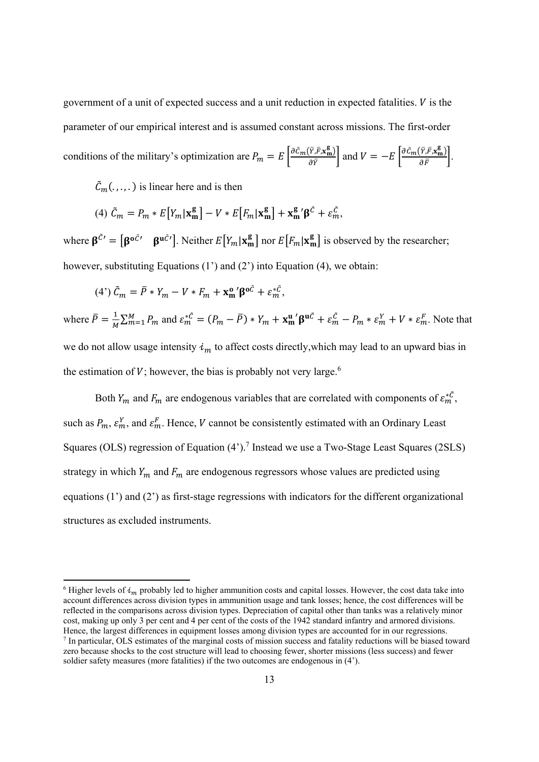government of a unit of expected success and a unit reduction in expected fatalities. V is the parameter of our empirical interest and is assumed constant across missions. The first-order conditions of the military's optimization are  $P_m = E \left[ \frac{\partial \tilde{c}_m(\bar{Y}, \bar{F}, \mathbf{x_m^g})}{\partial \bar{Y}} \right]$  and  $V = -E \left[ \frac{\partial \tilde{c}_m(\bar{Y}, \bar{F}, \mathbf{x_m^g})}{\partial \bar{F}} \right]$ .

 $\tilde{C}_m(\ldots)$  is linear here and is then

(4) 
$$
\tilde{C}_m = P_m * E[Y_m | \mathbf{x}_m^g] - V * E[F_m | \mathbf{x}_m^g] + \mathbf{x}_m^g' \boldsymbol{\beta}^{\tilde{C}} + \varepsilon_m^{\tilde{C}},
$$

where  $\beta^{\tilde{C}'} = [\beta^{o\tilde{C}'} \quad \beta^{u\tilde{C}'}]$ . Neither  $E[Y_m | \mathbf{x}_m^g]$  nor  $E[F_m | \mathbf{x}_m^g]$  is observed by the researcher; however, substituting Equations  $(1')$  and  $(2')$  into Equation  $(4)$ , we obtain:

(4')  $\tilde{C}_m = \bar{P} * Y_m - V * F_m + \mathbf{x}_m^{\mathbf{0}}' \mathbf{\beta}^{\alpha \tilde{C}} + \varepsilon_m^{*\tilde{C}},$ 

where  $\bar{P} = \frac{1}{M} \sum_{m=1}^{M} P_m$  and  $\varepsilon_m^{*\tilde{C}} = (P_m - \bar{P}) * Y_m + \mathbf{x_m}^{\mathbf{u}}' \boldsymbol{\beta}^{\mathbf{u}\tilde{C}} + \varepsilon_m^{\tilde{C}} - P_m * \varepsilon_m^{\tilde{Y}} + V * \varepsilon_m^{\tilde{F}}$ . Note that we do not allow usage intensity  $i_m$  to affect costs directly, which may lead to an upward bias in the estimation of  $V$ ; however, the bias is probably not very large.<sup>6</sup>

Both  $Y_m$  and  $F_m$  are endogenous variables that are correlated with components of  $\varepsilon_m^{*\tilde{C}}$ , such as  $P_m$ ,  $\varepsilon_m^Y$ , and  $\varepsilon_m^F$ . Hence, V cannot be consistently estimated with an Ordinary Least Squares (OLS) regression of Equation  $(4')$ .<sup>7</sup> Instead we use a Two-Stage Least Squares (2SLS) strategy in which  $Y_m$  and  $F_m$  are endogenous regressors whose values are predicted using equations (1') and (2') as first-stage regressions with indicators for the different organizational structures as excluded instruments.

 $6$  Higher levels of  $i_m$  probably led to higher ammunition costs and capital losses. However, the cost data take into account differences across division types in ammunition usage and tank losses; hence, the cost differences will be reflected in the comparisons across division types. Depreciation of capital other than tanks was a relatively minor cost, making up only 3 per cent and 4 per cent of the costs of the 1942 standard infantry and armored divisions. Hence, the largest differences in equipment losses among division types are accounted for in our regressions.

<sup>7</sup> In particular, OLS estimates of the marginal costs of mission success and fatality reductions will be biased toward zero because shocks to the cost structure will lead to choosing fewer, shorter missions (less success) and fewer soldier safety measures (more fatalities) if the two outcomes are endogenous in (4').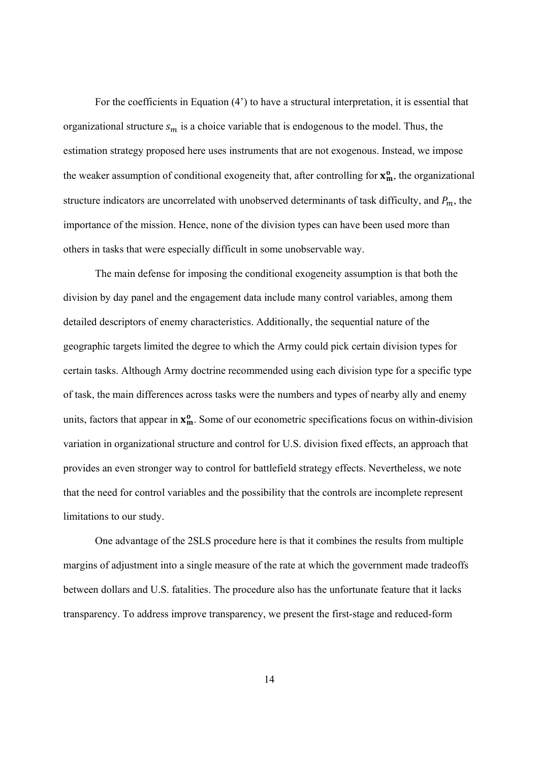For the coefficients in Equation (4') to have a structural interpretation, it is essential that organizational structure  $s_m$  is a choice variable that is endogenous to the model. Thus, the estimation strategy proposed here uses instruments that are not exogenous. Instead, we impose the weaker assumption of conditional exogeneity that, after controlling for  $x_m^0$ , the organizational structure indicators are uncorrelated with unobserved determinants of task difficulty, and  $P_m$ , the importance of the mission. Hence, none of the division types can have been used more than others in tasks that were especially difficult in some unobservable way.

The main defense for imposing the conditional exogeneity assumption is that both the division by day panel and the engagement data include many control variables, among them detailed descriptors of enemy characteristics. Additionally, the sequential nature of the geographic targets limited the degree to which the Army could pick certain division types for certain tasks. Although Army doctrine recommended using each division type for a specific type of task, the main differences across tasks were the numbers and types of nearby ally and enemy units, factors that appear in  $x_m^0$ . Some of our econometric specifications focus on within-division variation in organizational structure and control for U.S. division fixed effects, an approach that provides an even stronger way to control for battlefield strategy effects. Nevertheless, we note that the need for control variables and the possibility that the controls are incomplete represent limitations to our study.

One advantage of the 2SLS procedure here is that it combines the results from multiple margins of adjustment into a single measure of the rate at which the government made tradeoffs between dollars and U.S. fatalities. The procedure also has the unfortunate feature that it lacks transparency. To address improve transparency, we present the first-stage and reduced-form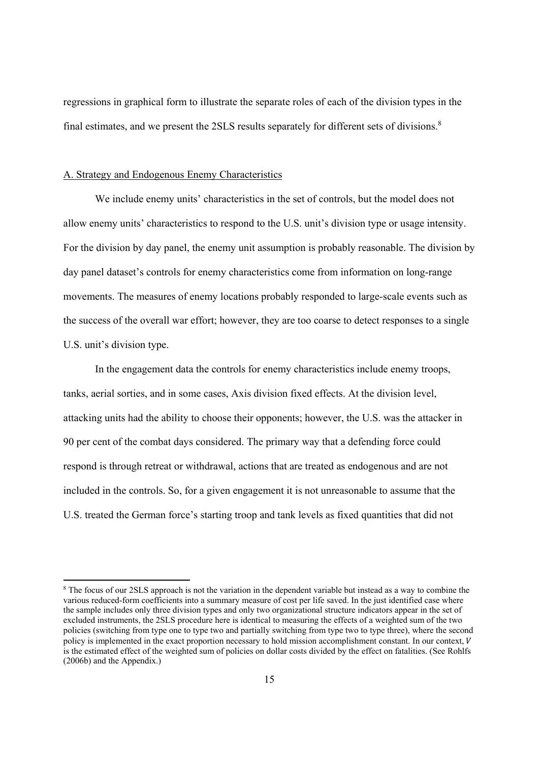regressions in graphical form to illustrate the separate roles of each of the division types in the final estimates, and we present the 2SLS results separately for different sets of divisions.<sup>8</sup>

#### A. Strategy and Endogenous Enemy Characteristics

We include enemy units' characteristics in the set of controls, but the model does not allow enemy units' characteristics to respond to the U.S. unit's division type or usage intensity. For the division by day panel, the enemy unit assumption is probably reasonable. The division by day panel dataset's controls for enemy characteristics come from information on long-range movements. The measures of enemy locations probably responded to large-scale events such as the success of the overall war effort; however, they are too coarse to detect responses to a single U.S. unit's division type.

In the engagement data the controls for enemy characteristics include enemy troops, tanks, aerial sorties, and in some cases, Axis division fixed effects. At the division level, attacking units had the ability to choose their opponents; however, the U.S. was the attacker in 90 per cent of the combat days considered. The primary way that a defending force could respond is through retreat or withdrawal, actions that are treated as endogenous and are not included in the controls. So, for a given engagement it is not unreasonable to assume that the U.S. treated the German force's starting troop and tank levels as fixed quantities that did not

<sup>&</sup>lt;sup>8</sup> The focus of our 2SLS approach is not the variation in the dependent variable but instead as a way to combine the various reduced-form coefficients into a summary measure of cost per life saved. In the just identified case where the sample includes only three division types and only two organizational structure indicators appear in the set of excluded instruments, the 2SLS procedure here is identical to measuring the effects of a weighted sum of the two policies (switching from type one to type two and partially switching from type two to type three), where the second policy is implemented in the exact proportion necessary to hold mission accomplishment constant. In our context,  $V$ is the estimated effect of the weighted sum of policies on dollar costs divided by the effect on fatalities. (See Rohlfs (2006b) and the Appendix.)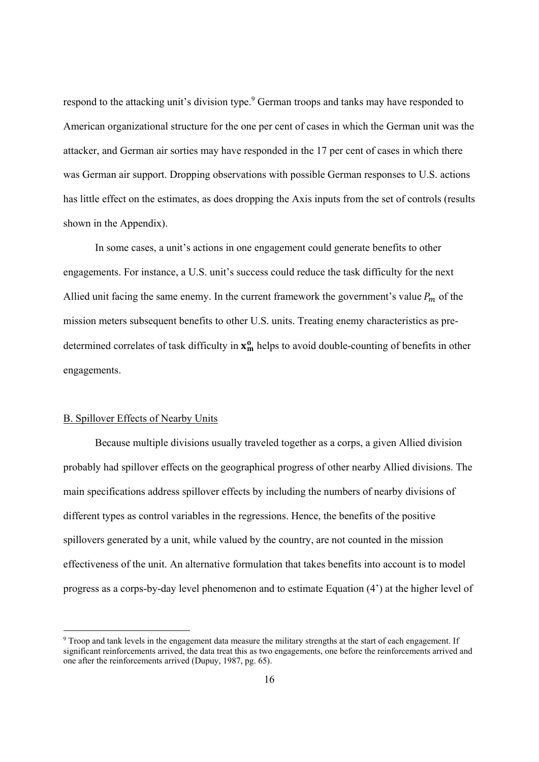respond to the attacking unit's division type.<sup>9</sup> German troops and tanks may have responded to American organizational structure for the one per cent of cases in which the German unit was the attacker, and German air sorties may have responded in the 17 per cent of cases in which there was German air support. Dropping observations with possible German responses to U.S. actions has little effect on the estimates, as does dropping the Axis inputs from the set of controls (results shown in the Appendix).

In some cases, a unit's actions in one engagement could generate benefits to other engagements. For instance, a U.S. unit's success could reduce the task difficulty for the next Allied unit facing the same enemy. In the current framework the government's value  $P_m$  of the mission meters subsequent benefits to other U.S. units. Treating enemy characteristics as predetermined correlates of task difficulty in  $x_m^0$  helps to avoid double-counting of benefits in other engagements.

#### B. Spillover Effects of Nearby Units

 Because multiple divisions usually traveled together as a corps, a given Allied division probably had spillover effects on the geographical progress of other nearby Allied divisions. The main specifications address spillover effects by including the numbers of nearby divisions of different types as control variables in the regressions. Hence, the benefits of the positive spillovers generated by a unit, while valued by the country, are not counted in the mission effectiveness of the unit. An alternative formulation that takes benefits into account is to model progress as a corps-by-day level phenomenon and to estimate Equation (4') at the higher level of

<sup>&</sup>lt;sup>9</sup> Troop and tank levels in the engagement data measure the military strengths at the start of each engagement. If significant reinforcements arrived, the data treat this as two engagements, one before the reinforcements arrived and one after the reinforcements arrived (Dupuy, 1987, pg. 65).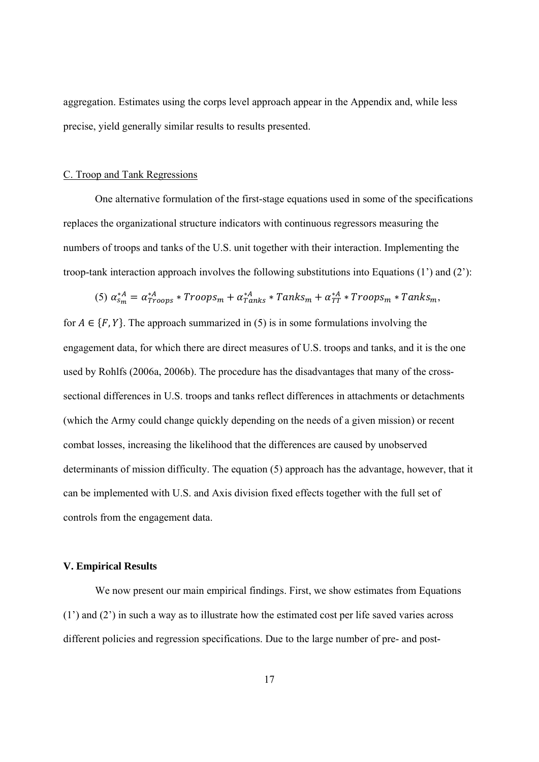aggregation. Estimates using the corps level approach appear in the Appendix and, while less precise, yield generally similar results to results presented.

#### C. Troop and Tank Regressions

One alternative formulation of the first-stage equations used in some of the specifications replaces the organizational structure indicators with continuous regressors measuring the numbers of troops and tanks of the U.S. unit together with their interaction. Implementing the troop-tank interaction approach involves the following substitutions into Equations (1') and (2'):

(5) 
$$
\alpha_{s_m}^{*A} = \alpha_{Troops}^{*A} * Troops_m + \alpha_{Tanks}^{*A} * Tanks_m + \alpha_{TT}^{*A} * Troops_m * Tanks_m
$$

for  $A \in \{F, Y\}$ . The approach summarized in (5) is in some formulations involving the engagement data, for which there are direct measures of U.S. troops and tanks, and it is the one used by Rohlfs (2006a, 2006b). The procedure has the disadvantages that many of the crosssectional differences in U.S. troops and tanks reflect differences in attachments or detachments (which the Army could change quickly depending on the needs of a given mission) or recent combat losses, increasing the likelihood that the differences are caused by unobserved determinants of mission difficulty. The equation (5) approach has the advantage, however, that it can be implemented with U.S. and Axis division fixed effects together with the full set of controls from the engagement data.

#### **V. Empirical Results**

 We now present our main empirical findings. First, we show estimates from Equations (1') and (2') in such a way as to illustrate how the estimated cost per life saved varies across different policies and regression specifications. Due to the large number of pre- and post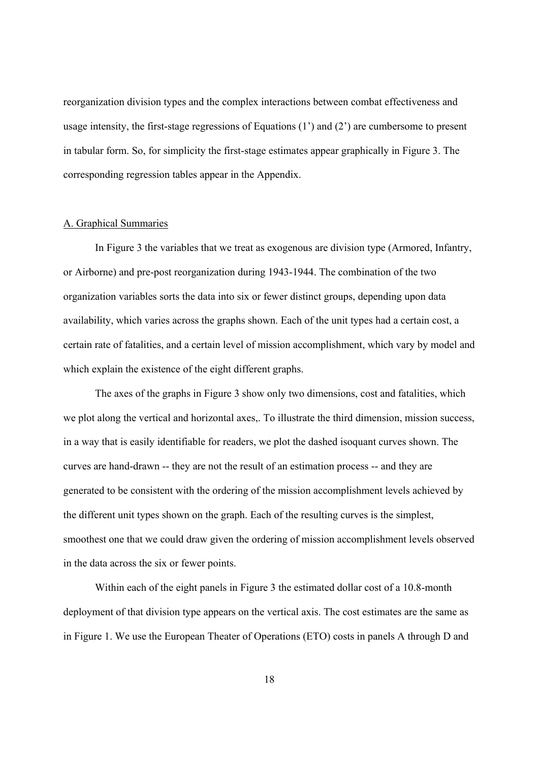reorganization division types and the complex interactions between combat effectiveness and usage intensity, the first-stage regressions of Equations (1') and (2') are cumbersome to present in tabular form. So, for simplicity the first-stage estimates appear graphically in Figure 3. The corresponding regression tables appear in the Appendix.

#### A. Graphical Summaries

In Figure 3 the variables that we treat as exogenous are division type (Armored, Infantry, or Airborne) and pre-post reorganization during 1943-1944. The combination of the two organization variables sorts the data into six or fewer distinct groups, depending upon data availability, which varies across the graphs shown. Each of the unit types had a certain cost, a certain rate of fatalities, and a certain level of mission accomplishment, which vary by model and which explain the existence of the eight different graphs.

The axes of the graphs in Figure 3 show only two dimensions, cost and fatalities, which we plot along the vertical and horizontal axes,. To illustrate the third dimension, mission success, in a way that is easily identifiable for readers, we plot the dashed isoquant curves shown. The curves are hand-drawn -- they are not the result of an estimation process -- and they are generated to be consistent with the ordering of the mission accomplishment levels achieved by the different unit types shown on the graph. Each of the resulting curves is the simplest, smoothest one that we could draw given the ordering of mission accomplishment levels observed in the data across the six or fewer points.

Within each of the eight panels in Figure 3 the estimated dollar cost of a 10.8-month deployment of that division type appears on the vertical axis. The cost estimates are the same as in Figure 1. We use the European Theater of Operations (ETO) costs in panels A through D and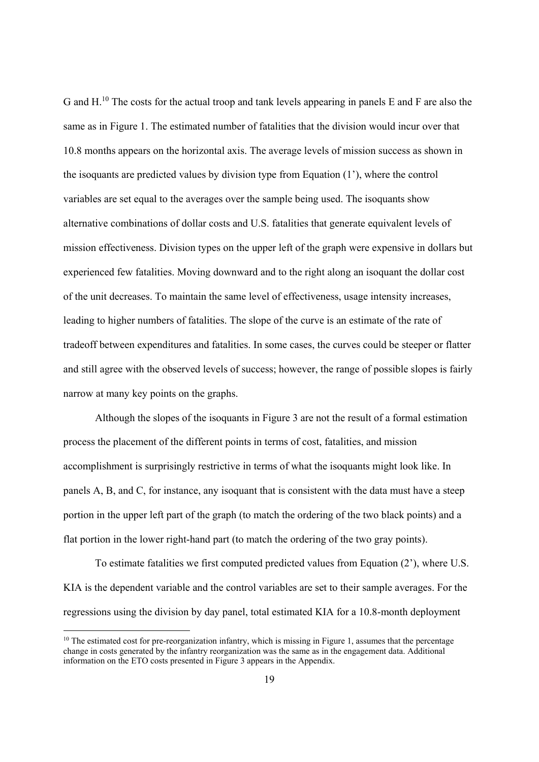G and H.10 The costs for the actual troop and tank levels appearing in panels E and F are also the same as in Figure 1. The estimated number of fatalities that the division would incur over that 10.8 months appears on the horizontal axis. The average levels of mission success as shown in the isoquants are predicted values by division type from Equation (1'), where the control variables are set equal to the averages over the sample being used. The isoquants show alternative combinations of dollar costs and U.S. fatalities that generate equivalent levels of mission effectiveness. Division types on the upper left of the graph were expensive in dollars but experienced few fatalities. Moving downward and to the right along an isoquant the dollar cost of the unit decreases. To maintain the same level of effectiveness, usage intensity increases, leading to higher numbers of fatalities. The slope of the curve is an estimate of the rate of tradeoff between expenditures and fatalities. In some cases, the curves could be steeper or flatter and still agree with the observed levels of success; however, the range of possible slopes is fairly narrow at many key points on the graphs.

Although the slopes of the isoquants in Figure 3 are not the result of a formal estimation process the placement of the different points in terms of cost, fatalities, and mission accomplishment is surprisingly restrictive in terms of what the isoquants might look like. In panels A, B, and C, for instance, any isoquant that is consistent with the data must have a steep portion in the upper left part of the graph (to match the ordering of the two black points) and a flat portion in the lower right-hand part (to match the ordering of the two gray points).

To estimate fatalities we first computed predicted values from Equation (2'), where U.S. KIA is the dependent variable and the control variables are set to their sample averages. For the regressions using the division by day panel, total estimated KIA for a 10.8-month deployment

<sup>&</sup>lt;sup>10</sup> The estimated cost for pre-reorganization infantry, which is missing in Figure 1, assumes that the percentage change in costs generated by the infantry reorganization was the same as in the engagement data. Additional information on the ETO costs presented in Figure 3 appears in the Appendix.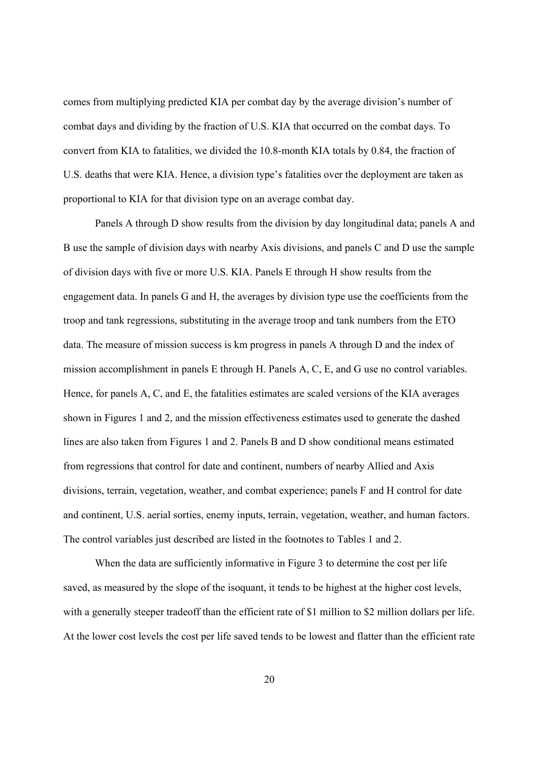comes from multiplying predicted KIA per combat day by the average division's number of combat days and dividing by the fraction of U.S. KIA that occurred on the combat days. To convert from KIA to fatalities, we divided the 10.8-month KIA totals by 0.84, the fraction of U.S. deaths that were KIA. Hence, a division type's fatalities over the deployment are taken as proportional to KIA for that division type on an average combat day.

Panels A through D show results from the division by day longitudinal data; panels A and B use the sample of division days with nearby Axis divisions, and panels C and D use the sample of division days with five or more U.S. KIA. Panels E through H show results from the engagement data. In panels G and H, the averages by division type use the coefficients from the troop and tank regressions, substituting in the average troop and tank numbers from the ETO data. The measure of mission success is km progress in panels A through D and the index of mission accomplishment in panels E through H. Panels A, C, E, and G use no control variables. Hence, for panels A, C, and E, the fatalities estimates are scaled versions of the KIA averages shown in Figures 1 and 2, and the mission effectiveness estimates used to generate the dashed lines are also taken from Figures 1 and 2. Panels B and D show conditional means estimated from regressions that control for date and continent, numbers of nearby Allied and Axis divisions, terrain, vegetation, weather, and combat experience; panels F and H control for date and continent, U.S. aerial sorties, enemy inputs, terrain, vegetation, weather, and human factors. The control variables just described are listed in the footnotes to Tables 1 and 2.

 When the data are sufficiently informative in Figure 3 to determine the cost per life saved, as measured by the slope of the isoquant, it tends to be highest at the higher cost levels, with a generally steeper tradeoff than the efficient rate of \$1 million to \$2 million dollars per life. At the lower cost levels the cost per life saved tends to be lowest and flatter than the efficient rate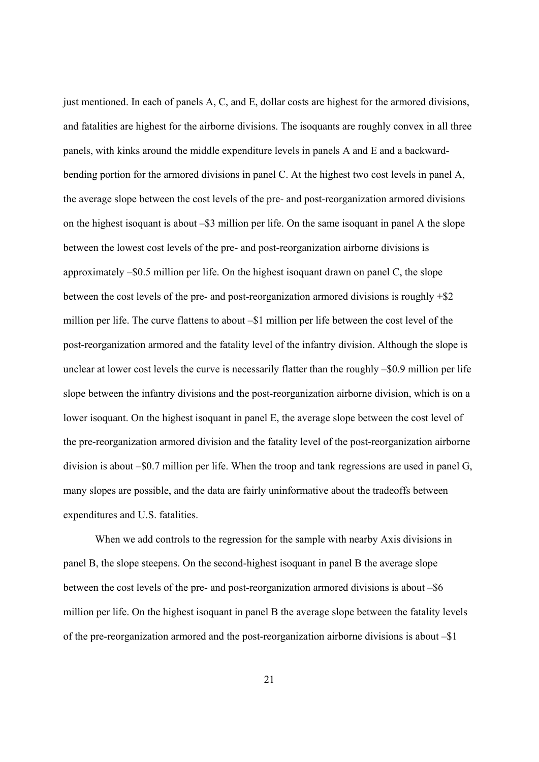just mentioned. In each of panels A, C, and E, dollar costs are highest for the armored divisions, and fatalities are highest for the airborne divisions. The isoquants are roughly convex in all three panels, with kinks around the middle expenditure levels in panels A and E and a backwardbending portion for the armored divisions in panel C. At the highest two cost levels in panel A, the average slope between the cost levels of the pre- and post-reorganization armored divisions on the highest isoquant is about –\$3 million per life. On the same isoquant in panel A the slope between the lowest cost levels of the pre- and post-reorganization airborne divisions is approximately –\$0.5 million per life. On the highest isoquant drawn on panel C, the slope between the cost levels of the pre- and post-reorganization armored divisions is roughly +\$2 million per life. The curve flattens to about –\$1 million per life between the cost level of the post-reorganization armored and the fatality level of the infantry division. Although the slope is unclear at lower cost levels the curve is necessarily flatter than the roughly –\$0.9 million per life slope between the infantry divisions and the post-reorganization airborne division, which is on a lower isoquant. On the highest isoquant in panel E, the average slope between the cost level of the pre-reorganization armored division and the fatality level of the post-reorganization airborne division is about –\$0.7 million per life. When the troop and tank regressions are used in panel G, many slopes are possible, and the data are fairly uninformative about the tradeoffs between expenditures and U.S. fatalities.

When we add controls to the regression for the sample with nearby Axis divisions in panel B, the slope steepens. On the second-highest isoquant in panel B the average slope between the cost levels of the pre- and post-reorganization armored divisions is about –\$6 million per life. On the highest isoquant in panel B the average slope between the fatality levels of the pre-reorganization armored and the post-reorganization airborne divisions is about –\$1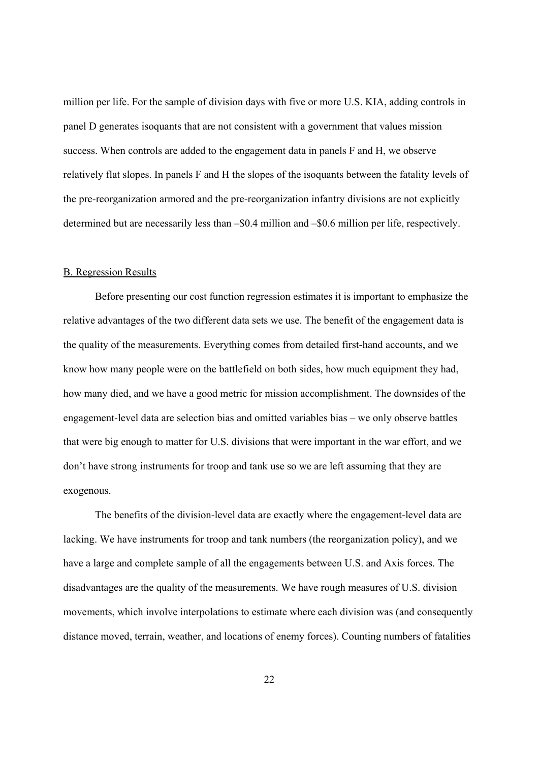million per life. For the sample of division days with five or more U.S. KIA, adding controls in panel D generates isoquants that are not consistent with a government that values mission success. When controls are added to the engagement data in panels F and H, we observe relatively flat slopes. In panels F and H the slopes of the isoquants between the fatality levels of the pre-reorganization armored and the pre-reorganization infantry divisions are not explicitly determined but are necessarily less than –\$0.4 million and –\$0.6 million per life, respectively.

#### B. Regression Results

 Before presenting our cost function regression estimates it is important to emphasize the relative advantages of the two different data sets we use. The benefit of the engagement data is the quality of the measurements. Everything comes from detailed first-hand accounts, and we know how many people were on the battlefield on both sides, how much equipment they had, how many died, and we have a good metric for mission accomplishment. The downsides of the engagement-level data are selection bias and omitted variables bias – we only observe battles that were big enough to matter for U.S. divisions that were important in the war effort, and we don't have strong instruments for troop and tank use so we are left assuming that they are exogenous.

 The benefits of the division-level data are exactly where the engagement-level data are lacking. We have instruments for troop and tank numbers (the reorganization policy), and we have a large and complete sample of all the engagements between U.S. and Axis forces. The disadvantages are the quality of the measurements. We have rough measures of U.S. division movements, which involve interpolations to estimate where each division was (and consequently distance moved, terrain, weather, and locations of enemy forces). Counting numbers of fatalities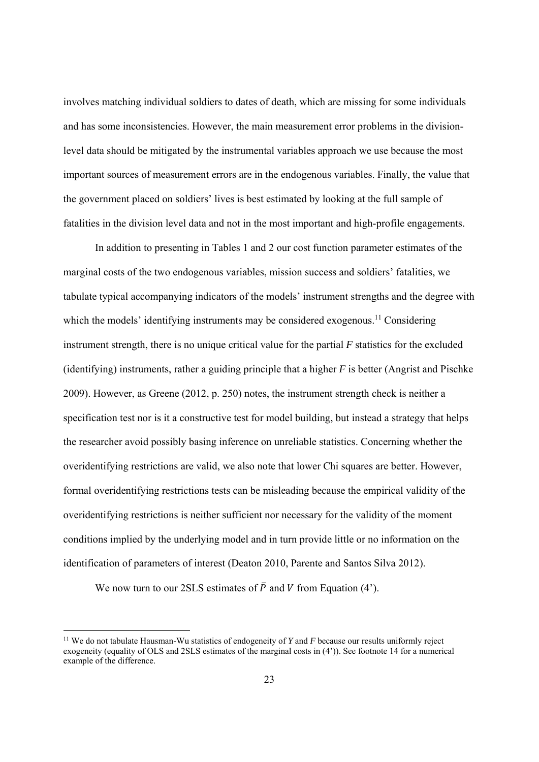involves matching individual soldiers to dates of death, which are missing for some individuals and has some inconsistencies. However, the main measurement error problems in the divisionlevel data should be mitigated by the instrumental variables approach we use because the most important sources of measurement errors are in the endogenous variables. Finally, the value that the government placed on soldiers' lives is best estimated by looking at the full sample of fatalities in the division level data and not in the most important and high-profile engagements.

 In addition to presenting in Tables 1 and 2 our cost function parameter estimates of the marginal costs of the two endogenous variables, mission success and soldiers' fatalities, we tabulate typical accompanying indicators of the models' instrument strengths and the degree with which the models' identifying instruments may be considered exogenous.<sup>11</sup> Considering instrument strength, there is no unique critical value for the partial *F* statistics for the excluded (identifying) instruments, rather a guiding principle that a higher *F* is better (Angrist and Pischke 2009). However, as Greene (2012, p. 250) notes, the instrument strength check is neither a specification test nor is it a constructive test for model building, but instead a strategy that helps the researcher avoid possibly basing inference on unreliable statistics. Concerning whether the overidentifying restrictions are valid, we also note that lower Chi squares are better. However, formal overidentifying restrictions tests can be misleading because the empirical validity of the overidentifying restrictions is neither sufficient nor necessary for the validity of the moment conditions implied by the underlying model and in turn provide little or no information on the identification of parameters of interest (Deaton 2010, Parente and Santos Silva 2012).

We now turn to our 2SLS estimates of  $\overline{P}$  and V from Equation (4').

<sup>&</sup>lt;sup>11</sup> We do not tabulate Hausman-Wu statistics of endogeneity of *Y* and *F* because our results uniformly reject exogeneity (equality of OLS and 2SLS estimates of the marginal costs in (4')). See footnote 14 for a numerical example of the difference.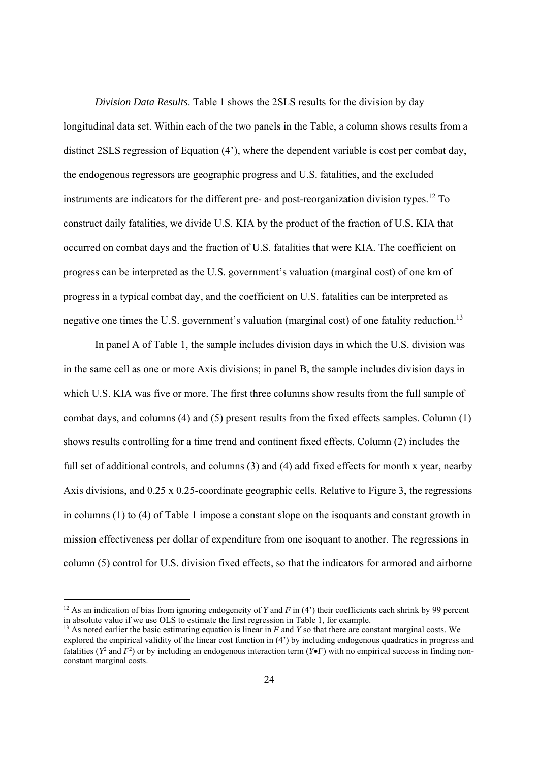*Division Data Results*. Table 1 shows the 2SLS results for the division by day longitudinal data set. Within each of the two panels in the Table, a column shows results from a distinct 2SLS regression of Equation (4'), where the dependent variable is cost per combat day, the endogenous regressors are geographic progress and U.S. fatalities, and the excluded instruments are indicators for the different pre- and post-reorganization division types.<sup>12</sup> To construct daily fatalities, we divide U.S. KIA by the product of the fraction of U.S. KIA that occurred on combat days and the fraction of U.S. fatalities that were KIA. The coefficient on progress can be interpreted as the U.S. government's valuation (marginal cost) of one km of progress in a typical combat day, and the coefficient on U.S. fatalities can be interpreted as negative one times the U.S. government's valuation (marginal cost) of one fatality reduction.<sup>13</sup>

In panel A of Table 1, the sample includes division days in which the U.S. division was in the same cell as one or more Axis divisions; in panel B, the sample includes division days in which U.S. KIA was five or more. The first three columns show results from the full sample of combat days, and columns (4) and (5) present results from the fixed effects samples. Column (1) shows results controlling for a time trend and continent fixed effects. Column (2) includes the full set of additional controls, and columns (3) and (4) add fixed effects for month x year, nearby Axis divisions, and 0.25 x 0.25-coordinate geographic cells. Relative to Figure 3, the regressions in columns (1) to (4) of Table 1 impose a constant slope on the isoquants and constant growth in mission effectiveness per dollar of expenditure from one isoquant to another. The regressions in column (5) control for U.S. division fixed effects, so that the indicators for armored and airborne

<sup>&</sup>lt;sup>12</sup> As an indication of bias from ignoring endogeneity of *Y* and *F* in (4') their coefficients each shrink by 99 percent in absolute value if we use OLS to estimate the first regression in Table 1, for example.

<sup>&</sup>lt;sup>13</sup> As noted earlier the basic estimating equation is linear in  $F$  and  $Y$  so that there are constant marginal costs. We explored the empirical validity of the linear cost function in (4') by including endogenous quadratics in progress and fatalities ( $Y^2$  and  $F^2$ ) or by including an endogenous interaction term ( $Y \cdot F$ ) with no empirical success in finding nonconstant marginal costs.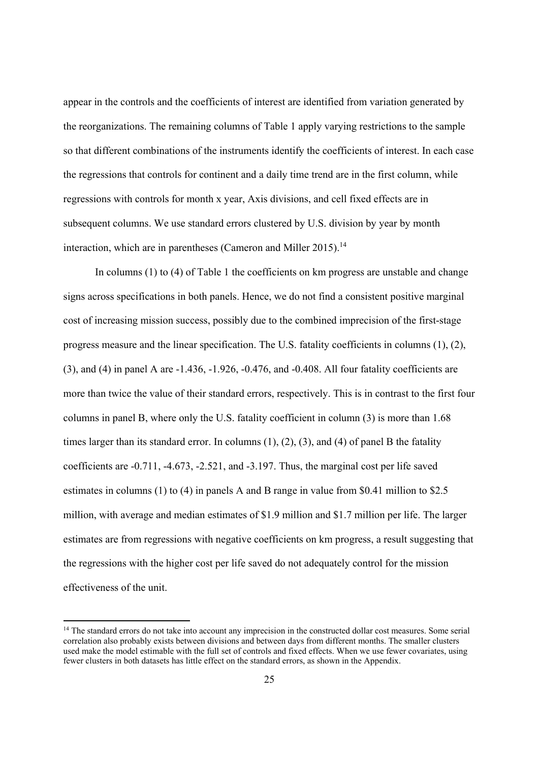appear in the controls and the coefficients of interest are identified from variation generated by the reorganizations. The remaining columns of Table 1 apply varying restrictions to the sample so that different combinations of the instruments identify the coefficients of interest. In each case the regressions that controls for continent and a daily time trend are in the first column, while regressions with controls for month x year, Axis divisions, and cell fixed effects are in subsequent columns. We use standard errors clustered by U.S. division by year by month interaction, which are in parentheses (Cameron and Miller 2015).<sup>14</sup>

In columns (1) to (4) of Table 1 the coefficients on km progress are unstable and change signs across specifications in both panels. Hence, we do not find a consistent positive marginal cost of increasing mission success, possibly due to the combined imprecision of the first-stage progress measure and the linear specification. The U.S. fatality coefficients in columns (1), (2), (3), and (4) in panel A are -1.436, -1.926, -0.476, and -0.408. All four fatality coefficients are more than twice the value of their standard errors, respectively. This is in contrast to the first four columns in panel B, where only the U.S. fatality coefficient in column (3) is more than 1.68 times larger than its standard error. In columns  $(1)$ ,  $(2)$ ,  $(3)$ , and  $(4)$  of panel B the fatality coefficients are -0.711, -4.673, -2.521, and -3.197. Thus, the marginal cost per life saved estimates in columns (1) to (4) in panels A and B range in value from \$0.41 million to \$2.5 million, with average and median estimates of \$1.9 million and \$1.7 million per life. The larger estimates are from regressions with negative coefficients on km progress, a result suggesting that the regressions with the higher cost per life saved do not adequately control for the mission effectiveness of the unit.

<sup>&</sup>lt;sup>14</sup> The standard errors do not take into account any imprecision in the constructed dollar cost measures. Some serial correlation also probably exists between divisions and between days from different months. The smaller clusters used make the model estimable with the full set of controls and fixed effects. When we use fewer covariates, using fewer clusters in both datasets has little effect on the standard errors, as shown in the Appendix.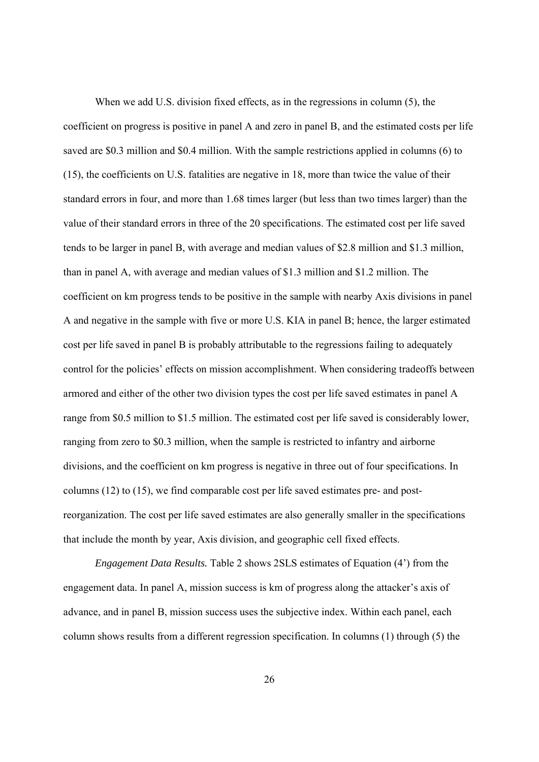When we add U.S. division fixed effects, as in the regressions in column (5), the coefficient on progress is positive in panel A and zero in panel B, and the estimated costs per life saved are \$0.3 million and \$0.4 million. With the sample restrictions applied in columns (6) to (15), the coefficients on U.S. fatalities are negative in 18, more than twice the value of their standard errors in four, and more than 1.68 times larger (but less than two times larger) than the value of their standard errors in three of the 20 specifications. The estimated cost per life saved tends to be larger in panel B, with average and median values of \$2.8 million and \$1.3 million, than in panel A, with average and median values of \$1.3 million and \$1.2 million. The coefficient on km progress tends to be positive in the sample with nearby Axis divisions in panel A and negative in the sample with five or more U.S. KIA in panel B; hence, the larger estimated cost per life saved in panel B is probably attributable to the regressions failing to adequately control for the policies' effects on mission accomplishment. When considering tradeoffs between armored and either of the other two division types the cost per life saved estimates in panel A range from \$0.5 million to \$1.5 million. The estimated cost per life saved is considerably lower, ranging from zero to \$0.3 million, when the sample is restricted to infantry and airborne divisions, and the coefficient on km progress is negative in three out of four specifications. In columns (12) to (15), we find comparable cost per life saved estimates pre- and postreorganization. The cost per life saved estimates are also generally smaller in the specifications that include the month by year, Axis division, and geographic cell fixed effects.

*Engagement Data Results.* Table 2 shows 2SLS estimates of Equation (4') from the engagement data. In panel A, mission success is km of progress along the attacker's axis of advance, and in panel B, mission success uses the subjective index. Within each panel, each column shows results from a different regression specification. In columns (1) through (5) the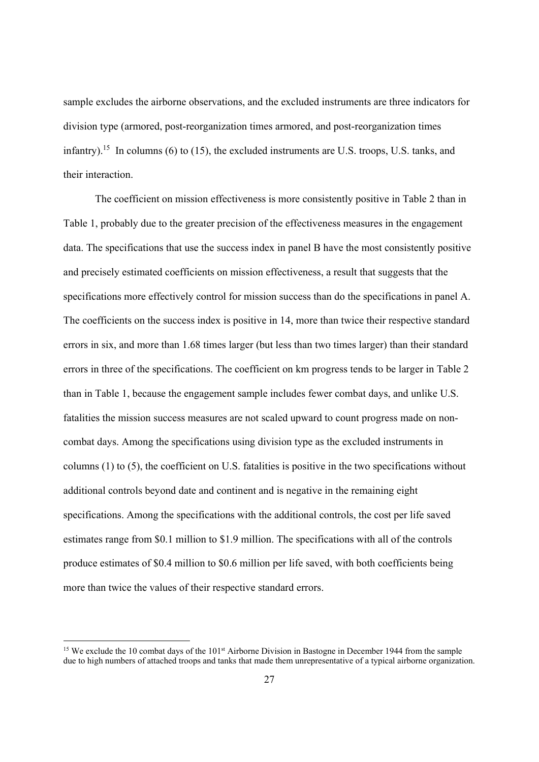sample excludes the airborne observations, and the excluded instruments are three indicators for division type (armored, post-reorganization times armored, and post-reorganization times infantry).<sup>15</sup> In columns (6) to (15), the excluded instruments are U.S. troops, U.S. tanks, and their interaction.

 The coefficient on mission effectiveness is more consistently positive in Table 2 than in Table 1, probably due to the greater precision of the effectiveness measures in the engagement data. The specifications that use the success index in panel B have the most consistently positive and precisely estimated coefficients on mission effectiveness, a result that suggests that the specifications more effectively control for mission success than do the specifications in panel A. The coefficients on the success index is positive in 14, more than twice their respective standard errors in six, and more than 1.68 times larger (but less than two times larger) than their standard errors in three of the specifications. The coefficient on km progress tends to be larger in Table 2 than in Table 1, because the engagement sample includes fewer combat days, and unlike U.S. fatalities the mission success measures are not scaled upward to count progress made on noncombat days. Among the specifications using division type as the excluded instruments in columns (1) to (5), the coefficient on U.S. fatalities is positive in the two specifications without additional controls beyond date and continent and is negative in the remaining eight specifications. Among the specifications with the additional controls, the cost per life saved estimates range from \$0.1 million to \$1.9 million. The specifications with all of the controls produce estimates of \$0.4 million to \$0.6 million per life saved, with both coefficients being more than twice the values of their respective standard errors.

<sup>&</sup>lt;sup>15</sup> We exclude the 10 combat days of the 101<sup>st</sup> Airborne Division in Bastogne in December 1944 from the sample due to high numbers of attached troops and tanks that made them unrepresentative of a typical airborne organization.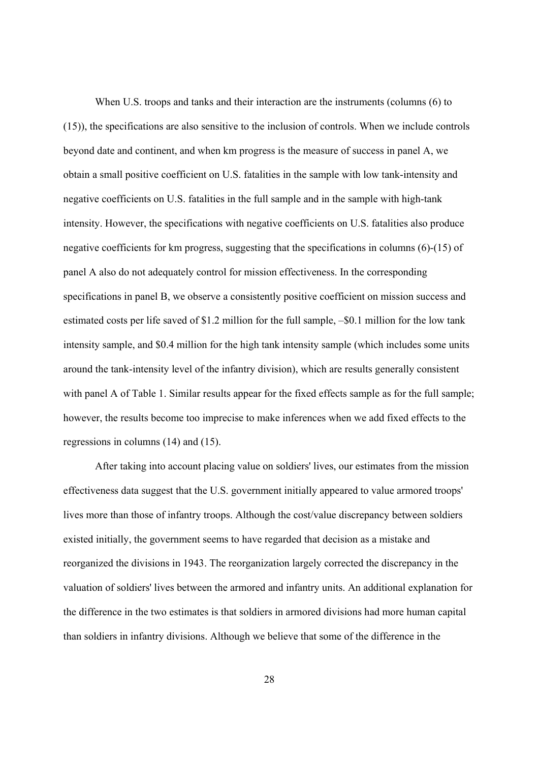When U.S. troops and tanks and their interaction are the instruments (columns (6) to (15)), the specifications are also sensitive to the inclusion of controls. When we include controls beyond date and continent, and when km progress is the measure of success in panel A, we obtain a small positive coefficient on U.S. fatalities in the sample with low tank-intensity and negative coefficients on U.S. fatalities in the full sample and in the sample with high-tank intensity. However, the specifications with negative coefficients on U.S. fatalities also produce negative coefficients for km progress, suggesting that the specifications in columns (6)-(15) of panel A also do not adequately control for mission effectiveness. In the corresponding specifications in panel B, we observe a consistently positive coefficient on mission success and estimated costs per life saved of \$1.2 million for the full sample, –\$0.1 million for the low tank intensity sample, and \$0.4 million for the high tank intensity sample (which includes some units around the tank-intensity level of the infantry division), which are results generally consistent with panel A of Table 1. Similar results appear for the fixed effects sample as for the full sample; however, the results become too imprecise to make inferences when we add fixed effects to the regressions in columns (14) and (15).

After taking into account placing value on soldiers' lives, our estimates from the mission effectiveness data suggest that the U.S. government initially appeared to value armored troops' lives more than those of infantry troops. Although the cost/value discrepancy between soldiers existed initially, the government seems to have regarded that decision as a mistake and reorganized the divisions in 1943. The reorganization largely corrected the discrepancy in the valuation of soldiers' lives between the armored and infantry units. An additional explanation for the difference in the two estimates is that soldiers in armored divisions had more human capital than soldiers in infantry divisions. Although we believe that some of the difference in the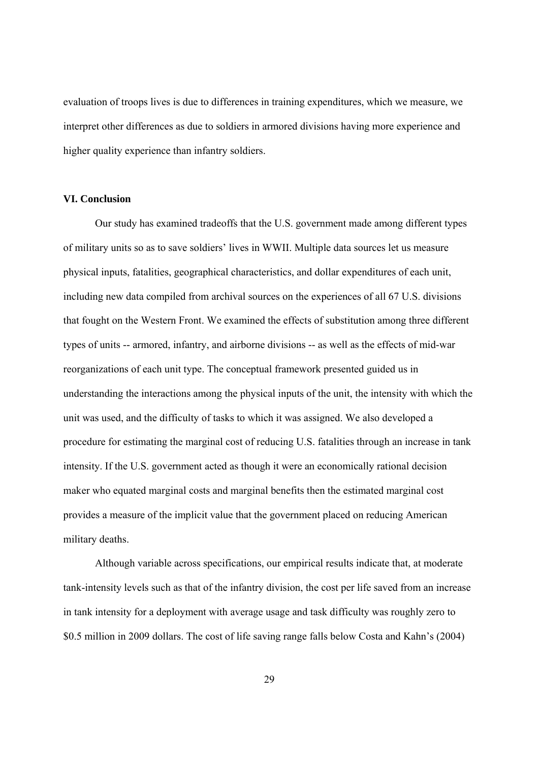evaluation of troops lives is due to differences in training expenditures, which we measure, we interpret other differences as due to soldiers in armored divisions having more experience and higher quality experience than infantry soldiers.

#### **VI. Conclusion**

 Our study has examined tradeoffs that the U.S. government made among different types of military units so as to save soldiers' lives in WWII. Multiple data sources let us measure physical inputs, fatalities, geographical characteristics, and dollar expenditures of each unit, including new data compiled from archival sources on the experiences of all 67 U.S. divisions that fought on the Western Front. We examined the effects of substitution among three different types of units -- armored, infantry, and airborne divisions -- as well as the effects of mid-war reorganizations of each unit type. The conceptual framework presented guided us in understanding the interactions among the physical inputs of the unit, the intensity with which the unit was used, and the difficulty of tasks to which it was assigned. We also developed a procedure for estimating the marginal cost of reducing U.S. fatalities through an increase in tank intensity. If the U.S. government acted as though it were an economically rational decision maker who equated marginal costs and marginal benefits then the estimated marginal cost provides a measure of the implicit value that the government placed on reducing American military deaths.

 Although variable across specifications, our empirical results indicate that, at moderate tank-intensity levels such as that of the infantry division, the cost per life saved from an increase in tank intensity for a deployment with average usage and task difficulty was roughly zero to \$0.5 million in 2009 dollars. The cost of life saving range falls below Costa and Kahn's (2004)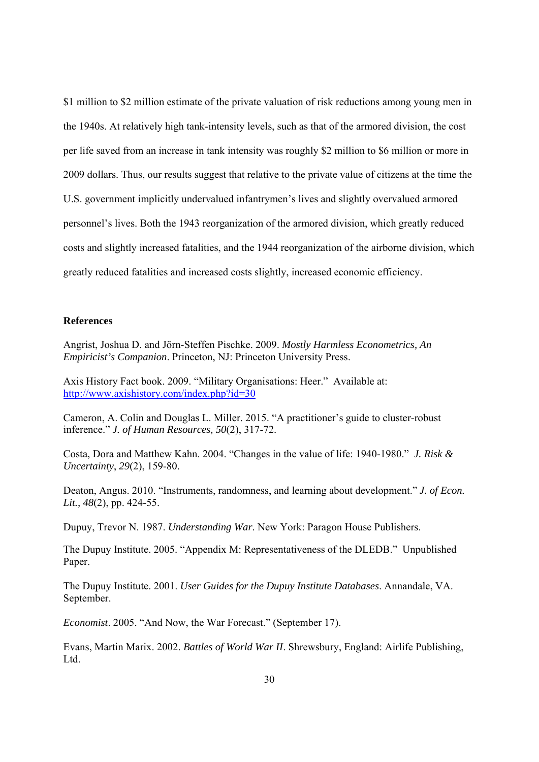\$1 million to \$2 million estimate of the private valuation of risk reductions among young men in the 1940s. At relatively high tank-intensity levels, such as that of the armored division, the cost per life saved from an increase in tank intensity was roughly \$2 million to \$6 million or more in 2009 dollars. Thus, our results suggest that relative to the private value of citizens at the time the U.S. government implicitly undervalued infantrymen's lives and slightly overvalued armored personnel's lives. Both the 1943 reorganization of the armored division, which greatly reduced costs and slightly increased fatalities, and the 1944 reorganization of the airborne division, which greatly reduced fatalities and increased costs slightly, increased economic efficiency.

#### **References**

Angrist, Joshua D. and Jörn-Steffen Pischke. 2009. *Mostly Harmless Econometrics, An Empiricist's Companion*. Princeton, NJ: Princeton University Press.

Axis History Fact book. 2009. "Military Organisations: Heer." Available at: http://www.axishistory.com/index.php?id=30

Cameron, A. Colin and Douglas L. Miller. 2015. "A practitioner's guide to cluster-robust inference." *J. of Human Resources, 50*(2), 317-72.

Costa, Dora and Matthew Kahn. 2004. "Changes in the value of life: 1940-1980." *J. Risk & Uncertainty*, *29*(2), 159-80.

Deaton, Angus. 2010. "Instruments, randomness, and learning about development." *J. of Econ. Lit., 48*(2), pp. 424-55.

Dupuy, Trevor N. 1987. *Understanding War*. New York: Paragon House Publishers.

The Dupuy Institute. 2005. "Appendix M: Representativeness of the DLEDB." Unpublished Paper.

The Dupuy Institute. 2001. *User Guides for the Dupuy Institute Databases*. Annandale, VA. September.

*Economist*. 2005. "And Now, the War Forecast." (September 17).

Evans, Martin Marix. 2002. *Battles of World War II*. Shrewsbury, England: Airlife Publishing, Ltd.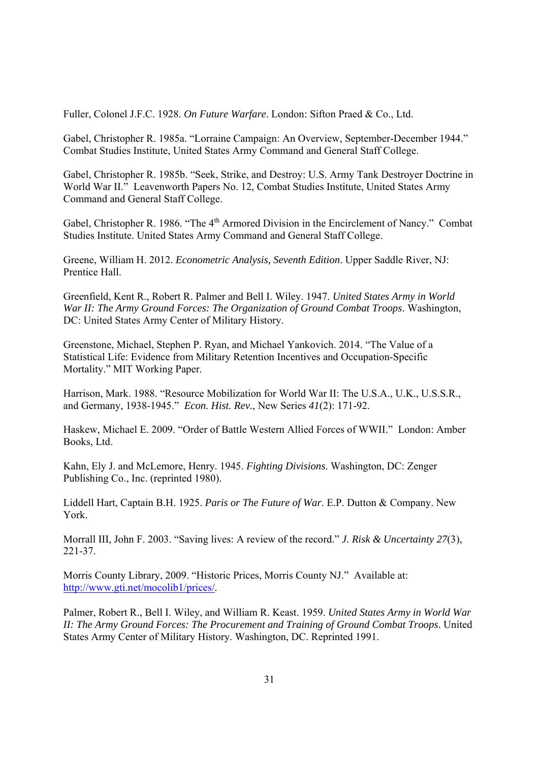Fuller, Colonel J.F.C. 1928. *On Future Warfare*. London: Sifton Praed & Co., Ltd.

Gabel, Christopher R. 1985a. "Lorraine Campaign: An Overview, September-December 1944." Combat Studies Institute, United States Army Command and General Staff College.

Gabel, Christopher R. 1985b. "Seek, Strike, and Destroy: U.S. Army Tank Destroyer Doctrine in World War II." Leavenworth Papers No. 12, Combat Studies Institute, United States Army Command and General Staff College.

Gabel, Christopher R. 1986. "The 4<sup>th</sup> Armored Division in the Encirclement of Nancy." Combat Studies Institute. United States Army Command and General Staff College.

Greene, William H. 2012. *Econometric Analysis, Seventh Edition*. Upper Saddle River, NJ: Prentice Hall.

Greenfield, Kent R., Robert R. Palmer and Bell I. Wiley. 1947. *United States Army in World War II: The Army Ground Forces: The Organization of Ground Combat Troops*. Washington, DC: United States Army Center of Military History.

Greenstone, Michael, Stephen P. Ryan, and Michael Yankovich. 2014. "The Value of a Statistical Life: Evidence from Military Retention Incentives and Occupation-Specific Mortality." MIT Working Paper.

Harrison, Mark. 1988. "Resource Mobilization for World War II: The U.S.A., U.K., U.S.S.R., and Germany, 1938-1945." *Econ. Hist. Rev.*, New Series *41*(2): 171-92.

Haskew, Michael E. 2009. "Order of Battle Western Allied Forces of WWII." London: Amber Books, Ltd.

Kahn, Ely J. and McLemore, Henry. 1945. *Fighting Divisions*. Washington, DC: Zenger Publishing Co., Inc. (reprinted 1980).

Liddell Hart, Captain B.H. 1925. *Paris or The Future of War*. E.P. Dutton & Company. New York.

Morrall III, John F. 2003. "Saving lives: A review of the record." *J. Risk & Uncertainty 27*(3), 221-37.

Morris County Library, 2009. "Historic Prices, Morris County NJ." Available at: http://www.gti.net/mocolib1/prices/.

Palmer, Robert R., Bell I. Wiley, and William R. Keast. 1959. *United States Army in World War II: The Army Ground Forces: The Procurement and Training of Ground Combat Troops*. United States Army Center of Military History. Washington, DC. Reprinted 1991.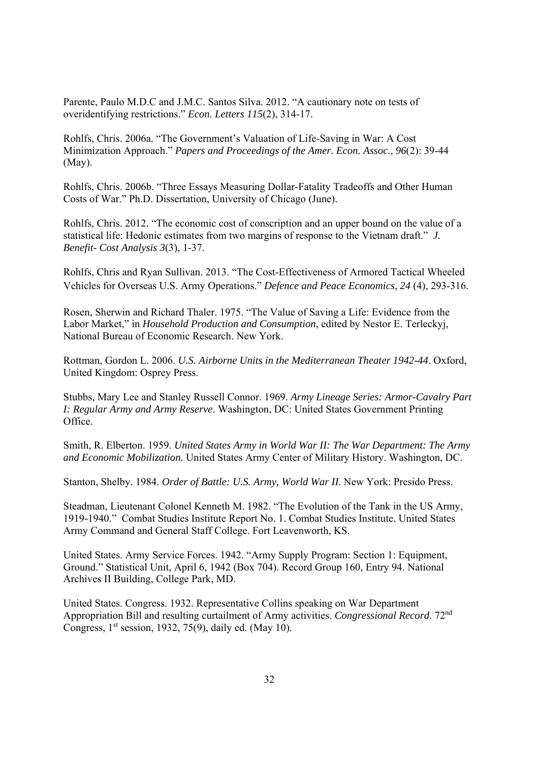Parente, Paulo M.D.C and J.M.C. Santos Silva. 2012. "A cautionary note on tests of overidentifying restrictions." *Econ. Letters 115*(2), 314-17.

Rohlfs, Chris. 2006a. "The Government's Valuation of Life-Saving in War: A Cost Minimization Approach." *Papers and Proceedings of the Amer. Econ. Assoc.*, *96*(2): 39-44 (May).

Rohlfs, Chris. 2006b. "Three Essays Measuring Dollar-Fatality Tradeoffs and Other Human Costs of War." Ph.D. Dissertation, University of Chicago (June).

Rohlfs, Chris. 2012. "The economic cost of conscription and an upper bound on the value of a statistical life: Hedonic estimates from two margins of response to the Vietnam draft." *J. Benefit- Cost Analysis 3*(3), 1-37.

Rohlfs, Chris and Ryan Sullivan. 2013. "The Cost-Effectiveness of Armored Tactical Wheeled Vehicles for Overseas U.S. Army Operations." *Defence and Peace Economics*, *24* (4), 293-316.

Rosen, Sherwin and Richard Thaler. 1975. "The Value of Saving a Life: Evidence from the Labor Market," in *Household Production and Consumption*, edited by Nestor E. Terleckyj, National Bureau of Economic Research. New York.

Rottman, Gordon L. 2006. *U.S. Airborne Units in the Mediterranean Theater 1942-44*. Oxford, United Kingdom: Osprey Press.

Stubbs, Mary Lee and Stanley Russell Connor. 1969. *Army Lineage Series: Armor-Cavalry Part I: Regular Army and Army Reserve*. Washington, DC: United States Government Printing Office.

Smith, R. Elberton. 1959. *United States Army in World War II: The War Department: The Army and Economic Mobilization.* United States Army Center of Military History. Washington, DC.

Stanton, Shelby. 1984. *Order of Battle: U.S. Army, World War II*. New York: Presido Press.

Steadman, Lieutenant Colonel Kenneth M. 1982. "The Evolution of the Tank in the US Army, 1919-1940." Combat Studies Institute Report No. 1. Combat Studies Institute. United States Army Command and General Staff College. Fort Leavenworth, KS.

United States. Army Service Forces. 1942. "Army Supply Program: Section 1: Equipment, Ground." Statistical Unit, April 6, 1942 (Box 704). Record Group 160, Entry 94. National Archives II Building, College Park, MD.

United States. Congress. 1932. Representative Collins speaking on War Department Appropriation Bill and resulting curtailment of Army activities. *Congressional Record*. 72nd Congress,  $1<sup>st</sup>$  session, 1932, 75(9), daily ed. (May 10).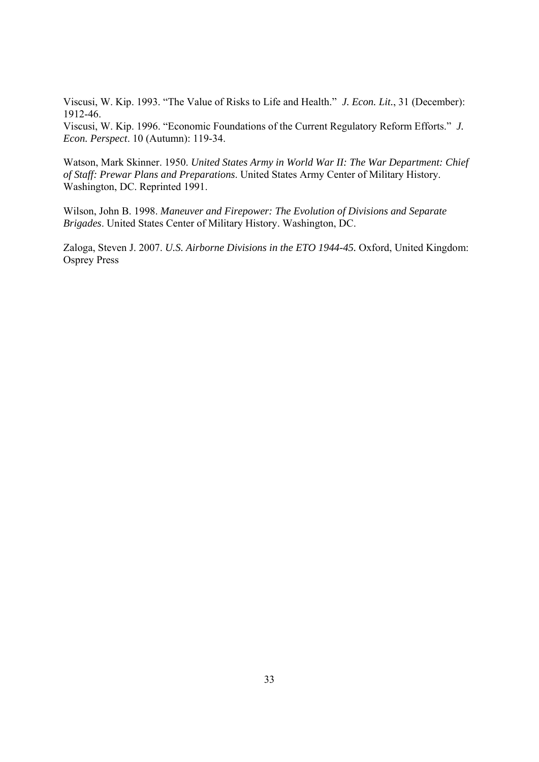Viscusi, W. Kip. 1993. "The Value of Risks to Life and Health." *J. Econ. Lit.*, 31 (December): 1912-46.

Viscusi, W. Kip. 1996. "Economic Foundations of the Current Regulatory Reform Efforts." *J. Econ. Perspect*. 10 (Autumn): 119-34.

Watson, Mark Skinner. 1950. *United States Army in World War II: The War Department: Chief of Staff: Prewar Plans and Preparations*. United States Army Center of Military History. Washington, DC. Reprinted 1991.

Wilson, John B. 1998. *Maneuver and Firepower: The Evolution of Divisions and Separate Brigades*. United States Center of Military History. Washington, DC.

Zaloga, Steven J. 2007. *U.S. Airborne Divisions in the ETO 1944-45.* Oxford, United Kingdom: Osprey Press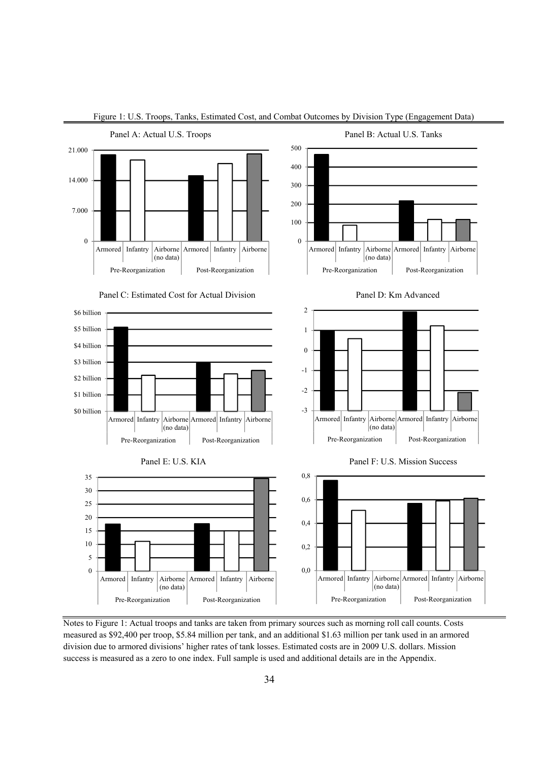

Figure 1: U.S. Troops, Tanks, Estimated Cost, and Combat Outcomes by Division Type (Engagement Data)

Notes to Figure 1: Actual troops and tanks are taken from primary sources such as morning roll call counts. Costs measured as \$92,400 per troop, \$5.84 million per tank, and an additional \$1.63 million per tank used in an armored division due to armored divisions' higher rates of tank losses. Estimated costs are in 2009 U.S. dollars. Mission success is measured as a zero to one index. Full sample is used and additional details are in the Appendix.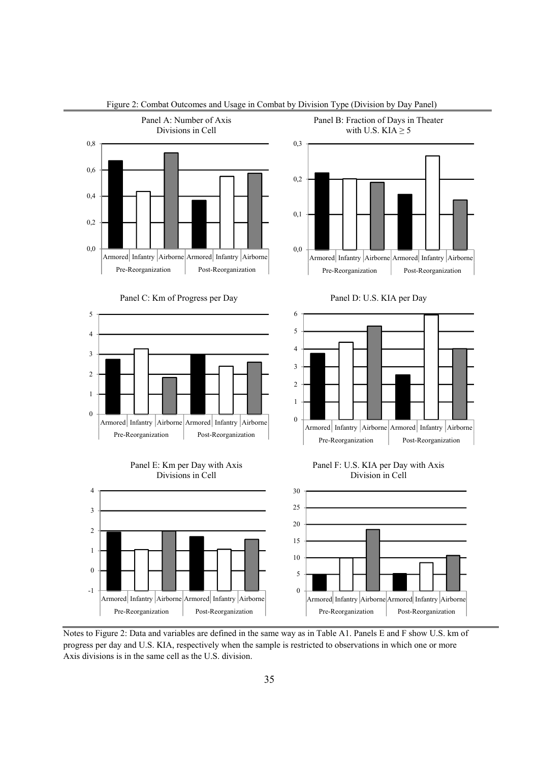

Figure 2: Combat Outcomes and Usage in Combat by Division Type (Division by Day Panel)

Notes to Figure 2: Data and variables are defined in the same way as in Table A1. Panels E and F show U.S. km of progress per day and U.S. KIA, respectively when the sample is restricted to observations in which one or more Axis divisions is in the same cell as the U.S. division.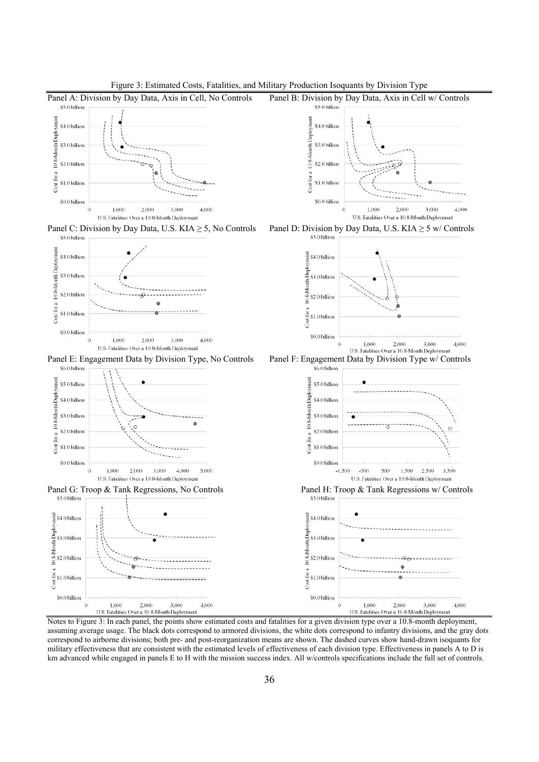

Figure 3: Estimated Costs, Fatalities, and Military Production Isoquants by Division Type

Notes to Figure 3: In each panel, the points show estimated costs and fatalities for a given division type over a 10.8-month deployment, assuming average usage. The black dots correspond to armored divisions, the white dots correspond to infantry divisions, and the gray dots correspond to airborne divisions; both pre- and post-reorganization means are shown. The dashed curves show hand-drawn isoquants for military effectiveness that are consistent with the estimated levels of effectiveness of each division type. Effectiveness in panels A to D is km advanced while engaged in panels E to H with the mission success index. All w/controls specifications include the full set of controls.

\$0.0 billion

 $\overline{0}$ 

1,000

2.000

U.S. Fatalities Over a 10.8-Month Deploy

3,000

4,000

l

4,000

3,000

nth Depk

\$0.0 billion

 $\overline{0}$ 

1,000

U.S. Fatalities Over a 10.8-Mo

2.000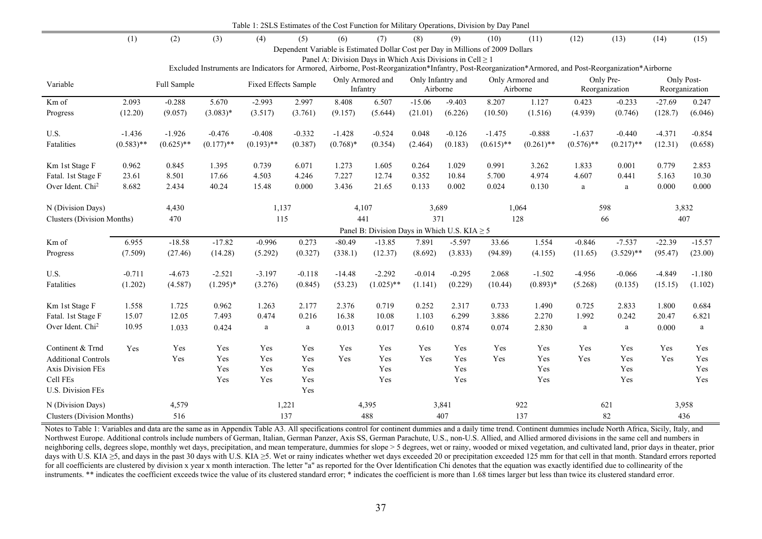|                                                   |                                                                                 |              |                      | Table 1: 2SLS Estimates of the Cost Function for Military Operations, Division by Day Panel                                                            |                              |            |                                                                 |          |                              |              |                |              |                |          |              |
|---------------------------------------------------|---------------------------------------------------------------------------------|--------------|----------------------|--------------------------------------------------------------------------------------------------------------------------------------------------------|------------------------------|------------|-----------------------------------------------------------------|----------|------------------------------|--------------|----------------|--------------|----------------|----------|--------------|
|                                                   | (1)                                                                             | (2)          | (3)                  | (4)                                                                                                                                                    | (5)                          | (6)        | (7)                                                             | (8)      | (9)                          | (10)         | (11)           | (12)         | (13)           | (14)     | (15)         |
|                                                   | Dependent Variable is Estimated Dollar Cost per Day in Millions of 2009 Dollars |              |                      |                                                                                                                                                        |                              |            |                                                                 |          |                              |              |                |              |                |          |              |
|                                                   |                                                                                 |              |                      |                                                                                                                                                        |                              |            | Panel A: Division Days in Which Axis Divisions in Cell $\geq 1$ |          |                              |              |                |              |                |          |              |
|                                                   |                                                                                 |              |                      | Excluded Instruments are Indicators for Armored, Airborne, Post-Reorganization*Infantry, Post-Reorganization*Armored, and Post-Reorganization*Airborne |                              |            |                                                                 |          |                              |              |                |              |                |          |              |
| Variable<br>Full Sample                           |                                                                                 |              | Fixed Effects Sample |                                                                                                                                                        | Only Armored and<br>Infantry |            | Only Infantry and<br>Airborne                                   |          | Only Armored and<br>Airborne |              | Only Pre-      |              | Only Post-     |          |              |
|                                                   |                                                                                 |              |                      |                                                                                                                                                        |                              |            |                                                                 |          |                              |              | Reorganization |              | Reorganization |          |              |
| Km of                                             | 2.093                                                                           | $-0.288$     | 5.670                | $-2.993$                                                                                                                                               | 2.997                        | 8.408      | 6.507                                                           | $-15.06$ | $-9.403$                     | 8.207        | 1.127          | 0.423        | $-0.233$       | $-27.69$ | 0.247        |
| Progress                                          | (12.20)                                                                         | (9.057)      | $(3.083)*$           | (3.517)                                                                                                                                                | (3.761)                      | (9.157)    | (5.644)                                                         | (21.01)  | (6.226)                      | (10.50)      | (1.516)        | (4.939)      | (0.746)        | (128.7)  | (6.046)      |
| U.S.                                              | $-1.436$                                                                        | $-1.926$     | $-0.476$             | $-0.408$                                                                                                                                               | $-0.332$                     | $-1.428$   | $-0.524$                                                        | 0.048    | $-0.126$                     | $-1.475$     | $-0.888$       | $-1.637$     | $-0.440$       | $-4.371$ | $-0.854$     |
| Fatalities                                        | $(0.583)$ **                                                                    | $(0.625)$ ** | $(0.177)$ **         | $(0.193)$ **                                                                                                                                           | (0.387)                      | $(0.768)*$ | (0.354)                                                         | (2.464)  | (0.183)                      | $(0.615)$ ** | $(0.261)$ **   | $(0.576)$ ** | $(0.217)$ **   | (12.31)  | (0.658)      |
| Km 1st Stage F                                    | 0.962                                                                           | 0.845        | 1.395                | 0.739                                                                                                                                                  | 6.071                        | 1.273      | 1.605                                                           | 0.264    | 1.029                        | 0.991        | 3.262          | 1.833        | 0.001          | 0.779    | 2.853        |
| Fatal. 1st Stage F                                | 23.61                                                                           | 8.501        | 17.66                | 4.503                                                                                                                                                  | 4.246                        | 7.227      | 12.74                                                           | 0.352    | 10.84                        | 5.700        | 4.974          | 4.607        | 0.441          | 5.163    | 10.30        |
| Over Ident. Chi <sup>2</sup>                      | 8.682                                                                           | 2.434        | 40.24                | 15.48                                                                                                                                                  | 0.000                        | 3.436      | 21.65                                                           | 0.133    | 0.002                        | 0.024        | 0.130          | a            | a              | 0.000    | 0.000        |
|                                                   |                                                                                 |              |                      |                                                                                                                                                        |                              |            |                                                                 |          |                              |              |                |              |                |          |              |
| N (Division Days)                                 |                                                                                 | 4,430        |                      | 1,137                                                                                                                                                  |                              | 4,107      |                                                                 | 3,689    |                              | 1,064        |                | 598          |                | 3,832    |              |
| <b>Clusters (Division Months)</b>                 |                                                                                 | 470          |                      | 115                                                                                                                                                    |                              | 441        |                                                                 | 371      |                              | 128          |                | 66           |                | 407      |              |
| Panel B: Division Days in Which U.S. KIA $\geq$ 5 |                                                                                 |              |                      |                                                                                                                                                        |                              |            |                                                                 |          |                              |              |                |              |                |          |              |
| Km of                                             | 6.955                                                                           | $-18.58$     | $-17.82$             | $-0.996$                                                                                                                                               | 0.273                        | $-80.49$   | $-13.85$                                                        | 7.891    | $-5.597$                     | 33.66        | 1.554          | $-0.846$     | $-7.537$       | $-22.39$ | $-15.57$     |
| Progress                                          | (7.509)                                                                         | (27.46)      | (14.28)              | (5.292)                                                                                                                                                | (0.327)                      | (338.1)    | (12.37)                                                         | (8.692)  | (3.833)                      | (94.89)      | (4.155)        | (11.65)      | $(3.529)$ **   | (95.47)  | (23.00)      |
|                                                   |                                                                                 |              |                      |                                                                                                                                                        |                              |            |                                                                 |          |                              |              |                |              |                |          |              |
| U.S.                                              | $-0.711$                                                                        | $-4.673$     | $-2.521$             | $-3.197$                                                                                                                                               | $-0.118$                     | $-14.48$   | $-2.292$                                                        | $-0.014$ | $-0.295$                     | 2.068        | $-1.502$       | $-4.956$     | $-0.066$       | $-4.849$ | $-1.180$     |
| Fatalities                                        | (1.202)                                                                         | (4.587)      | $(1.295)*$           | (3.276)                                                                                                                                                | (0.845)                      | (53.23)    | $(1.025)$ **                                                    | (1.141)  | (0.229)                      | (10.44)      | $(0.893)*$     | (5.268)      | (0.135)        | (15.15)  | (1.102)      |
| Km 1st Stage F                                    | 1.558                                                                           | 1.725        | 0.962                | 1.263                                                                                                                                                  | 2.177                        | 2.376      | 0.719                                                           | 0.252    | 2.317                        | 0.733        | 1.490          | 0.725        | 2.833          | 1.800    | 0.684        |
| Fatal. 1st Stage F                                | 15.07                                                                           | 12.05        | 7.493                | 0.474                                                                                                                                                  | 0.216                        | 16.38      | 10.08                                                           | 1.103    | 6.299                        | 3.886        | 2.270          | 1.992        | 0.242          | 20.47    | 6.821        |
| Over Ident. Chi <sup>2</sup>                      | 10.95                                                                           | 1.033        | 0.424                | a                                                                                                                                                      | a                            | 0.013      | 0.017                                                           | 0.610    | 0.874                        | 0.074        | 2.830          | $\rm{a}$     | $\rm{a}$       | 0.000    | $\mathbf{a}$ |
| Continent & Trnd                                  | Yes                                                                             | Yes          | Yes                  | Yes                                                                                                                                                    | Yes                          | Yes        | Yes                                                             | Yes      | Yes                          | Yes          | Yes            | Yes          | Yes            | Yes      | Yes          |
| <b>Additional Controls</b>                        |                                                                                 | Yes          | Yes                  | Yes                                                                                                                                                    | Yes                          | Yes        | Yes                                                             | Yes      | Yes                          | Yes          | Yes            | Yes          | Yes            | Yes      | Yes          |
| Axis Division FEs                                 |                                                                                 |              | Yes                  | Yes                                                                                                                                                    | Yes                          |            | Yes                                                             |          | Yes                          |              | Yes            |              | Yes            |          | Yes          |
| Cell FEs                                          |                                                                                 |              | Yes                  | Yes                                                                                                                                                    | Yes                          |            | Yes                                                             |          | Yes                          |              | Yes            |              | Yes            |          | Yes          |
| <b>U.S. Division FEs</b>                          |                                                                                 |              |                      |                                                                                                                                                        | Yes                          |            |                                                                 |          |                              |              |                |              |                |          |              |
| N (Division Days)                                 |                                                                                 | 4,579        |                      | 1,221                                                                                                                                                  |                              | 4,395      |                                                                 | 3,841    |                              | 922          |                | 621          |                | 3,958    |              |
| <b>Clusters (Division Months)</b>                 |                                                                                 | 516          |                      | 137                                                                                                                                                    |                              | 488        |                                                                 | 407      |                              | 137          |                | 82           |                | 436      |              |

Notes to Table 1: Variables and data are the same as in Appendix Table A3. All specifications control for continent dummies and a daily time trend. Continent dummies include North Africa, Sicily, Italy, and Northwest Europe. Additional controls include numbers of German, Italian, German Panzer, Axis SS, German Parachute, U.S., non-U.S. Allied, and Allied armored divisions in the same cell and numbers in neighboring cells, degrees slope, monthly wet days, precipitation, and mean temperature, dummies for slope > 5 degrees, wet or rainy, wooded or mixed vegetation, and cultivated land, prior days in theater, prior days with U.S. KIA ≥5, and days in the past 30 days with U.S. KIA ≥5. Wet or rainy indicates whether wet days exceeded 20 or precipitation exceeded 125 mm for that cell in that month. Standard errors reported for all coefficients are clustered by division x year x month interaction. The letter "a" as reported for the Over Identification Chi denotes that the equation was exactly identified due to collinearity of the instruments. \*\* indicates the coefficient exceeds twice the value of its clustered standard error; \* indicates the coefficient is more than 1.68 times larger but less than twice its clustered standard error.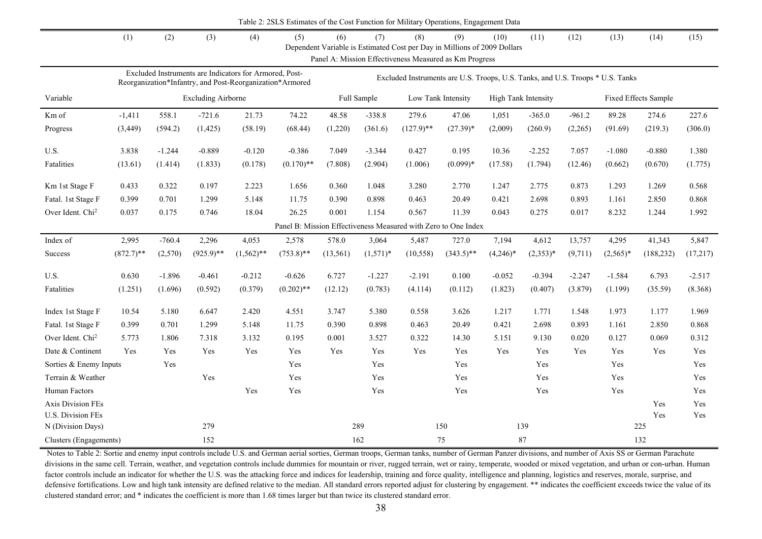|                                                                |                                                                                                                                                                                                      |          |              |              | Table 2: 2SLS Estimates of the Cost Function for Military Operations, Engagement Data |                    |             |                                                                                 |              |                      |            |          |            |            |          |
|----------------------------------------------------------------|------------------------------------------------------------------------------------------------------------------------------------------------------------------------------------------------------|----------|--------------|--------------|---------------------------------------------------------------------------------------|--------------------|-------------|---------------------------------------------------------------------------------|--------------|----------------------|------------|----------|------------|------------|----------|
|                                                                | (1)                                                                                                                                                                                                  | (2)      | (3)          | (4)          | (5)                                                                                   | (6)                | (7)         | (8)<br>Dependent Variable is Estimated Cost per Day in Millions of 2009 Dollars | (9)          | (10)                 | (11)       | (12)     | (13)       | (14)       | (15)     |
|                                                                |                                                                                                                                                                                                      |          |              |              |                                                                                       |                    |             | Panel A: Mission Effectiveness Measured as Km Progress                          |              |                      |            |          |            |            |          |
|                                                                |                                                                                                                                                                                                      |          |              |              |                                                                                       |                    |             |                                                                                 |              |                      |            |          |            |            |          |
|                                                                | Excluded Instruments are Indicators for Armored, Post-<br>Excluded Instruments are U.S. Troops, U.S. Tanks, and U.S. Troops * U.S. Tanks<br>Reorganization*Infantry, and Post-Reorganization*Armored |          |              |              |                                                                                       |                    |             |                                                                                 |              |                      |            |          |            |            |          |
| Variable                                                       | <b>Excluding Airborne</b>                                                                                                                                                                            |          |              | Full Sample  |                                                                                       | Low Tank Intensity |             | High Tank Intensity                                                             |              | Fixed Effects Sample |            |          |            |            |          |
| Km of                                                          | $-1,411$                                                                                                                                                                                             | 558.1    | $-721.6$     | 21.73        | 74.22                                                                                 | 48.58              | $-338.8$    | 279.6                                                                           | 47.06        | 1,051                | $-365.0$   | $-961.2$ | 89.28      | 274.6      | 227.6    |
| Progress                                                       | (3, 449)                                                                                                                                                                                             | (594.2)  | (1, 425)     | (58.19)      | (68.44)                                                                               | (1,220)            | (361.6)     | $(127.9)$ **                                                                    | $(27.39)^*$  | (2,009)              | (260.9)    | (2, 265) | (91.69)    | (219.3)    | (306.0)  |
| U.S.                                                           | 3.838                                                                                                                                                                                                | $-1.244$ | $-0.889$     | $-0.120$     | $-0.386$                                                                              | 7.049              | $-3.344$    | 0.427                                                                           | 0.195        | 10.36                | $-2.252$   | 7.057    | $-1.080$   | $-0.880$   | 1.380    |
| Fatalities                                                     | (13.61)                                                                                                                                                                                              | (1.414)  | (1.833)      | (0.178)      | $(0.170)$ **                                                                          | (7.808)            | (2.904)     | (1.006)                                                                         | $(0.099)*$   | (17.58)              | (1.794)    | (12.46)  | (0.662)    | (0.670)    | (1.775)  |
| Km 1st Stage F                                                 | 0.433                                                                                                                                                                                                | 0.322    | 0.197        | 2.223        | 1.656                                                                                 | 0.360              | 1.048       | 3.280                                                                           | 2.770        | 1.247                | 2.775      | 0.873    | 1.293      | 1.269      | 0.568    |
| Fatal. 1st Stage F                                             | 0.399                                                                                                                                                                                                | 0.701    | 1.299        | 5.148        | 11.75                                                                                 | 0.390              | 0.898       | 0.463                                                                           | 20.49        | 0.421                | 2.698      | 0.893    | 1.161      | 2.850      | 0.868    |
| Over Ident. Chi <sup>2</sup>                                   | 0.037                                                                                                                                                                                                | 0.175    | 0.746        | 18.04        | 26.25                                                                                 | 0.001              | 1.154       | 0.567                                                                           | 11.39        | 0.043                | 0.275      | 0.017    | 8.232      | 1.244      | 1.992    |
| Panel B: Mission Effectiveness Measured with Zero to One Index |                                                                                                                                                                                                      |          |              |              |                                                                                       |                    |             |                                                                                 |              |                      |            |          |            |            |          |
| Index of                                                       | 2,995                                                                                                                                                                                                | $-760.4$ | 2,296        | 4,053        | 2,578                                                                                 | 578.0              | 3,064       | 5,487                                                                           | 727.0        | 7,194                | 4,612      | 13,757   | 4,295      | 41,343     | 5,847    |
| Success                                                        | $(872.7)$ **                                                                                                                                                                                         | (2,570)  | $(925.9)$ ** | $(1,562)$ ** | $(753.8)$ **                                                                          | (13, 561)          | $(1,571)^*$ | (10, 558)                                                                       | $(343.5)$ ** | $(4,246)^*$          | $(2,353)*$ | (9,711)  | $(2,565)*$ | (188, 232) | (17,217) |
| U.S.                                                           | 0.630                                                                                                                                                                                                | $-1.896$ | $-0.461$     | $-0.212$     | $-0.626$                                                                              | 6.727              | $-1.227$    | $-2.191$                                                                        | 0.100        | $-0.052$             | $-0.394$   | $-2.247$ | $-1.584$   | 6.793      | $-2.517$ |
| Fatalities                                                     | (1.251)                                                                                                                                                                                              | (1.696)  | (0.592)      | (0.379)      | $(0.202)$ **                                                                          | (12.12)            | (0.783)     | (4.114)                                                                         | (0.112)      | (1.823)              | (0.407)    | (3.879)  | (1.199)    | (35.59)    | (8.368)  |
| Index 1st Stage F                                              | 10.54                                                                                                                                                                                                | 5.180    | 6.647        | 2.420        | 4.551                                                                                 | 3.747              | 5.380       | 0.558                                                                           | 3.626        | 1.217                | 1.771      | 1.548    | 1.973      | 1.177      | 1.969    |
| Fatal. 1st Stage F                                             | 0.399                                                                                                                                                                                                | 0.701    | 1.299        | 5.148        | 11.75                                                                                 | 0.390              | 0.898       | 0.463                                                                           | 20.49        | 0.421                | 2.698      | 0.893    | 1.161      | 2.850      | 0.868    |
| Over Ident. Chi <sup>2</sup>                                   | 5.773                                                                                                                                                                                                | 1.806    | 7.318        | 3.132        | 0.195                                                                                 | 0.001              | 3.527       | 0.322                                                                           | 14.30        | 5.151                | 9.130      | 0.020    | 0.127      | 0.069      | 0.312    |
| Date & Continent                                               | Yes                                                                                                                                                                                                  | Yes      | Yes          | Yes          | Yes                                                                                   | Yes                | Yes         | Yes                                                                             | Yes          | Yes                  | Yes        | Yes      | Yes        | Yes        | Yes      |
| Sorties & Enemy Inputs                                         |                                                                                                                                                                                                      | Yes      |              |              | Yes                                                                                   |                    | Yes         |                                                                                 | Yes          |                      | Yes        |          | Yes        |            | Yes      |
| Terrain & Weather                                              |                                                                                                                                                                                                      |          | Yes          |              | Yes                                                                                   |                    | Yes         |                                                                                 | Yes          |                      | Yes        |          | Yes        |            | Yes      |
| Human Factors                                                  |                                                                                                                                                                                                      |          |              | Yes          | Yes                                                                                   |                    | Yes         |                                                                                 | Yes          |                      | Yes        |          | Yes        |            | Yes      |
| <b>Axis Division FEs</b>                                       |                                                                                                                                                                                                      |          |              |              |                                                                                       |                    |             |                                                                                 |              |                      |            |          |            | Yes        | Yes      |
| <b>U.S. Division FEs</b>                                       |                                                                                                                                                                                                      |          |              |              |                                                                                       |                    |             |                                                                                 |              |                      |            |          |            | Yes        | Yes      |
| N (Division Days)                                              |                                                                                                                                                                                                      |          | 279          |              |                                                                                       |                    | 289         |                                                                                 | 150          |                      | 139        |          |            | 225        |          |
| Clusters (Engagements)                                         |                                                                                                                                                                                                      | 152      |              |              |                                                                                       | 162                |             | 87<br>75                                                                        |              | 132                  |            |          |            |            |          |

Notes to Table 2: Sortie and enemy input controls include U.S. and German aerial sorties, German troops, German tanks, number of German Panzer divisions, and number of Axis SS or German Parachute divisions in the same cell. Terrain, weather, and vegetation controls include dummies for mountain or river, rugged terrain, wet or rainy, temperate, wooded or mixed vegetation, and urban or con-urban. Human factor controls include an indicator for whether the U.S. was the attacking force and indices for leadership, training and force quality, intelligence and planning, logistics and reserves, morale, surprise, and defensive fortifications. Low and high tank intensity are defined relative to the median. All standard errors reported adjust for clustering by engagement. \*\* indicates the coefficient exceeds twice the value of its clustered standard error; and \* indicates the coefficient is more than 1.68 times larger but than twice its clustered standard error.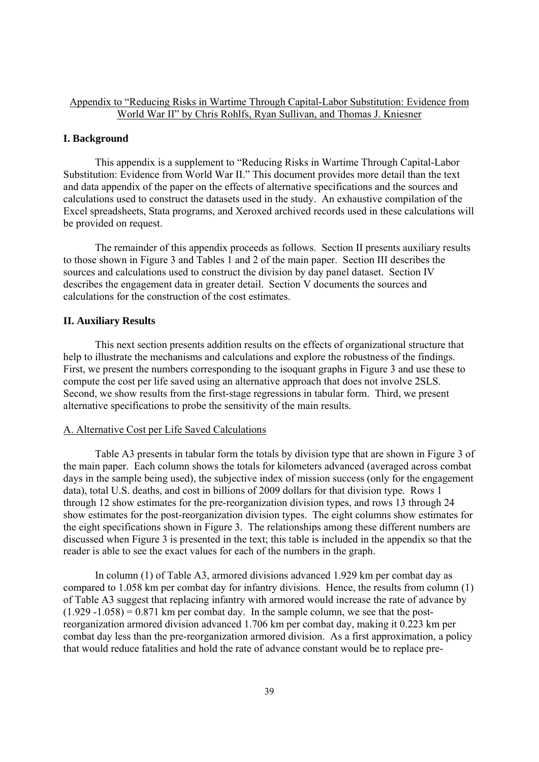# Appendix to "Reducing Risks in Wartime Through Capital-Labor Substitution: Evidence from World War II" by Chris Rohlfs, Ryan Sullivan, and Thomas J. Kniesner

# **I. Background**

This appendix is a supplement to "Reducing Risks in Wartime Through Capital-Labor Substitution: Evidence from World War II." This document provides more detail than the text and data appendix of the paper on the effects of alternative specifications and the sources and calculations used to construct the datasets used in the study. An exhaustive compilation of the Excel spreadsheets, Stata programs, and Xeroxed archived records used in these calculations will be provided on request.

 The remainder of this appendix proceeds as follows. Section II presents auxiliary results to those shown in Figure 3 and Tables 1 and 2 of the main paper. Section III describes the sources and calculations used to construct the division by day panel dataset. Section IV describes the engagement data in greater detail. Section V documents the sources and calculations for the construction of the cost estimates.

# **II. Auxiliary Results**

 This next section presents addition results on the effects of organizational structure that help to illustrate the mechanisms and calculations and explore the robustness of the findings. First, we present the numbers corresponding to the isoquant graphs in Figure 3 and use these to compute the cost per life saved using an alternative approach that does not involve 2SLS. Second, we show results from the first-stage regressions in tabular form. Third, we present alternative specifications to probe the sensitivity of the main results.

## A. Alternative Cost per Life Saved Calculations

 Table A3 presents in tabular form the totals by division type that are shown in Figure 3 of the main paper. Each column shows the totals for kilometers advanced (averaged across combat days in the sample being used), the subjective index of mission success (only for the engagement data), total U.S. deaths, and cost in billions of 2009 dollars for that division type. Rows 1 through 12 show estimates for the pre-reorganization division types, and rows 13 through 24 show estimates for the post-reorganization division types. The eight columns show estimates for the eight specifications shown in Figure 3. The relationships among these different numbers are discussed when Figure 3 is presented in the text; this table is included in the appendix so that the reader is able to see the exact values for each of the numbers in the graph.

In column (1) of Table A3, armored divisions advanced 1.929 km per combat day as compared to 1.058 km per combat day for infantry divisions. Hence, the results from column (1) of Table A3 suggest that replacing infantry with armored would increase the rate of advance by  $(1.929 - 1.058) = 0.871$  km per combat day. In the sample column, we see that the postreorganization armored division advanced 1.706 km per combat day, making it 0.223 km per combat day less than the pre-reorganization armored division. As a first approximation, a policy that would reduce fatalities and hold the rate of advance constant would be to replace pre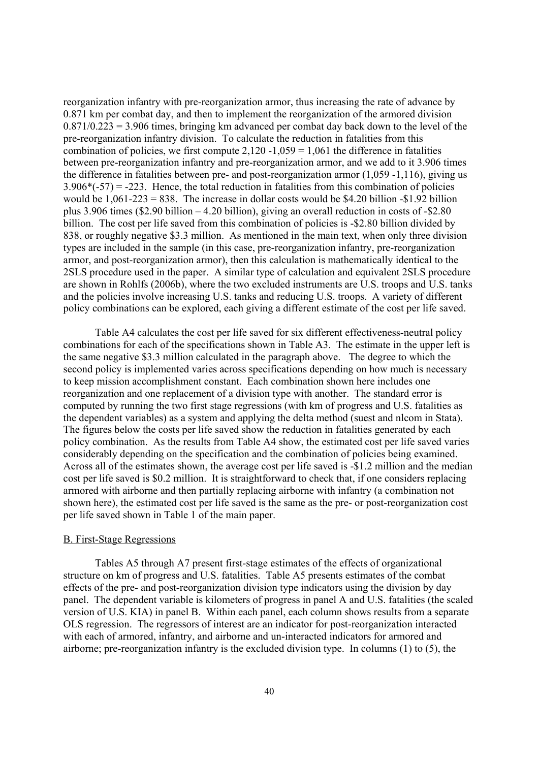reorganization infantry with pre-reorganization armor, thus increasing the rate of advance by 0.871 km per combat day, and then to implement the reorganization of the armored division  $0.871/0.223 = 3.906$  times, bringing km advanced per combat day back down to the level of the pre-reorganization infantry division. To calculate the reduction in fatalities from this combination of policies, we first compute  $2,120 -1,059 = 1,061$  the difference in fatalities between pre-reorganization infantry and pre-reorganization armor, and we add to it 3.906 times the difference in fatalities between pre- and post-reorganization armor (1,059 -1,116), giving us  $3.906*(-57) = -223$ . Hence, the total reduction in fatalities from this combination of policies would be  $1,061-223 = 838$ . The increase in dollar costs would be \$4.20 billion -\$1.92 billion plus 3.906 times (\$2.90 billion – 4.20 billion), giving an overall reduction in costs of -\$2.80 billion. The cost per life saved from this combination of policies is -\$2.80 billion divided by 838, or roughly negative \$3.3 million. As mentioned in the main text, when only three division types are included in the sample (in this case, pre-reorganization infantry, pre-reorganization armor, and post-reorganization armor), then this calculation is mathematically identical to the 2SLS procedure used in the paper. A similar type of calculation and equivalent 2SLS procedure are shown in Rohlfs (2006b), where the two excluded instruments are U.S. troops and U.S. tanks and the policies involve increasing U.S. tanks and reducing U.S. troops. A variety of different policy combinations can be explored, each giving a different estimate of the cost per life saved.

Table A4 calculates the cost per life saved for six different effectiveness-neutral policy combinations for each of the specifications shown in Table A3. The estimate in the upper left is the same negative \$3.3 million calculated in the paragraph above. The degree to which the second policy is implemented varies across specifications depending on how much is necessary to keep mission accomplishment constant. Each combination shown here includes one reorganization and one replacement of a division type with another. The standard error is computed by running the two first stage regressions (with km of progress and U.S. fatalities as the dependent variables) as a system and applying the delta method (suest and nlcom in Stata). The figures below the costs per life saved show the reduction in fatalities generated by each policy combination. As the results from Table A4 show, the estimated cost per life saved varies considerably depending on the specification and the combination of policies being examined. Across all of the estimates shown, the average cost per life saved is -\$1.2 million and the median cost per life saved is \$0.2 million. It is straightforward to check that, if one considers replacing armored with airborne and then partially replacing airborne with infantry (a combination not shown here), the estimated cost per life saved is the same as the pre- or post-reorganization cost per life saved shown in Table 1 of the main paper.

### B. First-Stage Regressions

 Tables A5 through A7 present first-stage estimates of the effects of organizational structure on km of progress and U.S. fatalities. Table A5 presents estimates of the combat effects of the pre- and post-reorganization division type indicators using the division by day panel. The dependent variable is kilometers of progress in panel A and U.S. fatalities (the scaled version of U.S. KIA) in panel B. Within each panel, each column shows results from a separate OLS regression. The regressors of interest are an indicator for post-reorganization interacted with each of armored, infantry, and airborne and un-interacted indicators for armored and airborne; pre-reorganization infantry is the excluded division type. In columns (1) to (5), the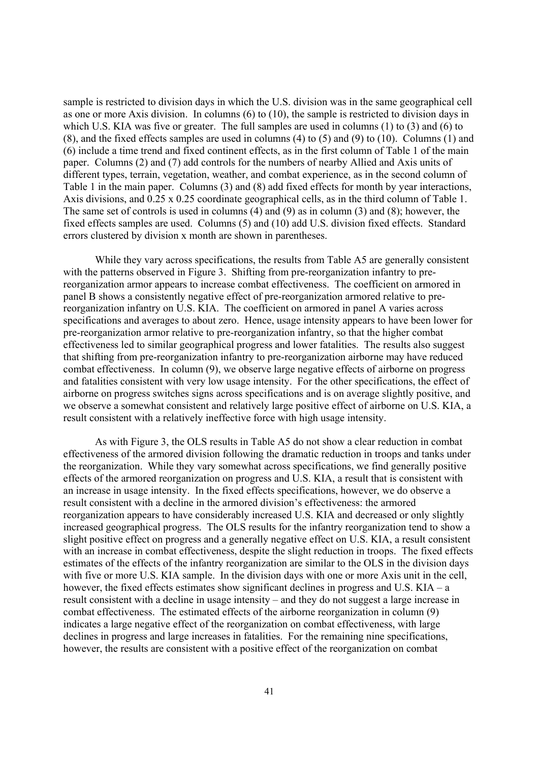sample is restricted to division days in which the U.S. division was in the same geographical cell as one or more Axis division. In columns (6) to (10), the sample is restricted to division days in which U.S. KIA was five or greater. The full samples are used in columns (1) to (3) and (6) to (8), and the fixed effects samples are used in columns (4) to (5) and (9) to (10). Columns (1) and (6) include a time trend and fixed continent effects, as in the first column of Table 1 of the main paper. Columns (2) and (7) add controls for the numbers of nearby Allied and Axis units of different types, terrain, vegetation, weather, and combat experience, as in the second column of Table 1 in the main paper. Columns (3) and (8) add fixed effects for month by year interactions, Axis divisions, and 0.25 x 0.25 coordinate geographical cells, as in the third column of Table 1. The same set of controls is used in columns (4) and (9) as in column (3) and (8); however, the fixed effects samples are used. Columns (5) and (10) add U.S. division fixed effects. Standard errors clustered by division x month are shown in parentheses.

 While they vary across specifications, the results from Table A5 are generally consistent with the patterns observed in Figure 3. Shifting from pre-reorganization infantry to prereorganization armor appears to increase combat effectiveness. The coefficient on armored in panel B shows a consistently negative effect of pre-reorganization armored relative to prereorganization infantry on U.S. KIA. The coefficient on armored in panel A varies across specifications and averages to about zero. Hence, usage intensity appears to have been lower for pre-reorganization armor relative to pre-reorganization infantry, so that the higher combat effectiveness led to similar geographical progress and lower fatalities. The results also suggest that shifting from pre-reorganization infantry to pre-reorganization airborne may have reduced combat effectiveness. In column (9), we observe large negative effects of airborne on progress and fatalities consistent with very low usage intensity. For the other specifications, the effect of airborne on progress switches signs across specifications and is on average slightly positive, and we observe a somewhat consistent and relatively large positive effect of airborne on U.S. KIA, a result consistent with a relatively ineffective force with high usage intensity.

 As with Figure 3, the OLS results in Table A5 do not show a clear reduction in combat effectiveness of the armored division following the dramatic reduction in troops and tanks under the reorganization. While they vary somewhat across specifications, we find generally positive effects of the armored reorganization on progress and U.S. KIA, a result that is consistent with an increase in usage intensity. In the fixed effects specifications, however, we do observe a result consistent with a decline in the armored division's effectiveness: the armored reorganization appears to have considerably increased U.S. KIA and decreased or only slightly increased geographical progress. The OLS results for the infantry reorganization tend to show a slight positive effect on progress and a generally negative effect on U.S. KIA, a result consistent with an increase in combat effectiveness, despite the slight reduction in troops. The fixed effects estimates of the effects of the infantry reorganization are similar to the OLS in the division days with five or more U.S. KIA sample. In the division days with one or more Axis unit in the cell, however, the fixed effects estimates show significant declines in progress and U.S. KIA – a result consistent with a decline in usage intensity – and they do not suggest a large increase in combat effectiveness. The estimated effects of the airborne reorganization in column (9) indicates a large negative effect of the reorganization on combat effectiveness, with large declines in progress and large increases in fatalities. For the remaining nine specifications, however, the results are consistent with a positive effect of the reorganization on combat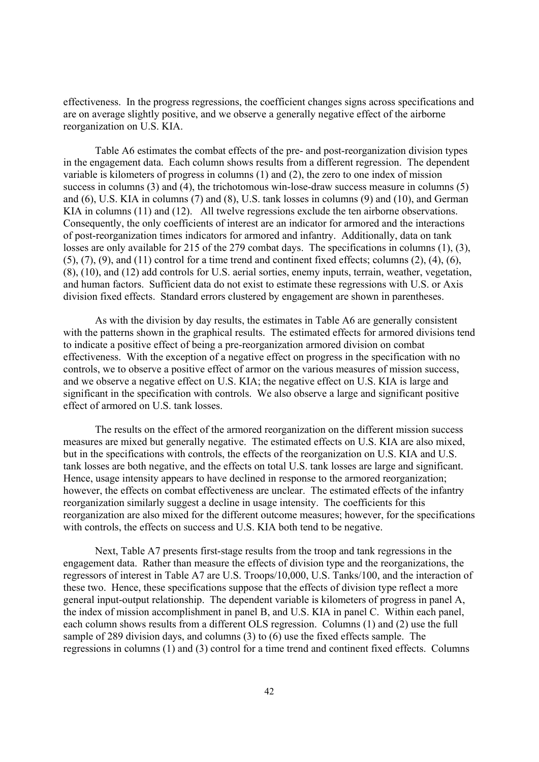effectiveness. In the progress regressions, the coefficient changes signs across specifications and are on average slightly positive, and we observe a generally negative effect of the airborne reorganization on U.S. KIA.

 Table A6 estimates the combat effects of the pre- and post-reorganization division types in the engagement data. Each column shows results from a different regression. The dependent variable is kilometers of progress in columns (1) and (2), the zero to one index of mission success in columns (3) and (4), the trichotomous win-lose-draw success measure in columns (5) and (6), U.S. KIA in columns (7) and (8), U.S. tank losses in columns (9) and (10), and German KIA in columns (11) and (12). All twelve regressions exclude the ten airborne observations. Consequently, the only coefficients of interest are an indicator for armored and the interactions of post-reorganization times indicators for armored and infantry. Additionally, data on tank losses are only available for 215 of the 279 combat days. The specifications in columns (1), (3),  $(5)$ ,  $(7)$ ,  $(9)$ , and  $(11)$  control for a time trend and continent fixed effects; columns  $(2)$ ,  $(4)$ ,  $(6)$ , (8), (10), and (12) add controls for U.S. aerial sorties, enemy inputs, terrain, weather, vegetation, and human factors. Sufficient data do not exist to estimate these regressions with U.S. or Axis division fixed effects. Standard errors clustered by engagement are shown in parentheses.

 As with the division by day results, the estimates in Table A6 are generally consistent with the patterns shown in the graphical results. The estimated effects for armored divisions tend to indicate a positive effect of being a pre-reorganization armored division on combat effectiveness. With the exception of a negative effect on progress in the specification with no controls, we to observe a positive effect of armor on the various measures of mission success, and we observe a negative effect on U.S. KIA; the negative effect on U.S. KIA is large and significant in the specification with controls. We also observe a large and significant positive effect of armored on U.S. tank losses.

 The results on the effect of the armored reorganization on the different mission success measures are mixed but generally negative. The estimated effects on U.S. KIA are also mixed, but in the specifications with controls, the effects of the reorganization on U.S. KIA and U.S. tank losses are both negative, and the effects on total U.S. tank losses are large and significant. Hence, usage intensity appears to have declined in response to the armored reorganization; however, the effects on combat effectiveness are unclear. The estimated effects of the infantry reorganization similarly suggest a decline in usage intensity. The coefficients for this reorganization are also mixed for the different outcome measures; however, for the specifications with controls, the effects on success and U.S. KIA both tend to be negative.

 Next, Table A7 presents first-stage results from the troop and tank regressions in the engagement data. Rather than measure the effects of division type and the reorganizations, the regressors of interest in Table A7 are U.S. Troops/10,000, U.S. Tanks/100, and the interaction of these two. Hence, these specifications suppose that the effects of division type reflect a more general input-output relationship. The dependent variable is kilometers of progress in panel A, the index of mission accomplishment in panel B, and U.S. KIA in panel C. Within each panel, each column shows results from a different OLS regression. Columns (1) and (2) use the full sample of 289 division days, and columns (3) to (6) use the fixed effects sample. The regressions in columns (1) and (3) control for a time trend and continent fixed effects. Columns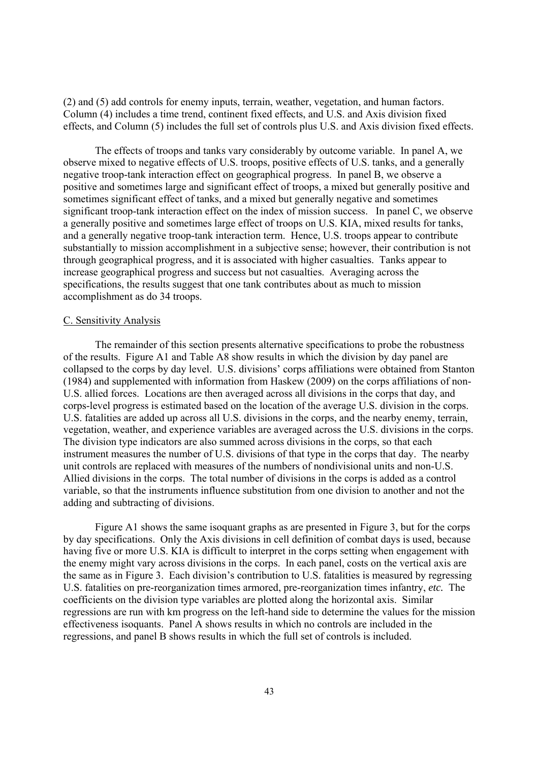(2) and (5) add controls for enemy inputs, terrain, weather, vegetation, and human factors. Column (4) includes a time trend, continent fixed effects, and U.S. and Axis division fixed effects, and Column (5) includes the full set of controls plus U.S. and Axis division fixed effects.

The effects of troops and tanks vary considerably by outcome variable. In panel A, we observe mixed to negative effects of U.S. troops, positive effects of U.S. tanks, and a generally negative troop-tank interaction effect on geographical progress. In panel B, we observe a positive and sometimes large and significant effect of troops, a mixed but generally positive and sometimes significant effect of tanks, and a mixed but generally negative and sometimes significant troop-tank interaction effect on the index of mission success. In panel C, we observe a generally positive and sometimes large effect of troops on U.S. KIA, mixed results for tanks, and a generally negative troop-tank interaction term. Hence, U.S. troops appear to contribute substantially to mission accomplishment in a subjective sense; however, their contribution is not through geographical progress, and it is associated with higher casualties. Tanks appear to increase geographical progress and success but not casualties. Averaging across the specifications, the results suggest that one tank contributes about as much to mission accomplishment as do 34 troops.

### C. Sensitivity Analysis

 The remainder of this section presents alternative specifications to probe the robustness of the results. Figure A1 and Table A8 show results in which the division by day panel are collapsed to the corps by day level. U.S. divisions' corps affiliations were obtained from Stanton (1984) and supplemented with information from Haskew (2009) on the corps affiliations of non-U.S. allied forces. Locations are then averaged across all divisions in the corps that day, and corps-level progress is estimated based on the location of the average U.S. division in the corps. U.S. fatalities are added up across all U.S. divisions in the corps, and the nearby enemy, terrain, vegetation, weather, and experience variables are averaged across the U.S. divisions in the corps. The division type indicators are also summed across divisions in the corps, so that each instrument measures the number of U.S. divisions of that type in the corps that day. The nearby unit controls are replaced with measures of the numbers of nondivisional units and non-U.S. Allied divisions in the corps. The total number of divisions in the corps is added as a control variable, so that the instruments influence substitution from one division to another and not the adding and subtracting of divisions.

 Figure A1 shows the same isoquant graphs as are presented in Figure 3, but for the corps by day specifications. Only the Axis divisions in cell definition of combat days is used, because having five or more U.S. KIA is difficult to interpret in the corps setting when engagement with the enemy might vary across divisions in the corps. In each panel, costs on the vertical axis are the same as in Figure 3. Each division's contribution to U.S. fatalities is measured by regressing U.S. fatalities on pre-reorganization times armored, pre-reorganization times infantry, *etc.* The coefficients on the division type variables are plotted along the horizontal axis. Similar regressions are run with km progress on the left-hand side to determine the values for the mission effectiveness isoquants. Panel A shows results in which no controls are included in the regressions, and panel B shows results in which the full set of controls is included.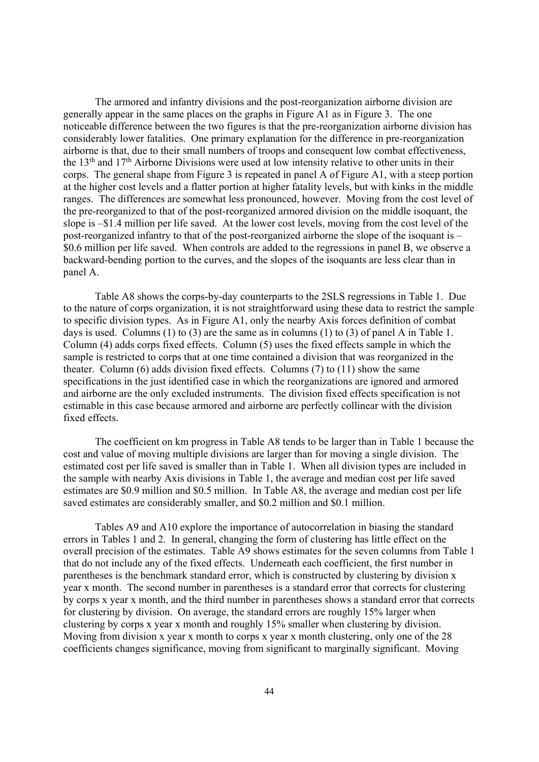The armored and infantry divisions and the post-reorganization airborne division are generally appear in the same places on the graphs in Figure A1 as in Figure 3. The one noticeable difference between the two figures is that the pre-reorganization airborne division has considerably lower fatalities. One primary explanation for the difference in pre-reorganization airborne is that, due to their small numbers of troops and consequent low combat effectiveness, the  $13<sup>th</sup>$  and  $17<sup>th</sup>$  Airborne Divisions were used at low intensity relative to other units in their corps. The general shape from Figure 3 is repeated in panel A of Figure A1, with a steep portion at the higher cost levels and a flatter portion at higher fatality levels, but with kinks in the middle ranges. The differences are somewhat less pronounced, however. Moving from the cost level of the pre-reorganized to that of the post-reorganized armored division on the middle isoquant, the slope is –\$1.4 million per life saved. At the lower cost levels, moving from the cost level of the post-reorganized infantry to that of the post-reorganized airborne the slope of the isoquant is – \$0.6 million per life saved. When controls are added to the regressions in panel B, we observe a backward-bending portion to the curves, and the slopes of the isoquants are less clear than in panel A.

Table A8 shows the corps-by-day counterparts to the 2SLS regressions in Table 1. Due to the nature of corps organization, it is not straightforward using these data to restrict the sample to specific division types. As in Figure A1, only the nearby Axis forces definition of combat days is used. Columns (1) to (3) are the same as in columns (1) to (3) of panel A in Table 1. Column (4) adds corps fixed effects. Column (5) uses the fixed effects sample in which the sample is restricted to corps that at one time contained a division that was reorganized in the theater. Column (6) adds division fixed effects. Columns (7) to (11) show the same specifications in the just identified case in which the reorganizations are ignored and armored and airborne are the only excluded instruments. The division fixed effects specification is not estimable in this case because armored and airborne are perfectly collinear with the division fixed effects.

 The coefficient on km progress in Table A8 tends to be larger than in Table 1 because the cost and value of moving multiple divisions are larger than for moving a single division. The estimated cost per life saved is smaller than in Table 1. When all division types are included in the sample with nearby Axis divisions in Table 1, the average and median cost per life saved estimates are \$0.9 million and \$0.5 million. In Table A8, the average and median cost per life saved estimates are considerably smaller, and \$0.2 million and \$0.1 million.

 Tables A9 and A10 explore the importance of autocorrelation in biasing the standard errors in Tables 1 and 2. In general, changing the form of clustering has little effect on the overall precision of the estimates. Table A9 shows estimates for the seven columns from Table 1 that do not include any of the fixed effects. Underneath each coefficient, the first number in parentheses is the benchmark standard error, which is constructed by clustering by division x year x month. The second number in parentheses is a standard error that corrects for clustering by corps x year x month, and the third number in parentheses shows a standard error that corrects for clustering by division. On average, the standard errors are roughly 15% larger when clustering by corps x year x month and roughly 15% smaller when clustering by division. Moving from division x year x month to corps x year x month clustering, only one of the 28 coefficients changes significance, moving from significant to marginally significant. Moving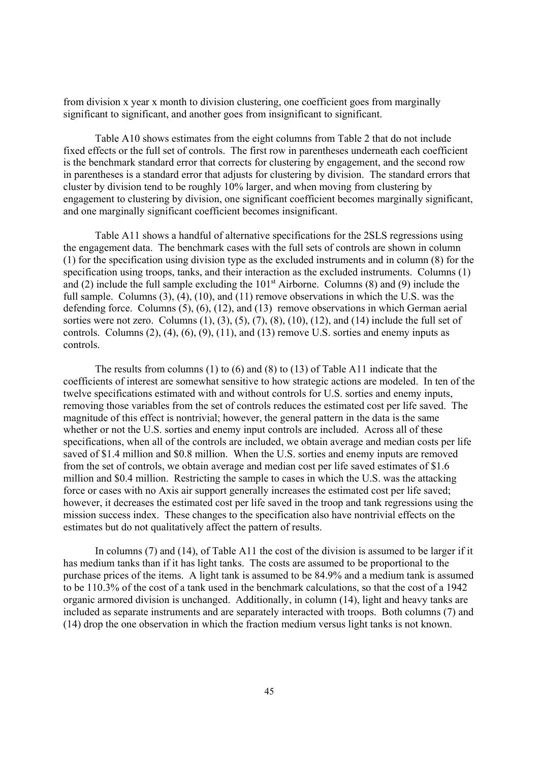from division x year x month to division clustering, one coefficient goes from marginally significant to significant, and another goes from insignificant to significant.

Table A10 shows estimates from the eight columns from Table 2 that do not include fixed effects or the full set of controls. The first row in parentheses underneath each coefficient is the benchmark standard error that corrects for clustering by engagement, and the second row in parentheses is a standard error that adjusts for clustering by division. The standard errors that cluster by division tend to be roughly 10% larger, and when moving from clustering by engagement to clustering by division, one significant coefficient becomes marginally significant, and one marginally significant coefficient becomes insignificant.

 Table A11 shows a handful of alternative specifications for the 2SLS regressions using the engagement data. The benchmark cases with the full sets of controls are shown in column (1) for the specification using division type as the excluded instruments and in column (8) for the specification using troops, tanks, and their interaction as the excluded instruments. Columns (1) and (2) include the full sample excluding the  $101<sup>st</sup>$  Airborne. Columns (8) and (9) include the full sample. Columns (3), (4), (10), and (11) remove observations in which the U.S. was the defending force. Columns (5), (6), (12), and (13) remove observations in which German aerial sorties were not zero. Columns  $(1)$ ,  $(3)$ ,  $(5)$ ,  $(7)$ ,  $(8)$ ,  $(10)$ ,  $(12)$ , and  $(14)$  include the full set of controls. Columns  $(2)$ ,  $(4)$ ,  $(6)$ ,  $(9)$ ,  $(11)$ , and  $(13)$  remove U.S. sorties and enemy inputs as controls.

 The results from columns (1) to (6) and (8) to (13) of Table A11 indicate that the coefficients of interest are somewhat sensitive to how strategic actions are modeled. In ten of the twelve specifications estimated with and without controls for U.S. sorties and enemy inputs, removing those variables from the set of controls reduces the estimated cost per life saved. The magnitude of this effect is nontrivial; however, the general pattern in the data is the same whether or not the U.S. sorties and enemy input controls are included. Across all of these specifications, when all of the controls are included, we obtain average and median costs per life saved of \$1.4 million and \$0.8 million. When the U.S. sorties and enemy inputs are removed from the set of controls, we obtain average and median cost per life saved estimates of \$1.6 million and \$0.4 million. Restricting the sample to cases in which the U.S. was the attacking force or cases with no Axis air support generally increases the estimated cost per life saved; however, it decreases the estimated cost per life saved in the troop and tank regressions using the mission success index. These changes to the specification also have nontrivial effects on the estimates but do not qualitatively affect the pattern of results.

In columns (7) and (14), of Table A11 the cost of the division is assumed to be larger if it has medium tanks than if it has light tanks. The costs are assumed to be proportional to the purchase prices of the items. A light tank is assumed to be 84.9% and a medium tank is assumed to be 110.3% of the cost of a tank used in the benchmark calculations, so that the cost of a 1942 organic armored division is unchanged. Additionally, in column (14), light and heavy tanks are included as separate instruments and are separately interacted with troops. Both columns (7) and (14) drop the one observation in which the fraction medium versus light tanks is not known.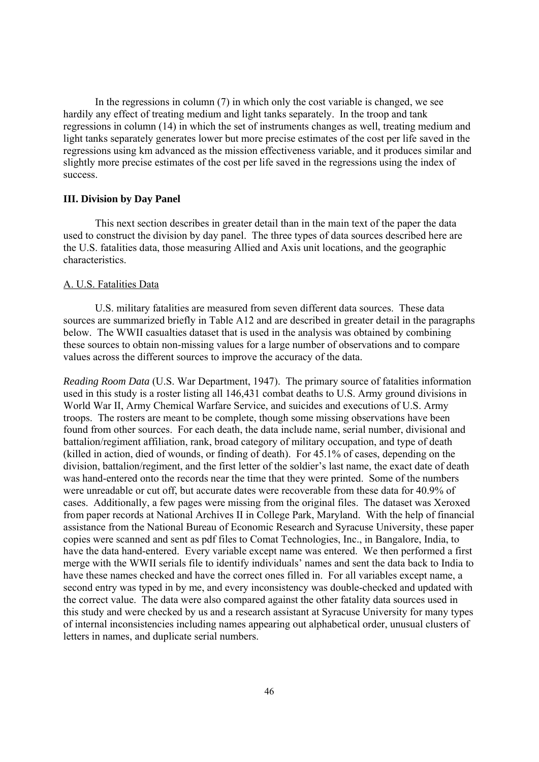In the regressions in column (7) in which only the cost variable is changed, we see hardily any effect of treating medium and light tanks separately. In the troop and tank regressions in column (14) in which the set of instruments changes as well, treating medium and light tanks separately generates lower but more precise estimates of the cost per life saved in the regressions using km advanced as the mission effectiveness variable, and it produces similar and slightly more precise estimates of the cost per life saved in the regressions using the index of success.

## **III. Division by Day Panel**

 This next section describes in greater detail than in the main text of the paper the data used to construct the division by day panel. The three types of data sources described here are the U.S. fatalities data, those measuring Allied and Axis unit locations, and the geographic characteristics.

# A. U.S. Fatalities Data

 U.S. military fatalities are measured from seven different data sources. These data sources are summarized briefly in Table A12 and are described in greater detail in the paragraphs below. The WWII casualties dataset that is used in the analysis was obtained by combining these sources to obtain non-missing values for a large number of observations and to compare values across the different sources to improve the accuracy of the data.

*Reading Room Data* (U.S. War Department, 1947). The primary source of fatalities information used in this study is a roster listing all 146,431 combat deaths to U.S. Army ground divisions in World War II, Army Chemical Warfare Service, and suicides and executions of U.S. Army troops. The rosters are meant to be complete, though some missing observations have been found from other sources. For each death, the data include name, serial number, divisional and battalion/regiment affiliation, rank, broad category of military occupation, and type of death (killed in action, died of wounds, or finding of death). For 45.1% of cases, depending on the division, battalion/regiment, and the first letter of the soldier's last name, the exact date of death was hand-entered onto the records near the time that they were printed. Some of the numbers were unreadable or cut off, but accurate dates were recoverable from these data for 40.9% of cases. Additionally, a few pages were missing from the original files. The dataset was Xeroxed from paper records at National Archives II in College Park, Maryland. With the help of financial assistance from the National Bureau of Economic Research and Syracuse University, these paper copies were scanned and sent as pdf files to Comat Technologies, Inc., in Bangalore, India, to have the data hand-entered. Every variable except name was entered. We then performed a first merge with the WWII serials file to identify individuals' names and sent the data back to India to have these names checked and have the correct ones filled in. For all variables except name, a second entry was typed in by me, and every inconsistency was double-checked and updated with the correct value. The data were also compared against the other fatality data sources used in this study and were checked by us and a research assistant at Syracuse University for many types of internal inconsistencies including names appearing out alphabetical order, unusual clusters of letters in names, and duplicate serial numbers.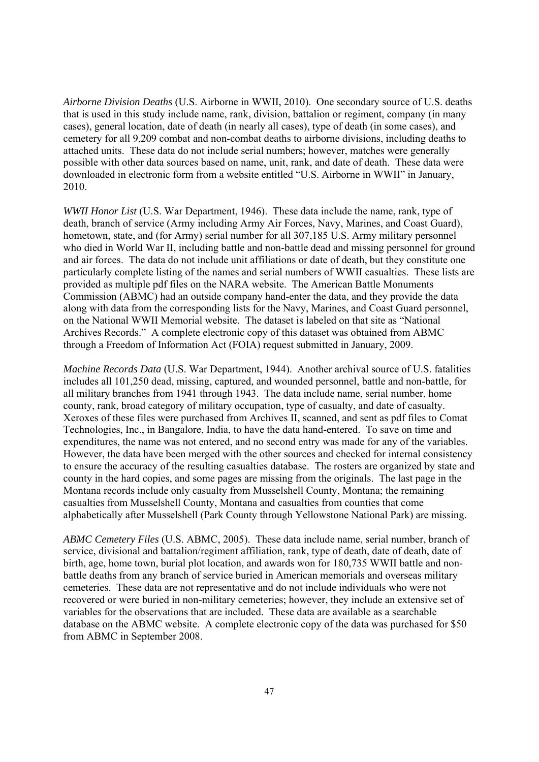*Airborne Division Deaths* (U.S. Airborne in WWII, 2010). One secondary source of U.S. deaths that is used in this study include name, rank, division, battalion or regiment, company (in many cases), general location, date of death (in nearly all cases), type of death (in some cases), and cemetery for all 9,209 combat and non-combat deaths to airborne divisions, including deaths to attached units. These data do not include serial numbers; however, matches were generally possible with other data sources based on name, unit, rank, and date of death. These data were downloaded in electronic form from a website entitled "U.S. Airborne in WWII" in January, 2010.

*WWII Honor List* (U.S. War Department, 1946). These data include the name, rank, type of death, branch of service (Army including Army Air Forces, Navy, Marines, and Coast Guard), hometown, state, and (for Army) serial number for all 307,185 U.S. Army military personnel who died in World War II, including battle and non-battle dead and missing personnel for ground and air forces. The data do not include unit affiliations or date of death, but they constitute one particularly complete listing of the names and serial numbers of WWII casualties. These lists are provided as multiple pdf files on the NARA website. The American Battle Monuments Commission (ABMC) had an outside company hand-enter the data, and they provide the data along with data from the corresponding lists for the Navy, Marines, and Coast Guard personnel, on the National WWII Memorial website. The dataset is labeled on that site as "National Archives Records." A complete electronic copy of this dataset was obtained from ABMC through a Freedom of Information Act (FOIA) request submitted in January, 2009.

*Machine Records Data* (U.S. War Department, 1944). Another archival source of U.S. fatalities includes all 101,250 dead, missing, captured, and wounded personnel, battle and non-battle, for all military branches from 1941 through 1943. The data include name, serial number, home county, rank, broad category of military occupation, type of casualty, and date of casualty. Xeroxes of these files were purchased from Archives II, scanned, and sent as pdf files to Comat Technologies, Inc., in Bangalore, India, to have the data hand-entered. To save on time and expenditures, the name was not entered, and no second entry was made for any of the variables. However, the data have been merged with the other sources and checked for internal consistency to ensure the accuracy of the resulting casualties database. The rosters are organized by state and county in the hard copies, and some pages are missing from the originals. The last page in the Montana records include only casualty from Musselshell County, Montana; the remaining casualties from Musselshell County, Montana and casualties from counties that come alphabetically after Musselshell (Park County through Yellowstone National Park) are missing.

*ABMC Cemetery Files* (U.S. ABMC, 2005). These data include name, serial number, branch of service, divisional and battalion/regiment affiliation, rank, type of death, date of death, date of birth, age, home town, burial plot location, and awards won for 180,735 WWII battle and nonbattle deaths from any branch of service buried in American memorials and overseas military cemeteries. These data are not representative and do not include individuals who were not recovered or were buried in non-military cemeteries; however, they include an extensive set of variables for the observations that are included. These data are available as a searchable database on the ABMC website. A complete electronic copy of the data was purchased for \$50 from ABMC in September 2008.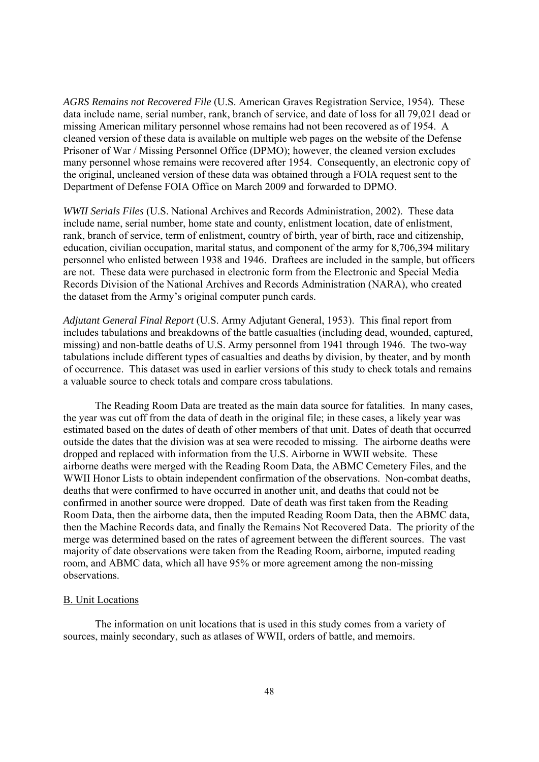*AGRS Remains not Recovered File* (U.S. American Graves Registration Service, 1954). These data include name, serial number, rank, branch of service, and date of loss for all 79,021 dead or missing American military personnel whose remains had not been recovered as of 1954. A cleaned version of these data is available on multiple web pages on the website of the Defense Prisoner of War / Missing Personnel Office (DPMO); however, the cleaned version excludes many personnel whose remains were recovered after 1954. Consequently, an electronic copy of the original, uncleaned version of these data was obtained through a FOIA request sent to the Department of Defense FOIA Office on March 2009 and forwarded to DPMO.

*WWII Serials Files* (U.S. National Archives and Records Administration, 2002). These data include name, serial number, home state and county, enlistment location, date of enlistment, rank, branch of service, term of enlistment, country of birth, year of birth, race and citizenship, education, civilian occupation, marital status, and component of the army for 8,706,394 military personnel who enlisted between 1938 and 1946. Draftees are included in the sample, but officers are not. These data were purchased in electronic form from the Electronic and Special Media Records Division of the National Archives and Records Administration (NARA), who created the dataset from the Army's original computer punch cards.

*Adjutant General Final Report* (U.S. Army Adjutant General, 1953). This final report from includes tabulations and breakdowns of the battle casualties (including dead, wounded, captured, missing) and non-battle deaths of U.S. Army personnel from 1941 through 1946. The two-way tabulations include different types of casualties and deaths by division, by theater, and by month of occurrence. This dataset was used in earlier versions of this study to check totals and remains a valuable source to check totals and compare cross tabulations.

 The Reading Room Data are treated as the main data source for fatalities. In many cases, the year was cut off from the data of death in the original file; in these cases, a likely year was estimated based on the dates of death of other members of that unit. Dates of death that occurred outside the dates that the division was at sea were recoded to missing. The airborne deaths were dropped and replaced with information from the U.S. Airborne in WWII website. These airborne deaths were merged with the Reading Room Data, the ABMC Cemetery Files, and the WWII Honor Lists to obtain independent confirmation of the observations. Non-combat deaths, deaths that were confirmed to have occurred in another unit, and deaths that could not be confirmed in another source were dropped. Date of death was first taken from the Reading Room Data, then the airborne data, then the imputed Reading Room Data, then the ABMC data, then the Machine Records data, and finally the Remains Not Recovered Data. The priority of the merge was determined based on the rates of agreement between the different sources. The vast majority of date observations were taken from the Reading Room, airborne, imputed reading room, and ABMC data, which all have 95% or more agreement among the non-missing observations.

### B. Unit Locations

The information on unit locations that is used in this study comes from a variety of sources, mainly secondary, such as atlases of WWII, orders of battle, and memoirs.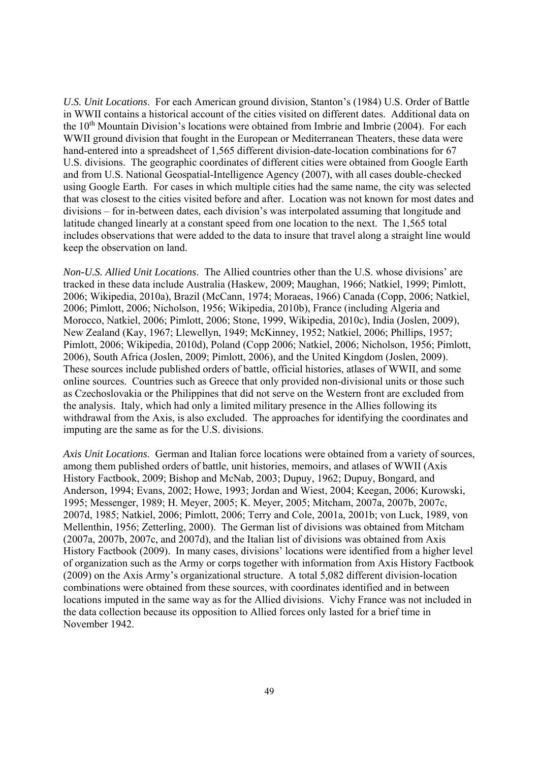*U.S. Unit Locations*. For each American ground division, Stanton's (1984) U.S. Order of Battle in WWII contains a historical account of the cities visited on different dates. Additional data on the  $10<sup>th</sup>$  Mountain Division's locations were obtained from Imbrie and Imbrie (2004). For each WWII ground division that fought in the European or Mediterranean Theaters, these data were hand-entered into a spreadsheet of 1,565 different division-date-location combinations for 67 U.S. divisions. The geographic coordinates of different cities were obtained from Google Earth and from U.S. National Geospatial-Intelligence Agency (2007), with all cases double-checked using Google Earth. For cases in which multiple cities had the same name, the city was selected that was closest to the cities visited before and after. Location was not known for most dates and divisions – for in-between dates, each division's was interpolated assuming that longitude and latitude changed linearly at a constant speed from one location to the next. The 1,565 total includes observations that were added to the data to insure that travel along a straight line would keep the observation on land.

*Non-U.S. Allied Unit Locations*. The Allied countries other than the U.S. whose divisions' are tracked in these data include Australia (Haskew, 2009; Maughan, 1966; Natkiel, 1999; Pimlott, 2006; Wikipedia, 2010a), Brazil (McCann, 1974; Moraeas, 1966) Canada (Copp, 2006; Natkiel, 2006; Pimlott, 2006; Nicholson, 1956; Wikipedia, 2010b), France (including Algeria and Morocco, Natkiel, 2006; Pimlott, 2006; Stone, 1999, Wikipedia, 2010c), India (Joslen, 2009), New Zealand (Kay, 1967; Llewellyn, 1949; McKinney, 1952; Natkiel, 2006; Phillips, 1957; Pimlott, 2006; Wikipedia, 2010d), Poland (Copp 2006; Natkiel, 2006; Nicholson, 1956; Pimlott, 2006), South Africa (Joslen, 2009; Pimlott, 2006), and the United Kingdom (Joslen, 2009). These sources include published orders of battle, official histories, atlases of WWII, and some online sources. Countries such as Greece that only provided non-divisional units or those such as Czechoslovakia or the Philippines that did not serve on the Western front are excluded from the analysis. Italy, which had only a limited military presence in the Allies following its withdrawal from the Axis, is also excluded. The approaches for identifying the coordinates and imputing are the same as for the U.S. divisions.

*Axis Unit Locations*. German and Italian force locations were obtained from a variety of sources, among them published orders of battle, unit histories, memoirs, and atlases of WWII (Axis History Factbook, 2009; Bishop and McNab, 2003; Dupuy, 1962; Dupuy, Bongard, and Anderson, 1994; Evans, 2002; Howe, 1993; Jordan and Wiest, 2004; Keegan, 2006; Kurowski, 1995; Messenger, 1989; H. Meyer, 2005; K. Meyer, 2005; Mitcham, 2007a, 2007b, 2007c, 2007d, 1985; Natkiel, 2006; Pimlott, 2006; Terry and Cole, 2001a, 2001b; von Luck, 1989, von Mellenthin, 1956; Zetterling, 2000). The German list of divisions was obtained from Mitcham (2007a, 2007b, 2007c, and 2007d), and the Italian list of divisions was obtained from Axis History Factbook (2009). In many cases, divisions' locations were identified from a higher level of organization such as the Army or corps together with information from Axis History Factbook (2009) on the Axis Army's organizational structure. A total 5,082 different division-location combinations were obtained from these sources, with coordinates identified and in between locations imputed in the same way as for the Allied divisions. Vichy France was not included in the data collection because its opposition to Allied forces only lasted for a brief time in November 1942.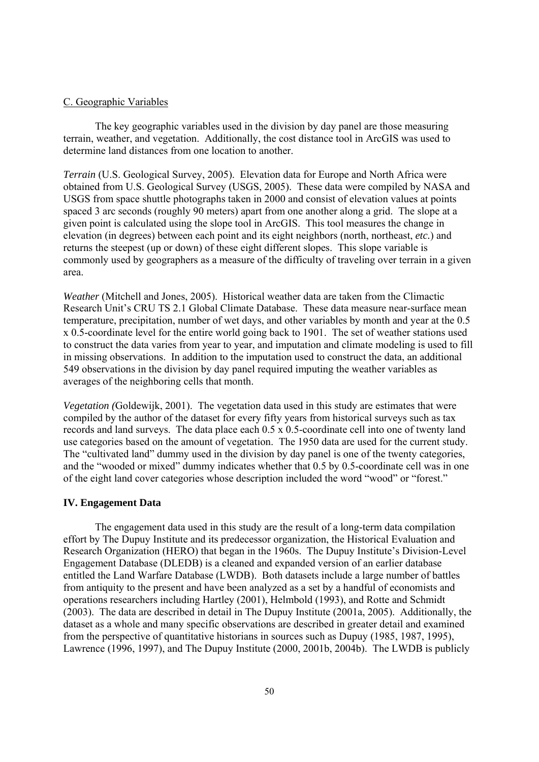### C. Geographic Variables

 The key geographic variables used in the division by day panel are those measuring terrain, weather, and vegetation. Additionally, the cost distance tool in ArcGIS was used to determine land distances from one location to another.

*Terrain* (U.S. Geological Survey, 2005). Elevation data for Europe and North Africa were obtained from U.S. Geological Survey (USGS, 2005). These data were compiled by NASA and USGS from space shuttle photographs taken in 2000 and consist of elevation values at points spaced 3 arc seconds (roughly 90 meters) apart from one another along a grid. The slope at a given point is calculated using the slope tool in ArcGIS. This tool measures the change in elevation (in degrees) between each point and its eight neighbors (north, northeast, *etc.*) and returns the steepest (up or down) of these eight different slopes. This slope variable is commonly used by geographers as a measure of the difficulty of traveling over terrain in a given area.

*Weather* (Mitchell and Jones, 2005). Historical weather data are taken from the Climactic Research Unit's CRU TS 2.1 Global Climate Database. These data measure near-surface mean temperature, precipitation, number of wet days, and other variables by month and year at the 0.5 x 0.5-coordinate level for the entire world going back to 1901. The set of weather stations used to construct the data varies from year to year, and imputation and climate modeling is used to fill in missing observations. In addition to the imputation used to construct the data, an additional 549 observations in the division by day panel required imputing the weather variables as averages of the neighboring cells that month.

*Vegetation (*Goldewijk, 2001). The vegetation data used in this study are estimates that were compiled by the author of the dataset for every fifty years from historical surveys such as tax records and land surveys. The data place each 0.5 x 0.5-coordinate cell into one of twenty land use categories based on the amount of vegetation. The 1950 data are used for the current study. The "cultivated land" dummy used in the division by day panel is one of the twenty categories, and the "wooded or mixed" dummy indicates whether that 0.5 by 0.5-coordinate cell was in one of the eight land cover categories whose description included the word "wood" or "forest."

### **IV. Engagement Data**

 The engagement data used in this study are the result of a long-term data compilation effort by The Dupuy Institute and its predecessor organization, the Historical Evaluation and Research Organization (HERO) that began in the 1960s. The Dupuy Institute's Division-Level Engagement Database (DLEDB) is a cleaned and expanded version of an earlier database entitled the Land Warfare Database (LWDB). Both datasets include a large number of battles from antiquity to the present and have been analyzed as a set by a handful of economists and operations researchers including Hartley (2001), Helmbold (1993), and Rotte and Schmidt (2003). The data are described in detail in The Dupuy Institute (2001a, 2005). Additionally, the dataset as a whole and many specific observations are described in greater detail and examined from the perspective of quantitative historians in sources such as Dupuy (1985, 1987, 1995), Lawrence (1996, 1997), and The Dupuy Institute (2000, 2001b, 2004b). The LWDB is publicly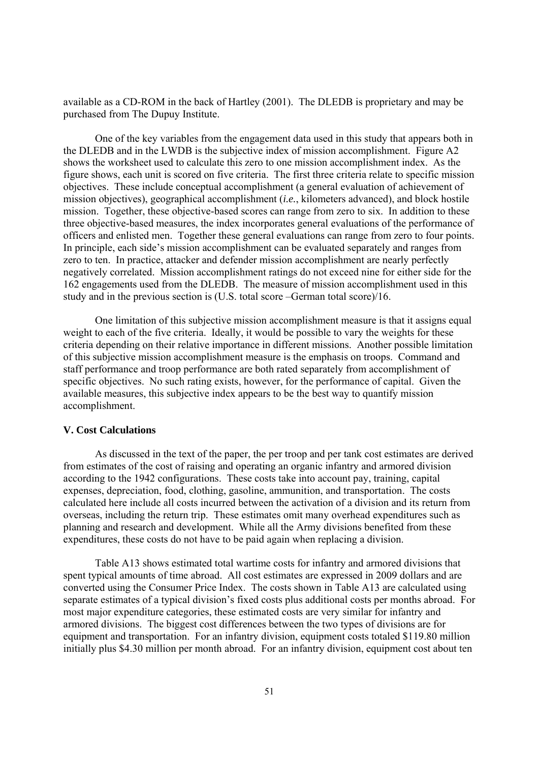available as a CD-ROM in the back of Hartley (2001). The DLEDB is proprietary and may be purchased from The Dupuy Institute.

 One of the key variables from the engagement data used in this study that appears both in the DLEDB and in the LWDB is the subjective index of mission accomplishment. Figure A2 shows the worksheet used to calculate this zero to one mission accomplishment index. As the figure shows, each unit is scored on five criteria. The first three criteria relate to specific mission objectives. These include conceptual accomplishment (a general evaluation of achievement of mission objectives), geographical accomplishment (*i.e.*, kilometers advanced), and block hostile mission. Together, these objective-based scores can range from zero to six. In addition to these three objective-based measures, the index incorporates general evaluations of the performance of officers and enlisted men. Together these general evaluations can range from zero to four points. In principle, each side's mission accomplishment can be evaluated separately and ranges from zero to ten. In practice, attacker and defender mission accomplishment are nearly perfectly negatively correlated. Mission accomplishment ratings do not exceed nine for either side for the 162 engagements used from the DLEDB. The measure of mission accomplishment used in this study and in the previous section is (U.S. total score –German total score)/16.

One limitation of this subjective mission accomplishment measure is that it assigns equal weight to each of the five criteria. Ideally, it would be possible to vary the weights for these criteria depending on their relative importance in different missions. Another possible limitation of this subjective mission accomplishment measure is the emphasis on troops. Command and staff performance and troop performance are both rated separately from accomplishment of specific objectives. No such rating exists, however, for the performance of capital. Given the available measures, this subjective index appears to be the best way to quantify mission accomplishment.

# **V. Cost Calculations**

As discussed in the text of the paper, the per troop and per tank cost estimates are derived from estimates of the cost of raising and operating an organic infantry and armored division according to the 1942 configurations. These costs take into account pay, training, capital expenses, depreciation, food, clothing, gasoline, ammunition, and transportation. The costs calculated here include all costs incurred between the activation of a division and its return from overseas, including the return trip. These estimates omit many overhead expenditures such as planning and research and development. While all the Army divisions benefited from these expenditures, these costs do not have to be paid again when replacing a division.

Table A13 shows estimated total wartime costs for infantry and armored divisions that spent typical amounts of time abroad. All cost estimates are expressed in 2009 dollars and are converted using the Consumer Price Index. The costs shown in Table A13 are calculated using separate estimates of a typical division's fixed costs plus additional costs per months abroad. For most major expenditure categories, these estimated costs are very similar for infantry and armored divisions. The biggest cost differences between the two types of divisions are for equipment and transportation. For an infantry division, equipment costs totaled \$119.80 million initially plus \$4.30 million per month abroad. For an infantry division, equipment cost about ten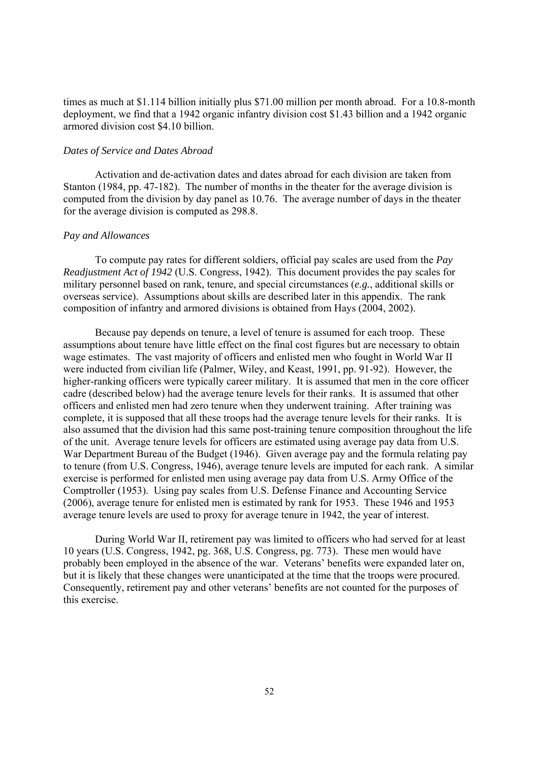times as much at \$1.114 billion initially plus \$71.00 million per month abroad. For a 10.8-month deployment, we find that a 1942 organic infantry division cost \$1.43 billion and a 1942 organic armored division cost \$4.10 billion.

#### *Dates of Service and Dates Abroad*

Activation and de-activation dates and dates abroad for each division are taken from Stanton (1984, pp. 47-182). The number of months in the theater for the average division is computed from the division by day panel as 10.76. The average number of days in the theater for the average division is computed as 298.8.

# *Pay and Allowances*

 To compute pay rates for different soldiers, official pay scales are used from the *Pay Readjustment Act of 1942* (U.S. Congress, 1942). This document provides the pay scales for military personnel based on rank, tenure, and special circumstances (*e.g.*, additional skills or overseas service). Assumptions about skills are described later in this appendix. The rank composition of infantry and armored divisions is obtained from Hays (2004, 2002).

 Because pay depends on tenure, a level of tenure is assumed for each troop. These assumptions about tenure have little effect on the final cost figures but are necessary to obtain wage estimates. The vast majority of officers and enlisted men who fought in World War II were inducted from civilian life (Palmer, Wiley, and Keast, 1991, pp. 91-92). However, the higher-ranking officers were typically career military. It is assumed that men in the core officer cadre (described below) had the average tenure levels for their ranks. It is assumed that other officers and enlisted men had zero tenure when they underwent training. After training was complete, it is supposed that all these troops had the average tenure levels for their ranks. It is also assumed that the division had this same post-training tenure composition throughout the life of the unit. Average tenure levels for officers are estimated using average pay data from U.S. War Department Bureau of the Budget (1946). Given average pay and the formula relating pay to tenure (from U.S. Congress, 1946), average tenure levels are imputed for each rank. A similar exercise is performed for enlisted men using average pay data from U.S. Army Office of the Comptroller (1953). Using pay scales from U.S. Defense Finance and Accounting Service (2006), average tenure for enlisted men is estimated by rank for 1953. These 1946 and 1953 average tenure levels are used to proxy for average tenure in 1942, the year of interest.

 During World War II, retirement pay was limited to officers who had served for at least 10 years (U.S. Congress, 1942, pg. 368, U.S. Congress, pg. 773). These men would have probably been employed in the absence of the war. Veterans' benefits were expanded later on, but it is likely that these changes were unanticipated at the time that the troops were procured. Consequently, retirement pay and other veterans' benefits are not counted for the purposes of this exercise.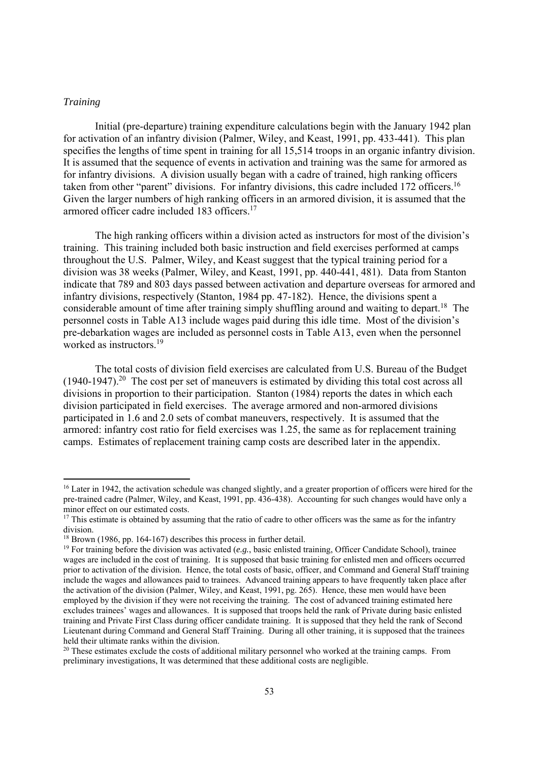### *Training*

Initial (pre-departure) training expenditure calculations begin with the January 1942 plan for activation of an infantry division (Palmer, Wiley, and Keast, 1991, pp. 433-441). This plan specifies the lengths of time spent in training for all 15,514 troops in an organic infantry division. It is assumed that the sequence of events in activation and training was the same for armored as for infantry divisions. A division usually began with a cadre of trained, high ranking officers taken from other "parent" divisions. For infantry divisions, this cadre included 172 officers.16 Given the larger numbers of high ranking officers in an armored division, it is assumed that the armored officer cadre included 183 officers.17

The high ranking officers within a division acted as instructors for most of the division's training. This training included both basic instruction and field exercises performed at camps throughout the U.S. Palmer, Wiley, and Keast suggest that the typical training period for a division was 38 weeks (Palmer, Wiley, and Keast, 1991, pp. 440-441, 481). Data from Stanton indicate that 789 and 803 days passed between activation and departure overseas for armored and infantry divisions, respectively (Stanton, 1984 pp. 47-182). Hence, the divisions spent a considerable amount of time after training simply shuffling around and waiting to depart.<sup>18</sup> The personnel costs in Table A13 include wages paid during this idle time. Most of the division's pre-debarkation wages are included as personnel costs in Table A13, even when the personnel worked as instructors  $19$ 

The total costs of division field exercises are calculated from U.S. Bureau of the Budget  $(1940-1947)$ <sup>20</sup>. The cost per set of maneuvers is estimated by dividing this total cost across all divisions in proportion to their participation. Stanton (1984) reports the dates in which each division participated in field exercises. The average armored and non-armored divisions participated in 1.6 and 2.0 sets of combat maneuvers, respectively. It is assumed that the armored: infantry cost ratio for field exercises was 1.25, the same as for replacement training camps. Estimates of replacement training camp costs are described later in the appendix.

<sup>&</sup>lt;sup>16</sup> Later in 1942, the activation schedule was changed slightly, and a greater proportion of officers were hired for the pre-trained cadre (Palmer, Wiley, and Keast, 1991, pp. 436-438). Accounting for such changes would have only a minor effect on our estimated costs.

<sup>&</sup>lt;sup>17</sup> This estimate is obtained by assuming that the ratio of cadre to other officers was the same as for the infantry division.

<sup>&</sup>lt;sup>18</sup> Brown (1986, pp. 164-167) describes this process in further detail.

<sup>&</sup>lt;sup>19</sup> For training before the division was activated (*e.g.*, basic enlisted training, Officer Candidate School), trainee wages are included in the cost of training. It is supposed that basic training for enlisted men and officers occurred prior to activation of the division. Hence, the total costs of basic, officer, and Command and General Staff training include the wages and allowances paid to trainees. Advanced training appears to have frequently taken place after the activation of the division (Palmer, Wiley, and Keast, 1991, pg. 265). Hence, these men would have been employed by the division if they were not receiving the training. The cost of advanced training estimated here excludes trainees' wages and allowances. It is supposed that troops held the rank of Private during basic enlisted training and Private First Class during officer candidate training. It is supposed that they held the rank of Second Lieutenant during Command and General Staff Training. During all other training, it is supposed that the trainees held their ultimate ranks within the division.

<sup>&</sup>lt;sup>20</sup> These estimates exclude the costs of additional military personnel who worked at the training camps. From preliminary investigations, It was determined that these additional costs are negligible.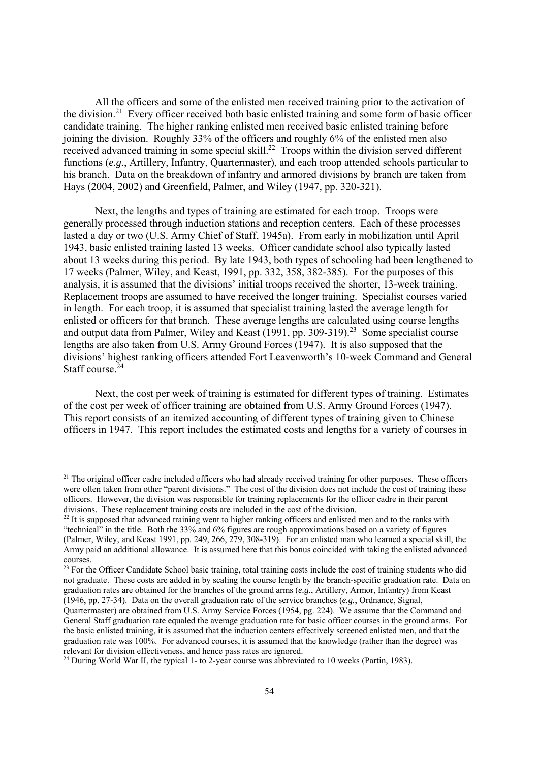All the officers and some of the enlisted men received training prior to the activation of the division.21 Every officer received both basic enlisted training and some form of basic officer candidate training. The higher ranking enlisted men received basic enlisted training before joining the division. Roughly 33% of the officers and roughly 6% of the enlisted men also received advanced training in some special skill.<sup>22</sup> Troops within the division served different functions (*e.g.*, Artillery, Infantry, Quartermaster), and each troop attended schools particular to his branch. Data on the breakdown of infantry and armored divisions by branch are taken from Hays (2004, 2002) and Greenfield, Palmer, and Wiley (1947, pp. 320-321).

 Next, the lengths and types of training are estimated for each troop. Troops were generally processed through induction stations and reception centers. Each of these processes lasted a day or two (U.S. Army Chief of Staff, 1945a). From early in mobilization until April 1943, basic enlisted training lasted 13 weeks. Officer candidate school also typically lasted about 13 weeks during this period. By late 1943, both types of schooling had been lengthened to 17 weeks (Palmer, Wiley, and Keast, 1991, pp. 332, 358, 382-385). For the purposes of this analysis, it is assumed that the divisions' initial troops received the shorter, 13-week training. Replacement troops are assumed to have received the longer training. Specialist courses varied in length. For each troop, it is assumed that specialist training lasted the average length for enlisted or officers for that branch. These average lengths are calculated using course lengths and output data from Palmer, Wiley and Keast  $(1991, pp. 309-319).^{23}$  Some specialist course lengths are also taken from U.S. Army Ground Forces (1947). It is also supposed that the divisions' highest ranking officers attended Fort Leavenworth's 10-week Command and General Staff course.<sup>24</sup>

 Next, the cost per week of training is estimated for different types of training. Estimates of the cost per week of officer training are obtained from U.S. Army Ground Forces (1947). This report consists of an itemized accounting of different types of training given to Chinese officers in 1947. This report includes the estimated costs and lengths for a variety of courses in

<sup>&</sup>lt;sup>21</sup> The original officer cadre included officers who had already received training for other purposes. These officers were often taken from other "parent divisions." The cost of the division does not include the cost of training these officers. However, the division was responsible for training replacements for the officer cadre in their parent divisions. These replacement training costs are included in the cost of the division.

<sup>&</sup>lt;sup>22</sup> It is supposed that advanced training went to higher ranking officers and enlisted men and to the ranks with "technical" in the title. Both the 33% and 6% figures are rough approximations based on a variety of figures (Palmer, Wiley, and Keast 1991, pp. 249, 266, 279, 308-319). For an enlisted man who learned a special skill, the Army paid an additional allowance. It is assumed here that this bonus coincided with taking the enlisted advanced courses.

 $23$  For the Officer Candidate School basic training, total training costs include the cost of training students who did not graduate. These costs are added in by scaling the course length by the branch-specific graduation rate. Data on graduation rates are obtained for the branches of the ground arms (*e.g.*, Artillery, Armor, Infantry) from Keast (1946, pp. 27-34). Data on the overall graduation rate of the service branches (*e.g.*, Ordnance, Signal,

Quartermaster) are obtained from U.S. Army Service Forces (1954, pg. 224). We assume that the Command and General Staff graduation rate equaled the average graduation rate for basic officer courses in the ground arms. For the basic enlisted training, it is assumed that the induction centers effectively screened enlisted men, and that the graduation rate was 100%. For advanced courses, it is assumed that the knowledge (rather than the degree) was relevant for division effectiveness, and hence pass rates are ignored.

<sup>&</sup>lt;sup>24</sup> During World War II, the typical 1- to 2-year course was abbreviated to 10 weeks (Partin, 1983).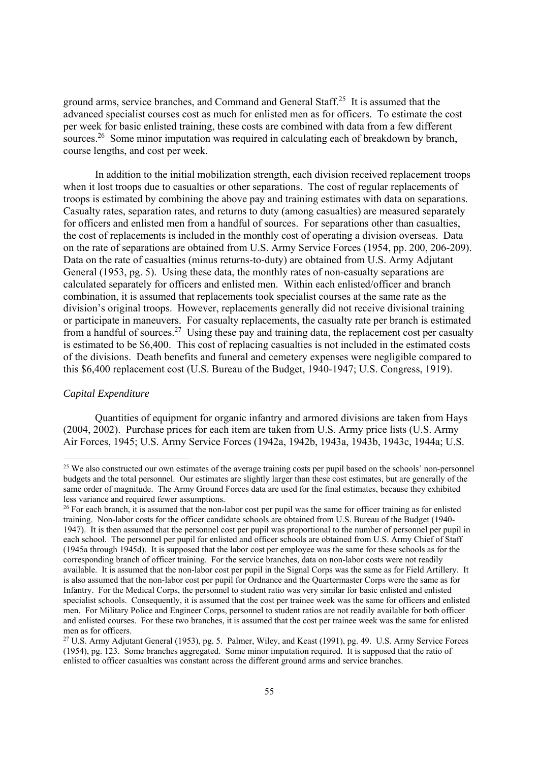ground arms, service branches, and Command and General Staff.25 It is assumed that the advanced specialist courses cost as much for enlisted men as for officers. To estimate the cost per week for basic enlisted training, these costs are combined with data from a few different sources.<sup>26</sup> Some minor imputation was required in calculating each of breakdown by branch, course lengths, and cost per week.

 In addition to the initial mobilization strength, each division received replacement troops when it lost troops due to casualties or other separations. The cost of regular replacements of troops is estimated by combining the above pay and training estimates with data on separations. Casualty rates, separation rates, and returns to duty (among casualties) are measured separately for officers and enlisted men from a handful of sources. For separations other than casualties, the cost of replacements is included in the monthly cost of operating a division overseas. Data on the rate of separations are obtained from U.S. Army Service Forces (1954, pp. 200, 206-209). Data on the rate of casualties (minus returns-to-duty) are obtained from U.S. Army Adjutant General (1953, pg. 5). Using these data, the monthly rates of non-casualty separations are calculated separately for officers and enlisted men. Within each enlisted/officer and branch combination, it is assumed that replacements took specialist courses at the same rate as the division's original troops. However, replacements generally did not receive divisional training or participate in maneuvers. For casualty replacements, the casualty rate per branch is estimated from a handful of sources.<sup>27</sup> Using these pay and training data, the replacement cost per casualty is estimated to be \$6,400. This cost of replacing casualties is not included in the estimated costs of the divisions. Death benefits and funeral and cemetery expenses were negligible compared to this \$6,400 replacement cost (U.S. Bureau of the Budget, 1940-1947; U.S. Congress, 1919).

# *Capital Expenditure*

 Quantities of equipment for organic infantry and armored divisions are taken from Hays (2004, 2002). Purchase prices for each item are taken from U.S. Army price lists (U.S. Army Air Forces, 1945; U.S. Army Service Forces (1942a, 1942b, 1943a, 1943b, 1943c, 1944a; U.S.

<sup>&</sup>lt;sup>25</sup> We also constructed our own estimates of the average training costs per pupil based on the schools' non-personnel budgets and the total personnel. Our estimates are slightly larger than these cost estimates, but are generally of the same order of magnitude. The Army Ground Forces data are used for the final estimates, because they exhibited less variance and required fewer assumptions.

<sup>&</sup>lt;sup>26</sup> For each branch, it is assumed that the non-labor cost per pupil was the same for officer training as for enlisted training. Non-labor costs for the officer candidate schools are obtained from U.S. Bureau of the Budget (1940- 1947). It is then assumed that the personnel cost per pupil was proportional to the number of personnel per pupil in each school. The personnel per pupil for enlisted and officer schools are obtained from U.S. Army Chief of Staff (1945a through 1945d). It is supposed that the labor cost per employee was the same for these schools as for the corresponding branch of officer training. For the service branches, data on non-labor costs were not readily available. It is assumed that the non-labor cost per pupil in the Signal Corps was the same as for Field Artillery. It is also assumed that the non-labor cost per pupil for Ordnance and the Quartermaster Corps were the same as for Infantry. For the Medical Corps, the personnel to student ratio was very similar for basic enlisted and enlisted specialist schools. Consequently, it is assumed that the cost per trainee week was the same for officers and enlisted men. For Military Police and Engineer Corps, personnel to student ratios are not readily available for both officer and enlisted courses. For these two branches, it is assumed that the cost per trainee week was the same for enlisted men as for officers.

<sup>&</sup>lt;sup>27</sup> U.S. Army Adjutant General (1953), pg. 5. Palmer, Wiley, and Keast (1991), pg. 49. U.S. Army Service Forces (1954), pg. 123. Some branches aggregated. Some minor imputation required. It is supposed that the ratio of enlisted to officer casualties was constant across the different ground arms and service branches.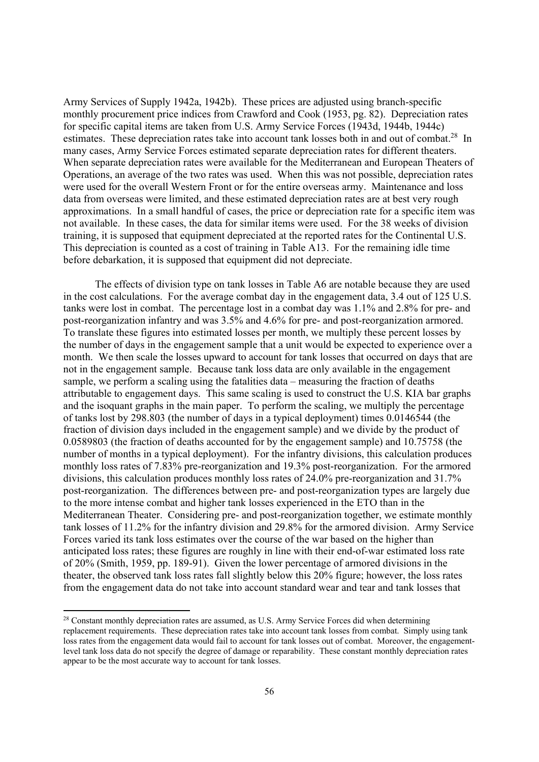Army Services of Supply 1942a, 1942b). These prices are adjusted using branch-specific monthly procurement price indices from Crawford and Cook (1953, pg. 82). Depreciation rates for specific capital items are taken from U.S. Army Service Forces (1943d, 1944b, 1944c) estimates. These depreciation rates take into account tank losses both in and out of combat.<sup>28</sup> In many cases, Army Service Forces estimated separate depreciation rates for different theaters. When separate depreciation rates were available for the Mediterranean and European Theaters of Operations, an average of the two rates was used. When this was not possible, depreciation rates were used for the overall Western Front or for the entire overseas army. Maintenance and loss data from overseas were limited, and these estimated depreciation rates are at best very rough approximations. In a small handful of cases, the price or depreciation rate for a specific item was not available. In these cases, the data for similar items were used. For the 38 weeks of division training, it is supposed that equipment depreciated at the reported rates for the Continental U.S. This depreciation is counted as a cost of training in Table A13. For the remaining idle time before debarkation, it is supposed that equipment did not depreciate.

 The effects of division type on tank losses in Table A6 are notable because they are used in the cost calculations. For the average combat day in the engagement data, 3.4 out of 125 U.S. tanks were lost in combat. The percentage lost in a combat day was 1.1% and 2.8% for pre- and post-reorganization infantry and was 3.5% and 4.6% for pre- and post-reorganization armored. To translate these figures into estimated losses per month, we multiply these percent losses by the number of days in the engagement sample that a unit would be expected to experience over a month. We then scale the losses upward to account for tank losses that occurred on days that are not in the engagement sample. Because tank loss data are only available in the engagement sample, we perform a scaling using the fatalities data – measuring the fraction of deaths attributable to engagement days. This same scaling is used to construct the U.S. KIA bar graphs and the isoquant graphs in the main paper. To perform the scaling, we multiply the percentage of tanks lost by 298.803 (the number of days in a typical deployment) times 0.0146544 (the fraction of division days included in the engagement sample) and we divide by the product of 0.0589803 (the fraction of deaths accounted for by the engagement sample) and 10.75758 (the number of months in a typical deployment). For the infantry divisions, this calculation produces monthly loss rates of 7.83% pre-reorganization and 19.3% post-reorganization. For the armored divisions, this calculation produces monthly loss rates of 24.0% pre-reorganization and 31.7% post-reorganization. The differences between pre- and post-reorganization types are largely due to the more intense combat and higher tank losses experienced in the ETO than in the Mediterranean Theater. Considering pre- and post-reorganization together, we estimate monthly tank losses of 11.2% for the infantry division and 29.8% for the armored division. Army Service Forces varied its tank loss estimates over the course of the war based on the higher than anticipated loss rates; these figures are roughly in line with their end-of-war estimated loss rate of 20% (Smith, 1959, pp. 189-91). Given the lower percentage of armored divisions in the theater, the observed tank loss rates fall slightly below this 20% figure; however, the loss rates from the engagement data do not take into account standard wear and tear and tank losses that

 $28$  Constant monthly depreciation rates are assumed, as U.S. Army Service Forces did when determining replacement requirements. These depreciation rates take into account tank losses from combat. Simply using tank loss rates from the engagement data would fail to account for tank losses out of combat. Moreover, the engagementlevel tank loss data do not specify the degree of damage or reparability. These constant monthly depreciation rates appear to be the most accurate way to account for tank losses.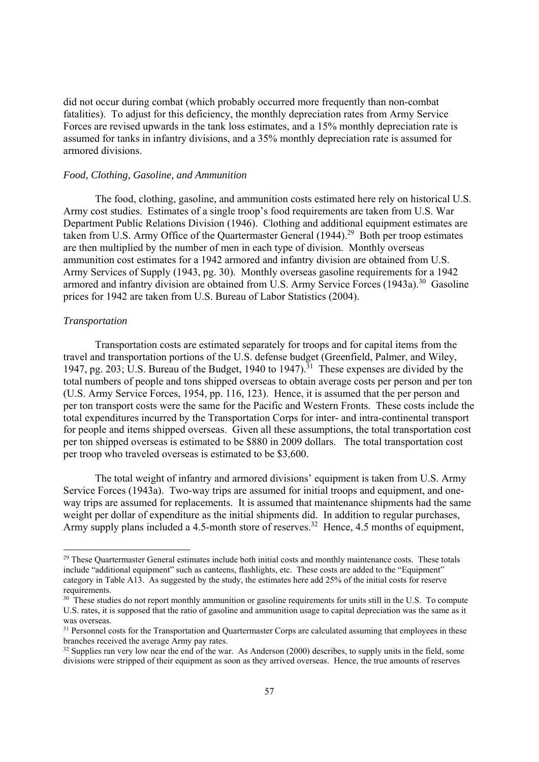did not occur during combat (which probably occurred more frequently than non-combat fatalities). To adjust for this deficiency, the monthly depreciation rates from Army Service Forces are revised upwards in the tank loss estimates, and a 15% monthly depreciation rate is assumed for tanks in infantry divisions, and a 35% monthly depreciation rate is assumed for armored divisions.

### *Food, Clothing, Gasoline, and Ammunition*

 The food, clothing, gasoline, and ammunition costs estimated here rely on historical U.S. Army cost studies. Estimates of a single troop's food requirements are taken from U.S. War Department Public Relations Division (1946). Clothing and additional equipment estimates are taken from U.S. Army Office of the Quartermaster General (1944).29 Both per troop estimates are then multiplied by the number of men in each type of division. Monthly overseas ammunition cost estimates for a 1942 armored and infantry division are obtained from U.S. Army Services of Supply (1943, pg. 30). Monthly overseas gasoline requirements for a 1942 armored and infantry division are obtained from U.S. Army Service Forces (1943a).<sup>30</sup> Gasoline prices for 1942 are taken from U.S. Bureau of Labor Statistics (2004).

# *Transportation*

 Transportation costs are estimated separately for troops and for capital items from the travel and transportation portions of the U.S. defense budget (Greenfield, Palmer, and Wiley, 1947, pg. 203; U.S. Bureau of the Budget, 1940 to 1947).<sup>31</sup> These expenses are divided by the total numbers of people and tons shipped overseas to obtain average costs per person and per ton (U.S. Army Service Forces, 1954, pp. 116, 123). Hence, it is assumed that the per person and per ton transport costs were the same for the Pacific and Western Fronts. These costs include the total expenditures incurred by the Transportation Corps for inter- and intra-continental transport for people and items shipped overseas. Given all these assumptions, the total transportation cost per ton shipped overseas is estimated to be \$880 in 2009 dollars. The total transportation cost per troop who traveled overseas is estimated to be \$3,600.

 The total weight of infantry and armored divisions' equipment is taken from U.S. Army Service Forces (1943a). Two-way trips are assumed for initial troops and equipment, and oneway trips are assumed for replacements. It is assumed that maintenance shipments had the same weight per dollar of expenditure as the initial shipments did. In addition to regular purchases, Army supply plans included a 4.5-month store of reserves.<sup>32</sup> Hence, 4.5 months of equipment,

<sup>&</sup>lt;sup>29</sup> These Quartermaster General estimates include both initial costs and monthly maintenance costs. These totals include "additional equipment" such as canteens, flashlights, etc. These costs are added to the "Equipment" category in Table A13. As suggested by the study, the estimates here add 25% of the initial costs for reserve requirements.

<sup>&</sup>lt;sup>30</sup> These studies do not report monthly ammunition or gasoline requirements for units still in the U.S. To compute U.S. rates, it is supposed that the ratio of gasoline and ammunition usage to capital depreciation was the same as it was overseas.

<sup>&</sup>lt;sup>31</sup> Personnel costs for the Transportation and Quartermaster Corps are calculated assuming that employees in these branches received the average Army pay rates.

 $32$  Supplies ran very low near the end of the war. As Anderson (2000) describes, to supply units in the field, some divisions were stripped of their equipment as soon as they arrived overseas. Hence, the true amounts of reserves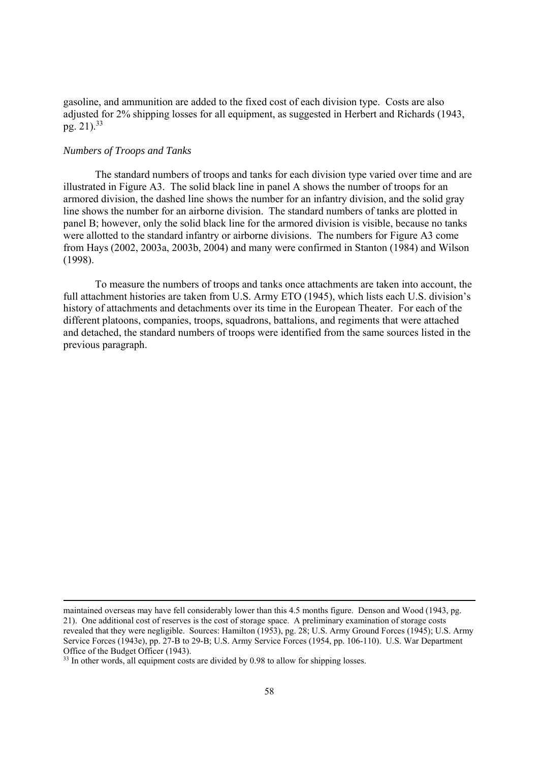gasoline, and ammunition are added to the fixed cost of each division type. Costs are also adjusted for 2% shipping losses for all equipment, as suggested in Herbert and Richards (1943,  $pe. 21$ ).  $33$ 

#### *Numbers of Troops and Tanks*

The standard numbers of troops and tanks for each division type varied over time and are illustrated in Figure A3. The solid black line in panel A shows the number of troops for an armored division, the dashed line shows the number for an infantry division, and the solid gray line shows the number for an airborne division. The standard numbers of tanks are plotted in panel B; however, only the solid black line for the armored division is visible, because no tanks were allotted to the standard infantry or airborne divisions. The numbers for Figure A3 come from Hays (2002, 2003a, 2003b, 2004) and many were confirmed in Stanton (1984) and Wilson (1998).

To measure the numbers of troops and tanks once attachments are taken into account, the full attachment histories are taken from U.S. Army ETO (1945), which lists each U.S. division's history of attachments and detachments over its time in the European Theater. For each of the different platoons, companies, troops, squadrons, battalions, and regiments that were attached and detached, the standard numbers of troops were identified from the same sources listed in the previous paragraph.

<u> 1989 - Johann Barbert Barbert Barbert Barbert Barbert Barbert Barbert Barbert Barbert Barbert Barbert Barbert</u>

maintained overseas may have fell considerably lower than this 4.5 months figure. Denson and Wood (1943, pg. 21). One additional cost of reserves is the cost of storage space. A preliminary examination of storage costs revealed that they were negligible. Sources: Hamilton (1953), pg. 28; U.S. Army Ground Forces (1945); U.S. Army Service Forces (1943e), pp. 27-B to 29-B; U.S. Army Service Forces (1954, pp. 106-110). U.S. War Department Office of the Budget Officer (1943).

<sup>&</sup>lt;sup>33</sup> In other words, all equipment costs are divided by 0.98 to allow for shipping losses.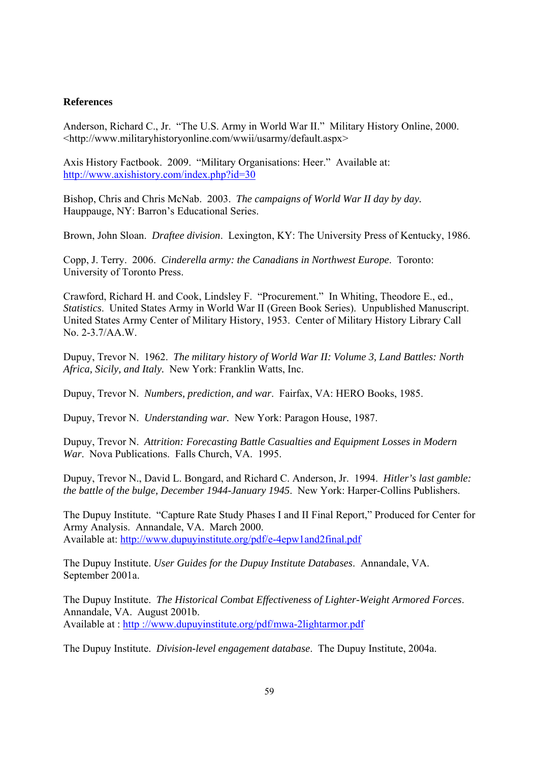## **References**

Anderson, Richard C., Jr. "The U.S. Army in World War II." Military History Online, 2000. <http://www.militaryhistoryonline.com/wwii/usarmy/default.aspx>

Axis History Factbook. 2009. "Military Organisations: Heer." Available at: http://www.axishistory.com/index.php?id=30

Bishop, Chris and Chris McNab. 2003. *The campaigns of World War II day by day.* Hauppauge, NY: Barron's Educational Series.

Brown, John Sloan. *Draftee division*. Lexington, KY: The University Press of Kentucky, 1986.

Copp, J. Terry. 2006. *Cinderella army: the Canadians in Northwest Europe*. Toronto: University of Toronto Press.

Crawford, Richard H. and Cook, Lindsley F. "Procurement." In Whiting, Theodore E., ed., *Statistics*. United States Army in World War II (Green Book Series). Unpublished Manuscript. United States Army Center of Military History, 1953. Center of Military History Library Call No. 2-3.7/AA.W.

Dupuy, Trevor N. 1962. *The military history of World War II: Volume 3, Land Battles: North Africa, Sicily, and Italy.* New York: Franklin Watts, Inc.

Dupuy, Trevor N. *Numbers, prediction, and war*. Fairfax, VA: HERO Books, 1985.

Dupuy, Trevor N. *Understanding war.* New York: Paragon House, 1987.

Dupuy, Trevor N. *Attrition: Forecasting Battle Casualties and Equipment Losses in Modern War*. Nova Publications. Falls Church, VA. 1995.

Dupuy, Trevor N., David L. Bongard, and Richard C. Anderson, Jr. 1994. *Hitler's last gamble: the battle of the bulge, December 1944-January 1945*. New York: Harper-Collins Publishers.

The Dupuy Institute. "Capture Rate Study Phases I and II Final Report," Produced for Center for Army Analysis. Annandale, VA. March 2000. Available at: http://www.dupuyinstitute.org/pdf/e-4epw1and2final.pdf

The Dupuy Institute. *User Guides for the Dupuy Institute Databases*. Annandale, VA. September 2001a.

The Dupuy Institute. *The Historical Combat Effectiveness of Lighter-Weight Armored Forces*. Annandale, VA. August 2001b. Available at : http ://www.dupuyinstitute.org/pdf/mwa-2lightarmor.pdf

The Dupuy Institute. *Division-level engagement database*. The Dupuy Institute, 2004a.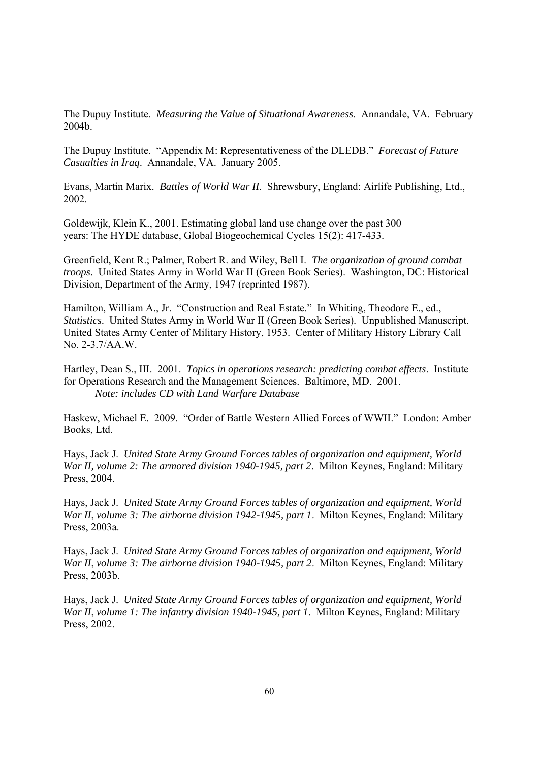The Dupuy Institute. *Measuring the Value of Situational Awareness*. Annandale, VA. February 2004b.

The Dupuy Institute. "Appendix M: Representativeness of the DLEDB." *Forecast of Future Casualties in Iraq*. Annandale, VA. January 2005.

Evans, Martin Marix. *Battles of World War II*. Shrewsbury, England: Airlife Publishing, Ltd., 2002.

Goldewijk, Klein K., 2001. Estimating global land use change over the past 300 years: The HYDE database, Global Biogeochemical Cycles 15(2): 417-433.

Greenfield, Kent R.; Palmer, Robert R. and Wiley, Bell I. *The organization of ground combat troops*. United States Army in World War II (Green Book Series). Washington, DC: Historical Division, Department of the Army, 1947 (reprinted 1987).

Hamilton, William A., Jr. "Construction and Real Estate." In Whiting, Theodore E., ed., *Statistics*. United States Army in World War II (Green Book Series). Unpublished Manuscript. United States Army Center of Military History, 1953. Center of Military History Library Call No. 2-3.7/AA.W.

Hartley, Dean S., III. 2001. *Topics in operations research: predicting combat effects*. Institute for Operations Research and the Management Sciences. Baltimore, MD. 2001.  *Note: includes CD with Land Warfare Database* 

Haskew, Michael E. 2009. "Order of Battle Western Allied Forces of WWII." London: Amber Books, Ltd.

Hays, Jack J. *United State Army Ground Forces tables of organization and equipment, World War II, volume 2: The armored division 1940-1945, part 2*. Milton Keynes, England: Military Press, 2004.

Hays, Jack J. *United State Army Ground Forces tables of organization and equipment, World War II*, *volume 3: The airborne division 1942-1945, part 1*. Milton Keynes, England: Military Press, 2003a.

Hays, Jack J. *United State Army Ground Forces tables of organization and equipment, World War II*, *volume 3: The airborne division 1940-1945, part 2*. Milton Keynes, England: Military Press, 2003b.

Hays, Jack J. *United State Army Ground Forces tables of organization and equipment, World War II*, *volume 1: The infantry division 1940-1945, part 1*. Milton Keynes, England: Military Press, 2002.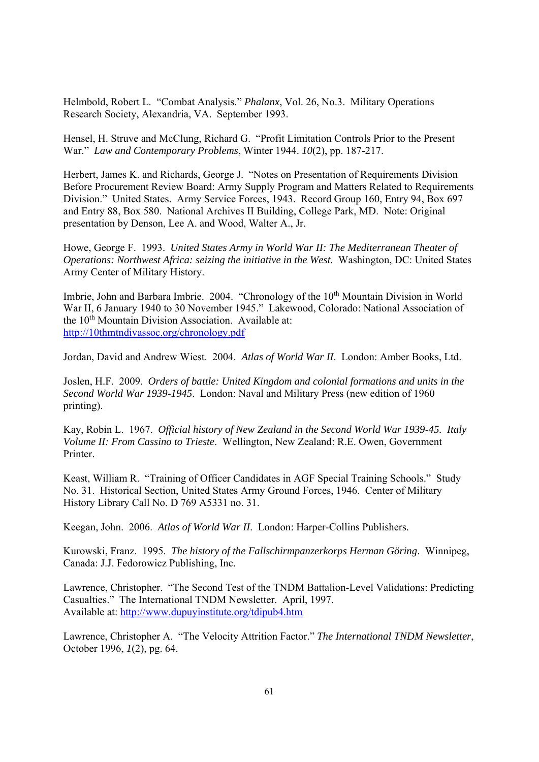Helmbold, Robert L. "Combat Analysis." *Phalanx*, Vol. 26, No.3. Military Operations Research Society, Alexandria, VA. September 1993.

Hensel, H. Struve and McClung, Richard G. "Profit Limitation Controls Prior to the Present War." *Law and Contemporary Problems*, Winter 1944. *10*(2), pp. 187-217.

Herbert, James K. and Richards, George J. "Notes on Presentation of Requirements Division Before Procurement Review Board: Army Supply Program and Matters Related to Requirements Division." United States. Army Service Forces, 1943. Record Group 160, Entry 94, Box 697 and Entry 88, Box 580. National Archives II Building, College Park, MD. Note: Original presentation by Denson, Lee A. and Wood, Walter A., Jr.

Howe, George F. 1993. *United States Army in World War II: The Mediterranean Theater of Operations: Northwest Africa: seizing the initiative in the West*. Washington, DC: United States Army Center of Military History.

Imbrie, John and Barbara Imbrie. 2004. "Chronology of the 10<sup>th</sup> Mountain Division in World War II, 6 January 1940 to 30 November 1945." Lakewood, Colorado: National Association of the  $10<sup>th</sup>$  Mountain Division Association. Available at: http://10thmtndivassoc.org/chronology.pdf

Jordan, David and Andrew Wiest. 2004. *Atlas of World War II*. London: Amber Books, Ltd.

Joslen, H.F. 2009. *Orders of battle: United Kingdom and colonial formations and units in the Second World War 1939-1945*. London: Naval and Military Press (new edition of 1960 printing).

Kay, Robin L. 1967. *Official history of New Zealand in the Second World War 1939-45. Italy Volume II: From Cassino to Trieste*. Wellington, New Zealand: R.E. Owen, Government Printer.

Keast, William R. "Training of Officer Candidates in AGF Special Training Schools." Study No. 31. Historical Section, United States Army Ground Forces, 1946. Center of Military History Library Call No. D 769 A5331 no. 31.

Keegan, John. 2006. *Atlas of World War II*. London: Harper-Collins Publishers.

Kurowski, Franz. 1995. *The history of the Fallschirmpanzerkorps Herman Göring*. Winnipeg, Canada: J.J. Fedorowicz Publishing, Inc.

Lawrence, Christopher. "The Second Test of the TNDM Battalion-Level Validations: Predicting Casualties." The International TNDM Newsletter. April, 1997. Available at: http://www.dupuyinstitute.org/tdipub4.htm

Lawrence, Christopher A. "The Velocity Attrition Factor." *The International TNDM Newsletter*, October 1996, *1*(2), pg. 64.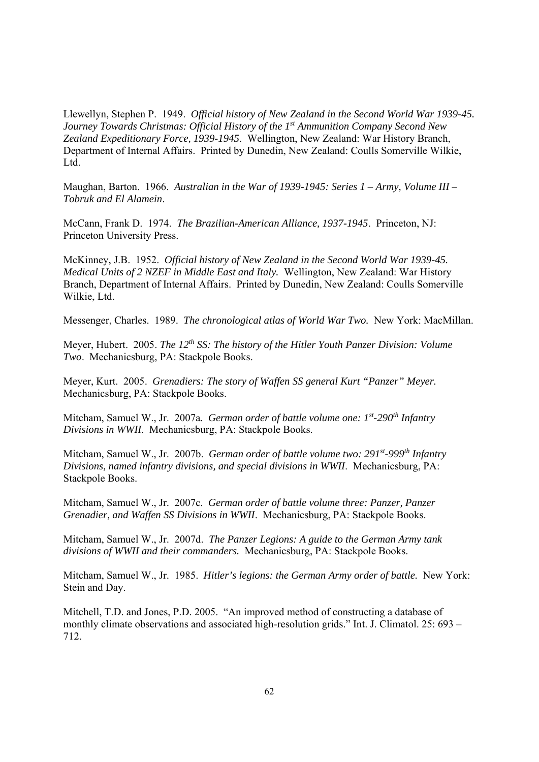Llewellyn, Stephen P. 1949. *Official history of New Zealand in the Second World War 1939-45. Journey Towards Christmas: Official History of the 1st Ammunition Company Second New Zealand Expeditionary Force, 1939-1945*. Wellington, New Zealand: War History Branch, Department of Internal Affairs. Printed by Dunedin, New Zealand: Coulls Somerville Wilkie, Ltd.

Maughan, Barton. 1966. *Australian in the War of 1939-1945: Series 1 – Army, Volume III – Tobruk and El Alamein*.

McCann, Frank D. 1974. *The Brazilian-American Alliance, 1937-1945*. Princeton, NJ: Princeton University Press.

McKinney, J.B. 1952. *Official history of New Zealand in the Second World War 1939-45. Medical Units of 2 NZEF in Middle East and Italy.* Wellington, New Zealand: War History Branch, Department of Internal Affairs. Printed by Dunedin, New Zealand: Coulls Somerville Wilkie, Ltd.

Messenger, Charles. 1989. *The chronological atlas of World War Two.* New York: MacMillan.

Meyer, Hubert. 2005. *The 12th SS: The history of the Hitler Youth Panzer Division: Volume Two*. Mechanicsburg, PA: Stackpole Books.

Meyer, Kurt. 2005. *Grenadiers: The story of Waffen SS general Kurt "Panzer" Meyer.* Mechanicsburg, PA: Stackpole Books.

Mitcham, Samuel W., Jr. 2007a. *German order of battle volume one: 1st-290th Infantry Divisions in WWII*. Mechanicsburg, PA: Stackpole Books.

Mitcham, Samuel W., Jr. 2007b. *German order of battle volume two: 291st-999th Infantry Divisions, named infantry divisions, and special divisions in WWII*. Mechanicsburg, PA: Stackpole Books.

Mitcham, Samuel W., Jr. 2007c. *German order of battle volume three: Panzer, Panzer Grenadier, and Waffen SS Divisions in WWII*. Mechanicsburg, PA: Stackpole Books.

Mitcham, Samuel W., Jr. 2007d. *The Panzer Legions: A guide to the German Army tank divisions of WWII and their commanders.* Mechanicsburg, PA: Stackpole Books.

Mitcham, Samuel W., Jr. 1985. *Hitler's legions: the German Army order of battle.* New York: Stein and Day.

Mitchell, T.D. and Jones, P.D. 2005. "An improved method of constructing a database of monthly climate observations and associated high-resolution grids." Int. J. Climatol. 25: 693 – 712.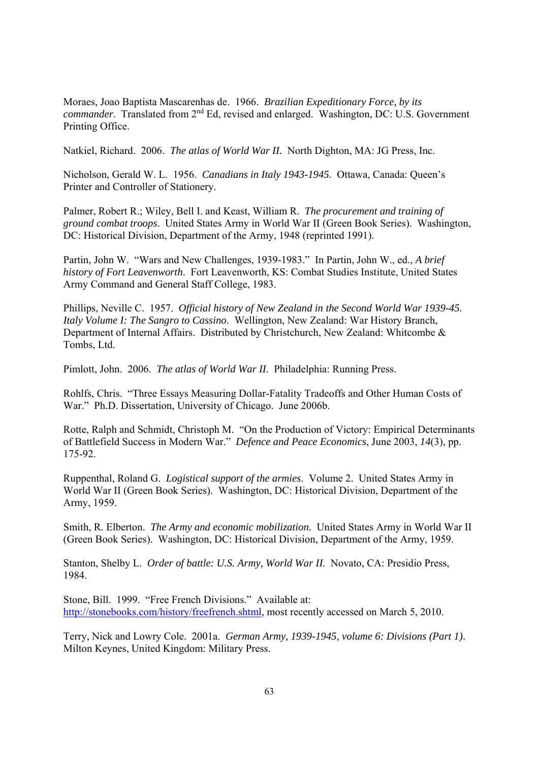Moraes, Joao Baptista Mascarenhas de. 1966. *Brazilian Expeditionary Force, by its commander*. Translated from 2nd Ed, revised and enlarged. Washington, DC: U.S. Government Printing Office.

Natkiel, Richard. 2006. *The atlas of World War II.* North Dighton, MA: JG Press, Inc.

Nicholson, Gerald W. L. 1956. *Canadians in Italy 1943-1945*. Ottawa, Canada: Queen's Printer and Controller of Stationery.

Palmer, Robert R.; Wiley, Bell I. and Keast, William R. *The procurement and training of ground combat troops*. United States Army in World War II (Green Book Series). Washington, DC: Historical Division, Department of the Army, 1948 (reprinted 1991).

Partin, John W. "Wars and New Challenges, 1939-1983." In Partin, John W., ed., *A brief history of Fort Leavenworth*. Fort Leavenworth, KS: Combat Studies Institute, United States Army Command and General Staff College, 1983.

Phillips, Neville C. 1957. *Official history of New Zealand in the Second World War 1939-45. Italy Volume I: The Sangro to Cassino*. Wellington, New Zealand: War History Branch, Department of Internal Affairs. Distributed by Christchurch, New Zealand: Whitcombe & Tombs, Ltd.

Pimlott, John. 2006. *The atlas of World War II*. Philadelphia: Running Press.

Rohlfs, Chris. "Three Essays Measuring Dollar-Fatality Tradeoffs and Other Human Costs of War." Ph.D. Dissertation, University of Chicago. June 2006b.

Rotte, Ralph and Schmidt, Christoph M. "On the Production of Victory: Empirical Determinants of Battlefield Success in Modern War." *Defence and Peace Economics*, June 2003, *14*(3), pp. 175-92.

Ruppenthal, Roland G. *Logistical support of the armies*.Volume 2. United States Army in World War II (Green Book Series). Washington, DC: Historical Division, Department of the Army, 1959.

Smith, R. Elberton. *The Army and economic mobilization.* United States Army in World War II (Green Book Series). Washington, DC: Historical Division, Department of the Army, 1959.

Stanton, Shelby L. *Order of battle: U.S. Army, World War II*. Novato, CA: Presidio Press, 1984.

Stone, Bill. 1999. "Free French Divisions." Available at: http://stonebooks.com/history/freefrench.shtml, most recently accessed on March 5, 2010.

Terry, Nick and Lowry Cole. 2001a. *German Army, 1939-1945, volume 6: Divisions (Part 1)*. Milton Keynes, United Kingdom: Military Press.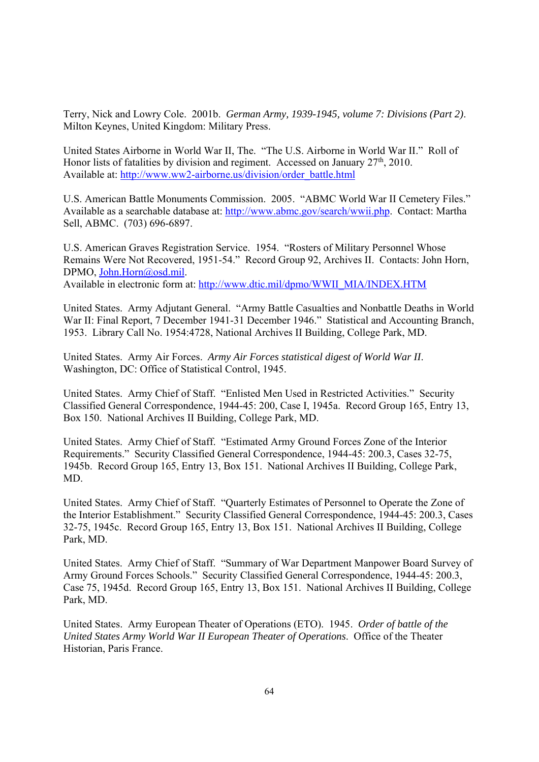Terry, Nick and Lowry Cole. 2001b. *German Army, 1939-1945, volume 7: Divisions (Part 2)*. Milton Keynes, United Kingdom: Military Press.

United States Airborne in World War II, The. "The U.S. Airborne in World War II." Roll of Honor lists of fatalities by division and regiment. Accessed on January 27<sup>th</sup>, 2010. Available at: http://www.ww2-airborne.us/division/order\_battle.html

U.S. American Battle Monuments Commission. 2005. "ABMC World War II Cemetery Files." Available as a searchable database at: http://www.abmc.gov/search/wwii.php. Contact: Martha Sell, ABMC. (703) 696-6897.

U.S. American Graves Registration Service. 1954. "Rosters of Military Personnel Whose Remains Were Not Recovered, 1951-54." Record Group 92, Archives II. Contacts: John Horn, DPMO, John.Horn@osd.mil. Available in electronic form at: http://www.dtic.mil/dpmo/WWII\_MIA/INDEX.HTM

United States. Army Adjutant General. "Army Battle Casualties and Nonbattle Deaths in World War II: Final Report, 7 December 1941-31 December 1946." Statistical and Accounting Branch, 1953. Library Call No. 1954:4728, National Archives II Building, College Park, MD.

United States. Army Air Forces. *Army Air Forces statistical digest of World War II*. Washington, DC: Office of Statistical Control, 1945.

United States. Army Chief of Staff. "Enlisted Men Used in Restricted Activities." Security Classified General Correspondence, 1944-45: 200, Case I, 1945a. Record Group 165, Entry 13, Box 150. National Archives II Building, College Park, MD.

United States. Army Chief of Staff. "Estimated Army Ground Forces Zone of the Interior Requirements." Security Classified General Correspondence, 1944-45: 200.3, Cases 32-75, 1945b. Record Group 165, Entry 13, Box 151. National Archives II Building, College Park, MD.

United States. Army Chief of Staff. "Quarterly Estimates of Personnel to Operate the Zone of the Interior Establishment." Security Classified General Correspondence, 1944-45: 200.3, Cases 32-75, 1945c. Record Group 165, Entry 13, Box 151. National Archives II Building, College Park, MD.

United States. Army Chief of Staff. "Summary of War Department Manpower Board Survey of Army Ground Forces Schools." Security Classified General Correspondence, 1944-45: 200.3, Case 75, 1945d. Record Group 165, Entry 13, Box 151. National Archives II Building, College Park, MD.

United States. Army European Theater of Operations (ETO). 1945. *Order of battle of the United States Army World War II European Theater of Operations*. Office of the Theater Historian, Paris France.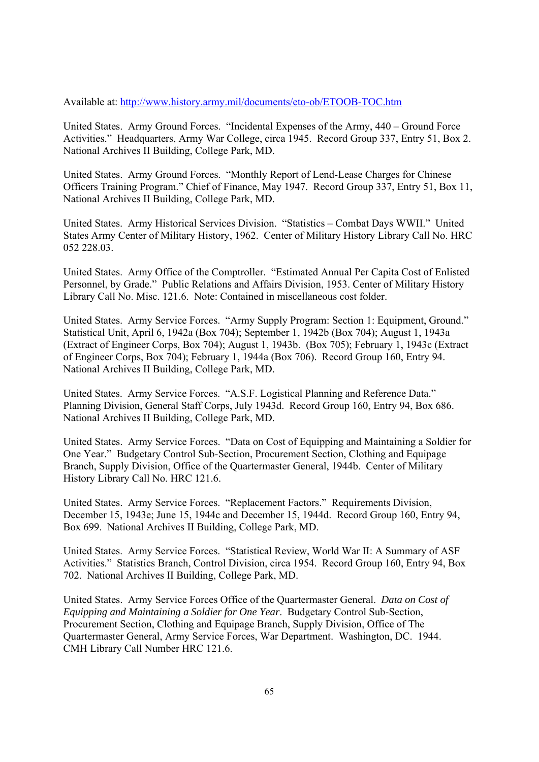Available at: http://www.history.army.mil/documents/eto-ob/ETOOB-TOC.htm

United States. Army Ground Forces. "Incidental Expenses of the Army, 440 – Ground Force Activities." Headquarters, Army War College, circa 1945. Record Group 337, Entry 51, Box 2. National Archives II Building, College Park, MD.

United States. Army Ground Forces. "Monthly Report of Lend-Lease Charges for Chinese Officers Training Program." Chief of Finance, May 1947. Record Group 337, Entry 51, Box 11, National Archives II Building, College Park, MD.

United States. Army Historical Services Division. "Statistics – Combat Days WWII." United States Army Center of Military History, 1962. Center of Military History Library Call No. HRC 052 228.03.

United States. Army Office of the Comptroller. "Estimated Annual Per Capita Cost of Enlisted Personnel, by Grade." Public Relations and Affairs Division, 1953. Center of Military History Library Call No. Misc. 121.6. Note: Contained in miscellaneous cost folder.

United States. Army Service Forces. "Army Supply Program: Section 1: Equipment, Ground." Statistical Unit, April 6, 1942a (Box 704); September 1, 1942b (Box 704); August 1, 1943a (Extract of Engineer Corps, Box 704); August 1, 1943b. (Box 705); February 1, 1943c (Extract of Engineer Corps, Box 704); February 1, 1944a (Box 706). Record Group 160, Entry 94. National Archives II Building, College Park, MD.

United States. Army Service Forces. "A.S.F. Logistical Planning and Reference Data." Planning Division, General Staff Corps, July 1943d. Record Group 160, Entry 94, Box 686. National Archives II Building, College Park, MD.

United States. Army Service Forces. "Data on Cost of Equipping and Maintaining a Soldier for One Year." Budgetary Control Sub-Section, Procurement Section, Clothing and Equipage Branch, Supply Division, Office of the Quartermaster General, 1944b. Center of Military History Library Call No. HRC 121.6.

United States. Army Service Forces. "Replacement Factors."Requirements Division, December 15, 1943e; June 15, 1944c and December 15, 1944d. Record Group 160, Entry 94, Box 699. National Archives II Building, College Park, MD.

United States. Army Service Forces. "Statistical Review, World War II: A Summary of ASF Activities." Statistics Branch, Control Division, circa 1954. Record Group 160, Entry 94, Box 702. National Archives II Building, College Park, MD.

United States. Army Service Forces Office of the Quartermaster General. *Data on Cost of Equipping and Maintaining a Soldier for One Year*. Budgetary Control Sub-Section, Procurement Section, Clothing and Equipage Branch, Supply Division, Office of The Quartermaster General, Army Service Forces, War Department. Washington, DC. 1944. CMH Library Call Number HRC 121.6.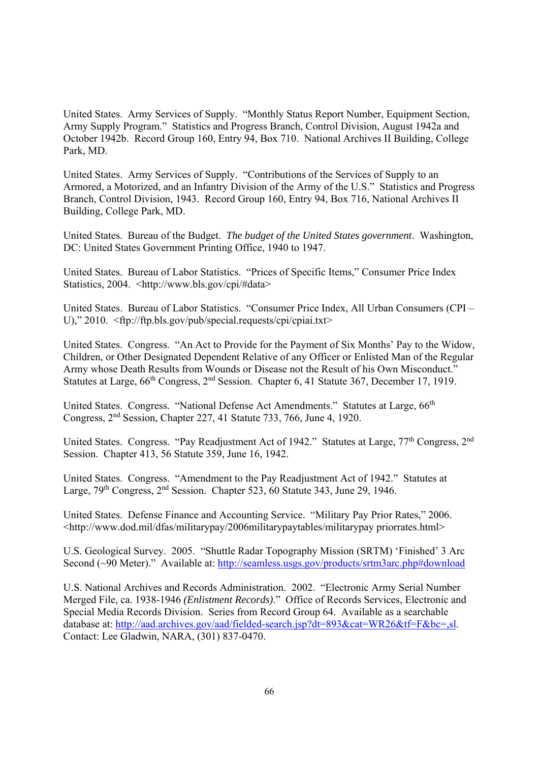United States. Army Services of Supply. "Monthly Status Report Number, Equipment Section, Army Supply Program." Statistics and Progress Branch, Control Division, August 1942a and October 1942b. Record Group 160, Entry 94, Box 710. National Archives II Building, College Park, MD.

United States. Army Services of Supply. "Contributions of the Services of Supply to an Armored, a Motorized, and an Infantry Division of the Army of the U.S." Statistics and Progress Branch, Control Division, 1943. Record Group 160, Entry 94, Box 716, National Archives II Building, College Park, MD.

United States. Bureau of the Budget. *The budget of the United States government*. Washington, DC: United States Government Printing Office, 1940 to 1947.

United States. Bureau of Labor Statistics. "Prices of Specific Items," Consumer Price Index Statistics, 2004. <http://www.bls.gov/cpi/#data>

United States. Bureau of Labor Statistics. "Consumer Price Index, All Urban Consumers (CPI – U)," 2010. <ftp://ftp.bls.gov/pub/special.requests/cpi/cpiai.txt>

United States. Congress. "An Act to Provide for the Payment of Six Months' Pay to the Widow, Children, or Other Designated Dependent Relative of any Officer or Enlisted Man of the Regular Army whose Death Results from Wounds or Disease not the Result of his Own Misconduct." Statutes at Large,  $66<sup>th</sup>$  Congress,  $2<sup>nd</sup>$  Session. Chapter 6, 41 Statute 367, December 17, 1919.

United States. Congress. "National Defense Act Amendments." Statutes at Large, 66<sup>th</sup> Congress, 2nd Session, Chapter 227, 41 Statute 733, 766, June 4, 1920.

United States. Congress. "Pay Readjustment Act of 1942." Statutes at Large, 77<sup>th</sup> Congress, 2<sup>nd</sup> Session. Chapter 413, 56 Statute 359, June 16, 1942.

United States. Congress. "Amendment to the Pay Readjustment Act of 1942." Statutes at Large,  $79<sup>th</sup>$  Congress,  $2<sup>nd</sup>$  Session. Chapter 523, 60 Statute 343, June 29, 1946.

United States. Defense Finance and Accounting Service. "Military Pay Prior Rates," 2006. <http://www.dod.mil/dfas/militarypay/2006militarypaytables/militarypay priorrates.html>

U.S. Geological Survey. 2005. "Shuttle Radar Topography Mission (SRTM) 'Finished' 3 Arc Second (~90 Meter)." Available at: http://seamless.usgs.gov/products/srtm3arc.php#download

U.S. National Archives and Records Administration. 2002. "Electronic Army Serial Number Merged File, ca. 1938-1946 *(Enlistment Records)*." Office of Records Services, Electronic and Special Media Records Division. Series from Record Group 64. Available as a searchable database at: http://aad.archives.gov/aad/fielded-search.jsp?dt=893&cat=WR26&tf=F&bc=,sl. Contact: Lee Gladwin, NARA, (301) 837-0470.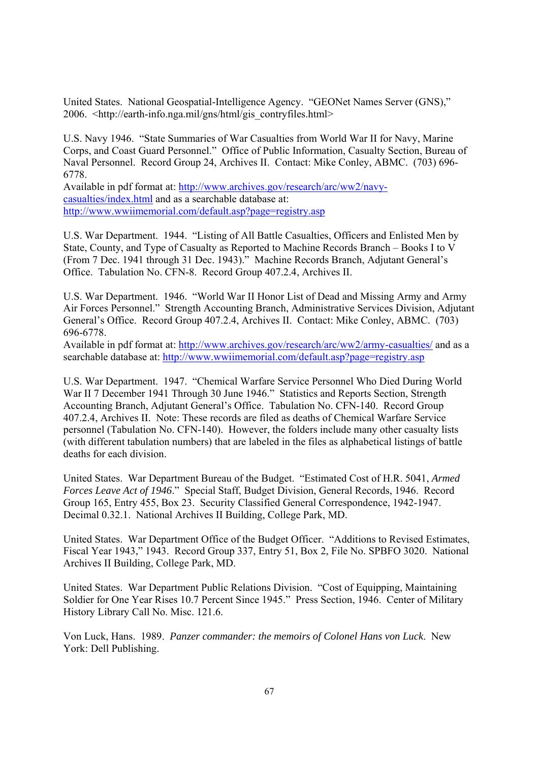United States. National Geospatial-Intelligence Agency. "GEONet Names Server (GNS)," 2006. <http://earth-info.nga.mil/gns/html/gis\_contryfiles.html>

U.S. Navy 1946. "State Summaries of War Casualties from World War II for Navy, Marine Corps, and Coast Guard Personnel." Office of Public Information, Casualty Section, Bureau of Naval Personnel. Record Group 24, Archives II. Contact: Mike Conley, ABMC. (703) 696- 6778.

Available in pdf format at: http://www.archives.gov/research/arc/ww2/navycasualties/index.html and as a searchable database at: http://www.wwiimemorial.com/default.asp?page=registry.asp

U.S. War Department. 1944. "Listing of All Battle Casualties, Officers and Enlisted Men by State, County, and Type of Casualty as Reported to Machine Records Branch – Books I to V (From 7 Dec. 1941 through 31 Dec. 1943)." Machine Records Branch, Adjutant General's Office. Tabulation No. CFN-8. Record Group 407.2.4, Archives II.

U.S. War Department. 1946. "World War II Honor List of Dead and Missing Army and Army Air Forces Personnel." Strength Accounting Branch, Administrative Services Division, Adjutant General's Office. Record Group 407.2.4, Archives II. Contact: Mike Conley, ABMC. (703) 696-6778.

Available in pdf format at: http://www.archives.gov/research/arc/ww2/army-casualties/ and as a searchable database at: http://www.wwiimemorial.com/default.asp?page=registry.asp

U.S. War Department. 1947. "Chemical Warfare Service Personnel Who Died During World War II 7 December 1941 Through 30 June 1946." Statistics and Reports Section, Strength Accounting Branch, Adjutant General's Office. Tabulation No. CFN-140. Record Group 407.2.4, Archives II. Note: These records are filed as deaths of Chemical Warfare Service personnel (Tabulation No. CFN-140). However, the folders include many other casualty lists (with different tabulation numbers) that are labeled in the files as alphabetical listings of battle deaths for each division.

United States. War Department Bureau of the Budget. "Estimated Cost of H.R. 5041, *Armed Forces Leave Act of 1946*." Special Staff, Budget Division, General Records, 1946. Record Group 165, Entry 455, Box 23. Security Classified General Correspondence, 1942-1947. Decimal 0.32.1. National Archives II Building, College Park, MD.

United States. War Department Office of the Budget Officer. "Additions to Revised Estimates, Fiscal Year 1943," 1943. Record Group 337, Entry 51, Box 2, File No. SPBFO 3020. National Archives II Building, College Park, MD.

United States. War Department Public Relations Division. "Cost of Equipping, Maintaining Soldier for One Year Rises 10.7 Percent Since 1945." Press Section, 1946. Center of Military History Library Call No. Misc. 121.6.

Von Luck, Hans. 1989. *Panzer commander: the memoirs of Colonel Hans von Luck*. New York: Dell Publishing.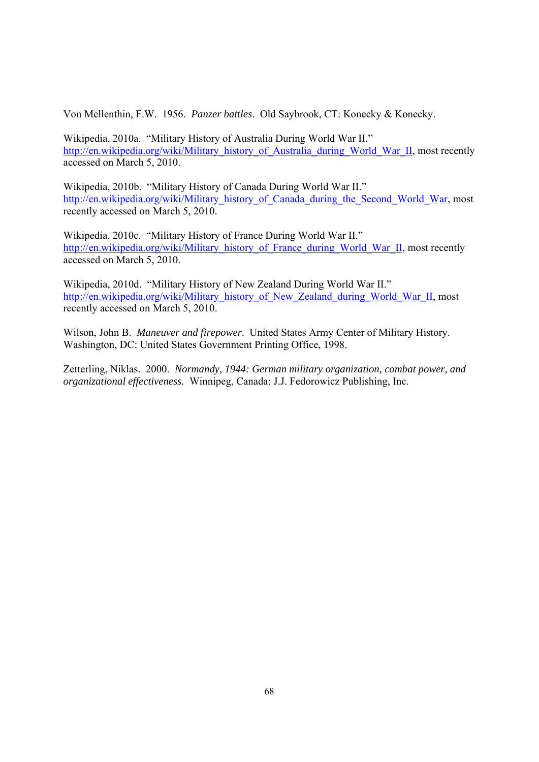Von Mellenthin, F.W. 1956. *Panzer battles*. Old Saybrook, CT: Konecky & Konecky.

Wikipedia, 2010a. "Military History of Australia During World War II." http://en.wikipedia.org/wiki/Military\_history\_of\_Australia\_during\_World\_War\_II, most recently accessed on March 5, 2010.

Wikipedia, 2010b. "Military History of Canada During World War II." http://en.wikipedia.org/wiki/Military\_history\_of\_Canada\_during\_the\_Second\_World\_War, most recently accessed on March 5, 2010.

Wikipedia, 2010c. "Military History of France During World War II." http://en.wikipedia.org/wiki/Military\_history\_of\_France\_during\_World\_War\_II, most recently accessed on March 5, 2010.

Wikipedia, 2010d. "Military History of New Zealand During World War II." http://en.wikipedia.org/wiki/Military\_history\_of\_New\_Zealand\_during\_World\_War\_II, most recently accessed on March 5, 2010.

Wilson, John B. *Maneuver and firepower*. United States Army Center of Military History. Washington, DC: United States Government Printing Office, 1998.

Zetterling, Niklas. 2000. *Normandy, 1944: German military organization, combat power, and organizational effectiveness.* Winnipeg, Canada: J.J. Fedorowicz Publishing, Inc.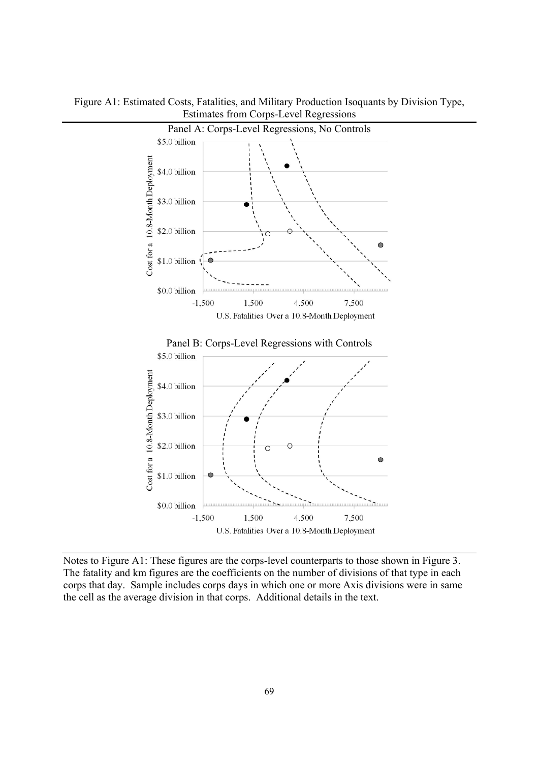

Figure A1: Estimated Costs, Fatalities, and Military Production Isoquants by Division Type, Estimates from Corps-Level Regressions

Notes to Figure A1: These figures are the corps-level counterparts to those shown in Figure 3. The fatality and km figures are the coefficients on the number of divisions of that type in each corps that day. Sample includes corps days in which one or more Axis divisions were in same the cell as the average division in that corps. Additional details in the text.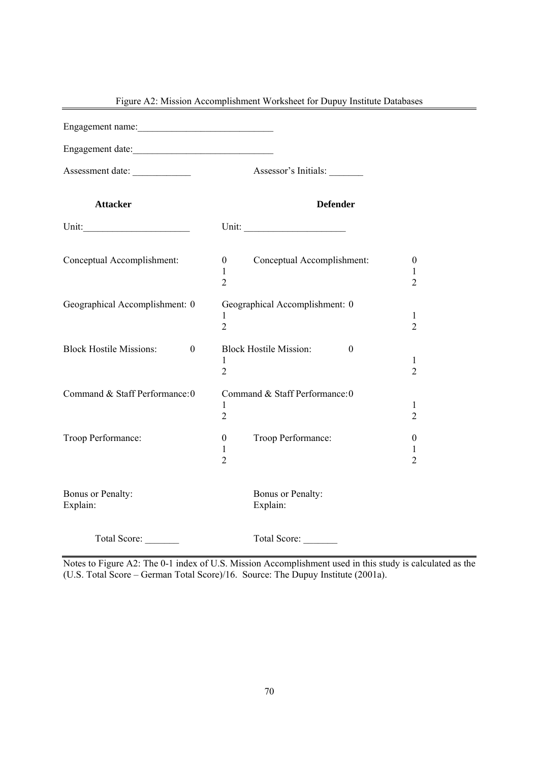|                                                  | Figure A2: Mission Accomplishment Worksheet for Dupuy Institute Databases        |                                         |
|--------------------------------------------------|----------------------------------------------------------------------------------|-----------------------------------------|
|                                                  |                                                                                  |                                         |
|                                                  |                                                                                  |                                         |
| Assessment date:                                 | Assessor's Initials:                                                             |                                         |
| <b>Attacker</b>                                  | <b>Defender</b>                                                                  |                                         |
|                                                  |                                                                                  |                                         |
| Conceptual Accomplishment:                       | Conceptual Accomplishment:<br>$\boldsymbol{0}$<br>$\mathbf{1}$<br>$\overline{2}$ | $\boldsymbol{0}$<br>1<br>$\overline{2}$ |
| Geographical Accomplishment: 0                   | Geographical Accomplishment: 0<br>1<br>$\overline{2}$                            | 1<br>$\overline{2}$                     |
| <b>Block Hostile Missions:</b><br>$\overline{0}$ | <b>Block Hostile Mission:</b><br>$\boldsymbol{0}$<br>1<br>$\overline{2}$         | $\mathbf{1}$<br>$\overline{2}$          |
| Command & Staff Performance: 0                   | Command & Staff Performance: 0<br>1<br>$\overline{2}$                            | $\mathbf{1}$<br>$\overline{2}$          |
| Troop Performance:                               | Troop Performance:<br>$\boldsymbol{0}$<br>1<br>$\overline{2}$                    | $\theta$<br>1<br>$\overline{2}$         |
| Bonus or Penalty:<br>Explain:                    | Bonus or Penalty:<br>Explain:                                                    |                                         |
| Total Score:                                     | Total Score:                                                                     |                                         |

Notes to Figure A2: The 0-1 index of U.S. Mission Accomplishment used in this study is calculated as the (U.S. Total Score – German Total Score)/16. Source: The Dupuy Institute (2001a).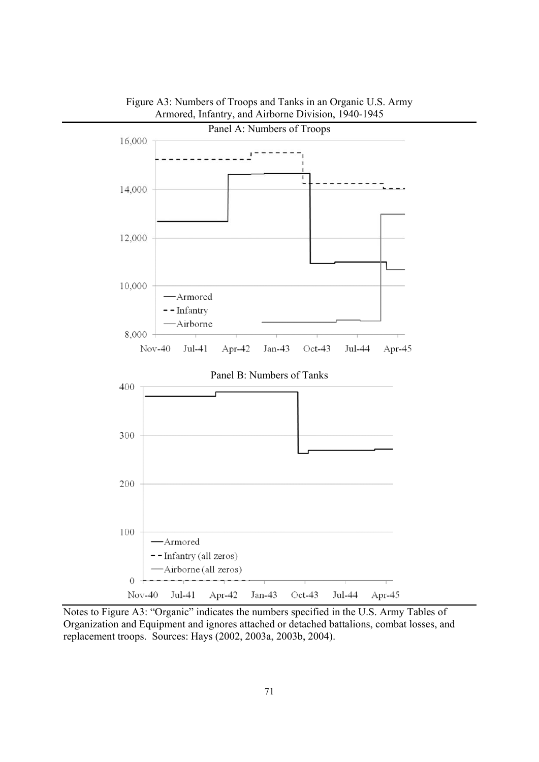

Figure A3: Numbers of Troops and Tanks in an Organic U.S. Army Armored, Infantry, and Airborne Division, 1940-1945

Notes to Figure A3: "Organic" indicates the numbers specified in the U.S. Army Tables of Organization and Equipment and ignores attached or detached battalions, combat losses, and replacement troops. Sources: Hays (2002, 2003a, 2003b, 2004).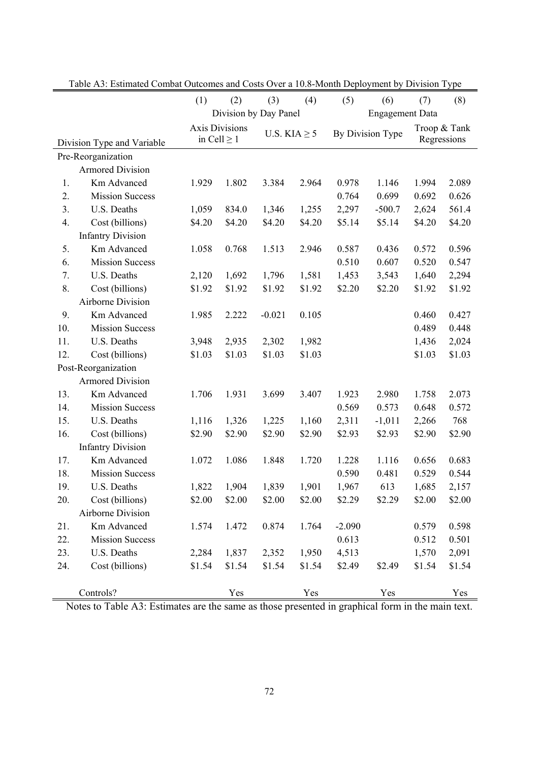|     |                            | (1)    | (2)                   | (3)                   | (4)    | (5)      | (6)                    | (7)    | (8)          |  |
|-----|----------------------------|--------|-----------------------|-----------------------|--------|----------|------------------------|--------|--------------|--|
|     |                            |        |                       | Division by Day Panel |        |          | <b>Engagement Data</b> |        |              |  |
|     |                            |        | <b>Axis Divisions</b> |                       |        |          | By Division Type       |        | Troop & Tank |  |
|     | Division Type and Variable |        | in Cell $\geq 1$      | U.S. KIA $\geq$ 5     |        |          | Regressions            |        |              |  |
|     | Pre-Reorganization         |        |                       |                       |        |          |                        |        |              |  |
|     | <b>Armored Division</b>    |        |                       |                       |        |          |                        |        |              |  |
| 1.  | Km Advanced                | 1.929  | 1.802                 | 3.384                 | 2.964  | 0.978    | 1.146                  | 1.994  | 2.089        |  |
| 2.  | <b>Mission Success</b>     |        |                       |                       |        | 0.764    | 0.699                  | 0.692  | 0.626        |  |
| 3.  | U.S. Deaths                | 1,059  | 834.0                 | 1,346                 | 1,255  | 2,297    | $-500.7$               | 2,624  | 561.4        |  |
| 4.  | Cost (billions)            | \$4.20 | \$4.20                | \$4.20                | \$4.20 | \$5.14   | \$5.14                 | \$4.20 | \$4.20       |  |
|     | <b>Infantry Division</b>   |        |                       |                       |        |          |                        |        |              |  |
| 5.  | Km Advanced                | 1.058  | 0.768                 | 1.513                 | 2.946  | 0.587    | 0.436                  | 0.572  | 0.596        |  |
| 6.  | <b>Mission Success</b>     |        |                       |                       |        | 0.510    | 0.607                  | 0.520  | 0.547        |  |
| 7.  | U.S. Deaths                | 2,120  | 1,692                 | 1,796                 | 1,581  | 1,453    | 3,543                  | 1,640  | 2,294        |  |
| 8.  | Cost (billions)            | \$1.92 | \$1.92                | \$1.92                | \$1.92 | \$2.20   | \$2.20                 | \$1.92 | \$1.92       |  |
|     | Airborne Division          |        |                       |                       |        |          |                        |        |              |  |
| 9.  | Km Advanced                | 1.985  | 2.222                 | $-0.021$              | 0.105  |          |                        | 0.460  | 0.427        |  |
| 10. | <b>Mission Success</b>     |        |                       |                       |        |          |                        | 0.489  | 0.448        |  |
| 11. | U.S. Deaths                | 3,948  | 2,935                 | 2,302                 | 1,982  |          |                        | 1,436  | 2,024        |  |
| 12. | Cost (billions)            | \$1.03 | \$1.03                | \$1.03                | \$1.03 |          |                        | \$1.03 | \$1.03       |  |
|     | Post-Reorganization        |        |                       |                       |        |          |                        |        |              |  |
|     | <b>Armored Division</b>    |        |                       |                       |        |          |                        |        |              |  |
| 13. | Km Advanced                | 1.706  | 1.931                 | 3.699                 | 3.407  | 1.923    | 2.980                  | 1.758  | 2.073        |  |
| 14. | <b>Mission Success</b>     |        |                       |                       |        | 0.569    | 0.573                  | 0.648  | 0.572        |  |
| 15. | U.S. Deaths                | 1,116  | 1,326                 | 1,225                 | 1,160  | 2,311    | $-1,011$               | 2,266  | 768          |  |
| 16. | Cost (billions)            | \$2.90 | \$2.90                | \$2.90                | \$2.90 | \$2.93   | \$2.93                 | \$2.90 | \$2.90       |  |
|     | <b>Infantry Division</b>   |        |                       |                       |        |          |                        |        |              |  |
| 17. | Km Advanced                | 1.072  | 1.086                 | 1.848                 | 1.720  | 1.228    | 1.116                  | 0.656  | 0.683        |  |
| 18. | <b>Mission Success</b>     |        |                       |                       |        | 0.590    | 0.481                  | 0.529  | 0.544        |  |
| 19. | U.S. Deaths                | 1,822  | 1,904                 | 1,839                 | 1,901  | 1,967    | 613                    | 1,685  | 2,157        |  |
| 20. | Cost (billions)            | \$2.00 | \$2.00                | \$2.00                | \$2.00 | \$2.29   | \$2.29                 | \$2.00 | \$2.00       |  |
|     | Airborne Division          |        |                       |                       |        |          |                        |        |              |  |
| 21. | Km Advanced                | 1.574  | 1.472                 | 0.874                 | 1.764  | $-2.090$ |                        | 0.579  | 0.598        |  |
| 22. | <b>Mission Success</b>     |        |                       |                       |        | 0.613    |                        | 0.512  | 0.501        |  |
| 23. | U.S. Deaths                | 2,284  | 1,837                 | 2,352                 | 1,950  | 4,513    |                        | 1,570  | 2,091        |  |
| 24. | Cost (billions)            | \$1.54 | \$1.54                | \$1.54                | \$1.54 | \$2.49   | \$2.49                 | \$1.54 | \$1.54       |  |
|     | Controls?                  |        | Yes                   |                       | Yes    |          | Yes                    |        | Yes          |  |

Table A3: Estimated Combat Outcomes and Costs Over a 10.8-Month Deployment by Division Type

Notes to Table A3: Estimates are the same as those presented in graphical form in the main text.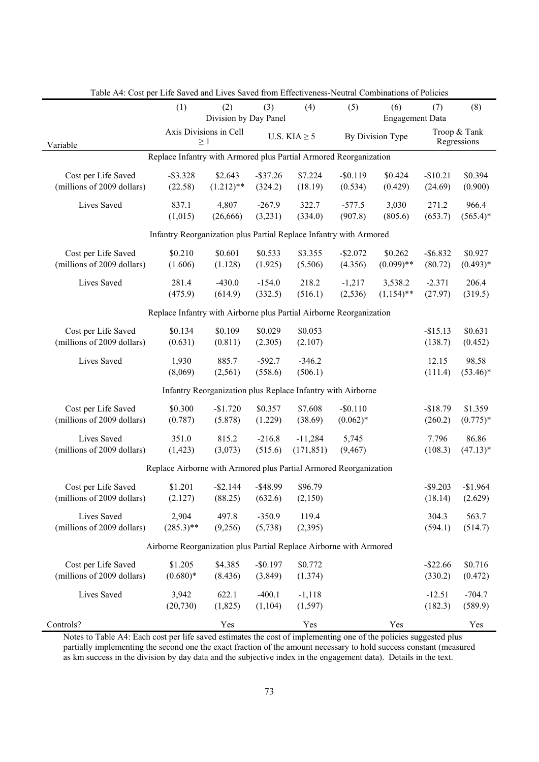| I dolume is that the saved and lives saved from Effectiveness-tycular compilations of I oncles | (1)                                                                 | (2)                    | (3)                 | (4)                                                         | (5)                     | (6)                    | (7)                  | (8)                   |
|------------------------------------------------------------------------------------------------|---------------------------------------------------------------------|------------------------|---------------------|-------------------------------------------------------------|-------------------------|------------------------|----------------------|-----------------------|
|                                                                                                |                                                                     | Division by Day Panel  |                     |                                                             |                         | <b>Engagement Data</b> |                      |                       |
|                                                                                                |                                                                     | Axis Divisions in Cell |                     | U.S. KIA $\geq$ 5                                           |                         | By Division Type       |                      | Troop & Tank          |
| Variable                                                                                       | $\geq$ 1                                                            |                        |                     |                                                             |                         |                        |                      | Regressions           |
|                                                                                                | Replace Infantry with Armored plus Partial Armored Reorganization   |                        |                     |                                                             |                         |                        |                      |                       |
| Cost per Life Saved                                                                            | $-$ \$3.328                                                         | \$2.643                | $-$ \$37.26         | \$7.224                                                     | $-$ \$0.119             | \$0.424                | $-$10.21$            | \$0.394               |
| (millions of 2009 dollars)                                                                     | (22.58)                                                             | $(1.212)$ **           | (324.2)             | (18.19)                                                     | (0.534)                 | (0.429)                | (24.69)              | (0.900)               |
| Lives Saved                                                                                    | 837.1                                                               | 4,807                  | $-267.9$            | 322.7                                                       | $-577.5$                | 3,030                  | 271.2                | 966.4                 |
|                                                                                                | (1,015)                                                             | (26,666)               | (3,231)             | (334.0)                                                     | (907.8)                 | (805.6)                | (653.7)              | $(565.4)^*$           |
|                                                                                                | Infantry Reorganization plus Partial Replace Infantry with Armored  |                        |                     |                                                             |                         |                        |                      |                       |
| Cost per Life Saved                                                                            | \$0.210                                                             | \$0.601                | \$0.533             | \$3.355                                                     | $-$ \$2.072             | \$0.262                | $-$ \$6.832          | \$0.927               |
| (millions of 2009 dollars)                                                                     | (1.606)                                                             | (1.128)                | (1.925)             | (5.506)                                                     | (4.356)                 | $(0.099)$ **           | (80.72)              | $(0.493)*$            |
| Lives Saved                                                                                    | 281.4                                                               | $-430.0$               | $-154.0$            | 218.2                                                       | $-1,217$                | 3,538.2                | $-2.371$             | 206.4                 |
|                                                                                                | (475.9)                                                             | (614.9)                | (332.5)             | (516.1)                                                     | (2, 536)                | $(1,154)$ **           | (27.97)              | (319.5)               |
|                                                                                                | Replace Infantry with Airborne plus Partial Airborne Reorganization |                        |                     |                                                             |                         |                        |                      |                       |
| Cost per Life Saved                                                                            | \$0.134                                                             | \$0.109                | \$0.029             | \$0.053                                                     |                         |                        | $-$15.13$            | \$0.631               |
| (millions of 2009 dollars)                                                                     | (0.631)                                                             | (0.811)                | (2.305)             | (2.107)                                                     |                         |                        | (138.7)              | (0.452)               |
|                                                                                                |                                                                     |                        |                     |                                                             |                         |                        |                      |                       |
| Lives Saved                                                                                    | 1,930<br>(8,069)                                                    | 885.7<br>(2, 561)      | $-592.7$<br>(558.6) | $-346.2$<br>(506.1)                                         |                         |                        | 12.15<br>(111.4)     | 98.58<br>$(53.46)*$   |
|                                                                                                |                                                                     |                        |                     | Infantry Reorganization plus Replace Infantry with Airborne |                         |                        |                      |                       |
|                                                                                                |                                                                     |                        |                     |                                                             |                         |                        |                      |                       |
| Cost per Life Saved<br>(millions of 2009 dollars)                                              | \$0.300<br>(0.787)                                                  | $-$1.720$<br>(5.878)   | \$0.357<br>(1.229)  | \$7.608<br>(38.69)                                          | $-$0.110$<br>$(0.062)*$ |                        | $-$18.79$<br>(260.2) | \$1.359<br>$(0.775)*$ |
|                                                                                                |                                                                     |                        |                     |                                                             |                         |                        |                      |                       |
| Lives Saved                                                                                    | 351.0                                                               | 815.2                  | $-216.8$            | $-11,284$                                                   | 5,745                   |                        | 7.796                | 86.86                 |
| (millions of 2009 dollars)                                                                     | (1, 423)                                                            | (3,073)                | (515.6)             | (171, 851)                                                  | (9, 467)                |                        | (108.3)              | $(47.13)*$            |
|                                                                                                | Replace Airborne with Armored plus Partial Armored Reorganization   |                        |                     |                                                             |                         |                        |                      |                       |
| Cost per Life Saved                                                                            | \$1.201                                                             | $-$ \$2.144            | $-$ \$48.99         | \$96.79                                                     |                         |                        | $-$ \$9.203          | $-$1.964$             |
| (millions of 2009 dollars)                                                                     | (2.127)                                                             | (88.25)                | (632.6)             | (2,150)                                                     |                         |                        | (18.14)              | (2.629)               |
| Lives Saved                                                                                    | 2,904                                                               | 497.8                  | $-350.9$            | 119.4                                                       |                         |                        | 304.3                | 563.7                 |
| (millions of 2009 dollars)                                                                     | $(285.3)$ **                                                        | (9,256)                | (5,738)             | (2,395)                                                     |                         |                        | (594.1)              | (514.7)               |
| Airborne Reorganization plus Partial Replace Airborne with Armored                             |                                                                     |                        |                     |                                                             |                         |                        |                      |                       |
| Cost per Life Saved                                                                            | \$1.205                                                             | \$4.385                | $-$0.197$           | \$0.772                                                     |                         |                        | $-$ \$22.66          | \$0.716               |
| (millions of 2009 dollars)                                                                     | $(0.680)*$                                                          | (8.436)                | (3.849)             | (1.374)                                                     |                         |                        | (330.2)              | (0.472)               |
| Lives Saved                                                                                    | 3,942                                                               | 622.1                  | $-400.1$            | $-1,118$                                                    |                         |                        | $-12.51$             | $-704.7$              |
|                                                                                                | (20, 730)                                                           | (1,825)                | (1,104)             | (1, 597)                                                    |                         |                        | (182.3)              | (589.9)               |
| Controls?                                                                                      |                                                                     | Yes                    |                     | Yes                                                         |                         | Yes                    |                      | Yes                   |

Notes to Table A4: Each cost per life saved estimates the cost of implementing one of the policies suggested plus partially implementing the second one the exact fraction of the amount necessary to hold success constant (measured as km success in the division by day data and the subjective index in the engagement data). Details in the text.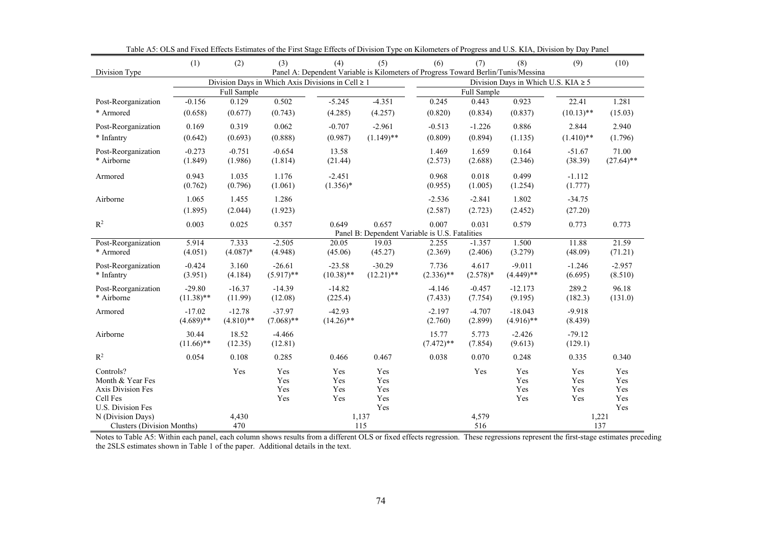|                                                                                     |                          |                          |                          | Table A.). OLS and PIACO LITCOS ESTIMATES OF the PIIST Stage LITCOS OF DIVISION TYPE ON KNOMETES OFFIOGLESS and O.S. KIA, DIVISION OY DAY FAIRE |                                 |                                                         |                     |                                          |                          |                                 |
|-------------------------------------------------------------------------------------|--------------------------|--------------------------|--------------------------|-------------------------------------------------------------------------------------------------------------------------------------------------|---------------------------------|---------------------------------------------------------|---------------------|------------------------------------------|--------------------------|---------------------------------|
|                                                                                     | (1)                      | (2)                      | (3)                      | (4)<br>Panel A: Dependent Variable is Kilometers of Progress Toward Berlin/Tunis/Messina                                                        | (5)                             | (6)                                                     | (7)                 | (8)                                      | (9)                      | (10)                            |
| Division Type                                                                       |                          |                          |                          | Division Days in Which Axis Divisions in Cell $\geq 1$                                                                                          |                                 |                                                         |                     | Division Days in Which U.S. KIA $\geq 5$ |                          |                                 |
|                                                                                     |                          | Full Sample              |                          |                                                                                                                                                 |                                 |                                                         | Full Sample         |                                          |                          |                                 |
| Post-Reorganization                                                                 | $-0.156$                 | 0.129                    | 0.502                    | $-5.245$                                                                                                                                        | $-4.351$                        | 0.245                                                   | 0.443               | 0.923                                    | 22.41                    | 1.281                           |
| * Armored                                                                           | (0.658)                  | (0.677)                  | (0.743)                  | (4.285)                                                                                                                                         | (4.257)                         | (0.820)                                                 | (0.834)             | (0.837)                                  | $(10.13)$ **             | (15.03)                         |
| Post-Reorganization                                                                 | 0.169                    | 0.319                    | 0.062                    | $-0.707$                                                                                                                                        | $-2.961$                        | $-0.513$                                                | $-1.226$            | 0.886                                    | 2.844                    | 2.940                           |
| * Infantry                                                                          | (0.642)                  | (0.693)                  | (0.888)                  | (0.987)                                                                                                                                         | $(1.149)$ **                    | (0.809)                                                 | (0.894)             | (1.135)                                  | $(1.410)$ **             | (1.796)                         |
| Post-Reorganization<br>* Airborne                                                   | $-0.273$<br>(1.849)      | $-0.751$<br>(1.986)      | $-0.654$<br>(1.814)      | 13.58<br>(21.44)                                                                                                                                |                                 | 1.469<br>(2.573)                                        | 1.659<br>(2.688)    | 0.164<br>(2.346)                         | $-51.67$<br>(38.39)      | 71.00<br>$(27.64)$ **           |
| Armored                                                                             | 0.943<br>(0.762)         | 1.035<br>(0.796)         | 1.176<br>(1.061)         | $-2.451$<br>$(1.356)*$                                                                                                                          |                                 | 0.968<br>(0.955)                                        | 0.018<br>(1.005)    | 0.499<br>(1.254)                         | $-1.112$<br>(1.777)      |                                 |
| Airborne                                                                            | 1.065                    | 1.455                    | 1.286                    |                                                                                                                                                 |                                 | $-2.536$                                                | $-2.841$            | 1.802                                    | $-34.75$                 |                                 |
|                                                                                     | (1.895)                  | (2.044)                  | (1.923)                  |                                                                                                                                                 |                                 | (2.587)                                                 | (2.723)             | (2.452)                                  | (27.20)                  |                                 |
| $\mathbb{R}^2$                                                                      | 0.003                    | 0.025                    | 0.357                    | 0.649                                                                                                                                           | 0.657                           | 0.007<br>Panel B: Dependent Variable is U.S. Fatalities | 0.031               | 0.579                                    | 0.773                    | 0.773                           |
| Post-Reorganization                                                                 | 5.914                    | 7.333                    | $-2.505$                 | 20.05                                                                                                                                           | 19.03                           | 2.255                                                   | $-1.357$            | 1.500                                    | 11.88                    | 21.59                           |
| * Armored                                                                           | (4.051)                  | $(4.087)*$               | (4.948)                  | (45.06)                                                                                                                                         | (45.27)                         | (2.369)                                                 | (2.406)             | (3.279)                                  | (48.09)                  | (71.21)                         |
| Post-Reorganization<br>* Infantry                                                   | $-0.424$<br>(3.951)      | 3.160<br>(4.184)         | $-26.61$<br>$(5.917)$ ** | $-23.58$<br>$(10.38)$ **                                                                                                                        | $-30.29$<br>$(12.21)$ **        | 7.736<br>$(2.336)$ **                                   | 4.617<br>$(2.578)*$ | $-9.011$<br>$(4.449)$ **                 | $-1.246$<br>(6.695)      | $-2.957$<br>(8.510)             |
| Post-Reorganization<br>* Airborne                                                   | $-29.80$<br>$(11.38)$ ** | $-16.37$<br>(11.99)      | $-14.39$<br>(12.08)      | $-14.82$<br>(225.4)                                                                                                                             |                                 | $-4.146$<br>(7.433)                                     | $-0.457$<br>(7.754) | $-12.173$<br>(9.195)                     | 289.2<br>(182.3)         | 96.18<br>(131.0)                |
| Armored                                                                             | $-17.02$<br>$(4.689)$ ** | $-12.78$<br>$(4.810)$ ** | $-37.97$<br>$(7.068)$ ** | $-42.93$<br>$(14.26)$ **                                                                                                                        |                                 | $-2.197$<br>(2.760)                                     | $-4.707$<br>(2.899) | $-18.043$<br>$(4.916)$ **                | $-9.918$<br>(8.439)      |                                 |
| Airborne                                                                            | 30.44<br>$(11.66)$ **    | 18.52<br>(12.35)         | $-4.466$<br>(12.81)      |                                                                                                                                                 |                                 | 15.77<br>$(7.472)$ **                                   | 5.773<br>(7.854)    | $-2.426$<br>(9.613)                      | $-79.12$<br>(129.1)      |                                 |
| $\mathbb{R}^2$                                                                      | 0.054                    | 0.108                    | 0.285                    | 0.466                                                                                                                                           | 0.467                           | 0.038                                                   | 0.070               | 0.248                                    | 0.335                    | 0.340                           |
| Controls?<br>Month & Year Fes<br>Axis Division Fes<br>Cell Fes<br>U.S. Division Fes |                          | Yes                      | Yes<br>Yes<br>Yes<br>Yes | Yes<br>Yes<br>Yes<br>Yes                                                                                                                        | Yes<br>Yes<br>Yes<br>Yes<br>Yes |                                                         | Yes                 | Yes<br>Yes<br>Yes<br>Yes                 | Yes<br>Yes<br>Yes<br>Yes | Yes<br>Yes<br>Yes<br>Yes<br>Yes |
| N (Division Days)                                                                   |                          | 4,430                    |                          |                                                                                                                                                 | 1,137                           |                                                         | 4,579               |                                          |                          | 1,221                           |
| <b>Clusters (Division Months)</b>                                                   |                          | 470                      |                          |                                                                                                                                                 | 115                             |                                                         | 516                 |                                          |                          | 137                             |

Table A5: OLS and Fixed Effects Estimates of the First Stage Effects of Division Type on Kilometers of Progress and U.S. KIA, Division by Day Panel

Notes to Table A5: Within each panel, each column shows results from a different OLS or fixed effects regression. These regressions represent the first-stage estimates preceding the 2SLS estimates shown in Table 1 of the paper. Additional details in the text.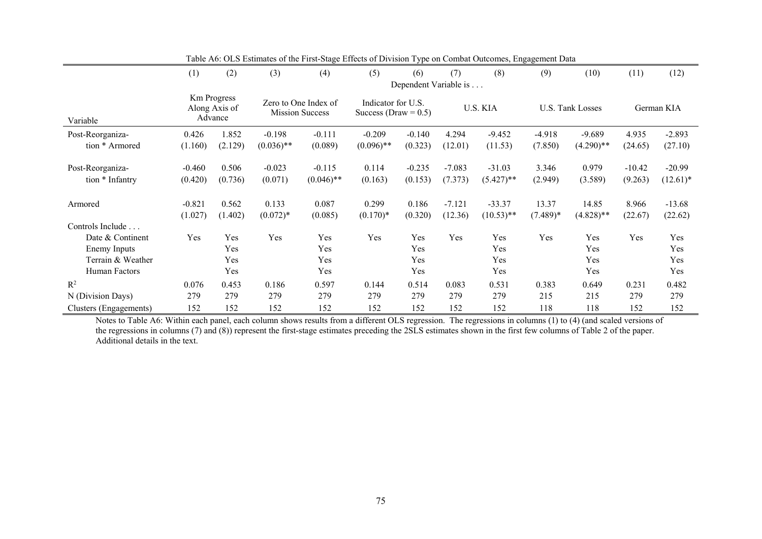|                        |                     |                                         |                     |                                                | Table A6: OLS Estimates of the First-Stage Effects of Division Type on Combat Outcomes, Engagement Data |                       |                     |                          |                     |                       |                  |                     |
|------------------------|---------------------|-----------------------------------------|---------------------|------------------------------------------------|---------------------------------------------------------------------------------------------------------|-----------------------|---------------------|--------------------------|---------------------|-----------------------|------------------|---------------------|
|                        | (1)                 | (2)                                     | (3)                 | (4)                                            | (5)                                                                                                     | (6)                   | (7)                 | (8)                      | (9)                 | (10)                  | (11)             | (12)                |
|                        |                     |                                         |                     |                                                |                                                                                                         | Dependent Variable is |                     |                          |                     |                       |                  |                     |
| Variable               |                     | Km Progress<br>Along Axis of<br>Advance |                     | Zero to One Index of<br><b>Mission Success</b> | Indicator for U.S.<br>Success ( $Draw = 0.5$ )                                                          |                       |                     | U.S. KIA                 |                     | U.S. Tank Losses      |                  | German KIA          |
| Post-Reorganiza-       | 0.426               | 1.852                                   | $-0.198$            | $-0.111$                                       | $-0.209$                                                                                                | $-0.140$              | 4.294               | $-9.452$                 | $-4.918$            | $-9.689$              | 4.935            | $-2.893$            |
| tion * Armored         | (1.160)             | (2.129)                                 | $(0.036)$ **        | (0.089)                                        | $(0.096)$ **                                                                                            | (0.323)               | (12.01)             | (11.53)                  | (7.850)             | $(4.290)$ **          | (24.65)          | (27.10)             |
| Post-Reorganiza-       | $-0.460$            | 0.506                                   | $-0.023$            | $-0.115$                                       | 0.114                                                                                                   | $-0.235$              | $-7.083$            | $-31.03$                 | 3.346               | 0.979                 | $-10.42$         | $-20.99$            |
| tion * Infantry        | (0.420)             | (0.736)                                 | (0.071)             | $(0.046)$ **                                   | (0.163)                                                                                                 | (0.153)               | (7.373)             | $(5.427)$ **             | (2.949)             | (3.589)               | (9.263)          | $(12.61)^*$         |
| Armored                | $-0.821$<br>(1.027) | 0.562<br>(1.402)                        | 0.133<br>$(0.072)*$ | 0.087<br>(0.085)                               | 0.299<br>$(0.170)*$                                                                                     | 0.186<br>(0.320)      | $-7.121$<br>(12.36) | $-33.37$<br>$(10.53)$ ** | 13.37<br>$(7.489)*$ | 14.85<br>$(4.828)$ ** | 8.966<br>(22.67) | $-13.68$<br>(22.62) |
| Controls Include       |                     |                                         |                     |                                                |                                                                                                         |                       |                     |                          |                     |                       |                  |                     |
| Date & Continent       | Yes                 | Yes                                     | Yes                 | Yes                                            | Yes                                                                                                     | Yes                   | Yes                 | Yes                      | Yes                 | Yes                   | Yes              | Yes                 |
| Enemy Inputs           |                     | Yes                                     |                     | Yes                                            |                                                                                                         | Yes                   |                     | Yes                      |                     | Yes                   |                  | Yes                 |
| Terrain & Weather      |                     | Yes                                     |                     | Yes                                            |                                                                                                         | Yes                   |                     | Yes                      |                     | Yes                   |                  | Yes                 |
| Human Factors          |                     | Yes                                     |                     | Yes                                            |                                                                                                         | Yes                   |                     | Yes                      |                     | Yes                   |                  | Yes                 |
| $\mathbb{R}^2$         | 0.076               | 0.453                                   | 0.186               | 0.597                                          | 0.144                                                                                                   | 0.514                 | 0.083               | 0.531                    | 0.383               | 0.649                 | 0.231            | 0.482               |
| N (Division Days)      | 279                 | 279                                     | 279                 | 279                                            | 279                                                                                                     | 279                   | 279                 | 279                      | 215                 | 215                   | 279              | 279                 |
| Clusters (Engagements) | 152                 | 152                                     | 152                 | 152                                            | 152                                                                                                     | 152                   | 152                 | 152                      | 118                 | 118                   | 152              | 152                 |

Notes to Table A6: Within each panel, each column shows results from a different OLS regression. The regressions in columns (1) to (4) (and scaled versions of the regressions in columns (7) and (8)) represent the first-stage estimates preceding the 2SLS estimates shown in the first few columns of Table 2 of the paper. Additional details in the text.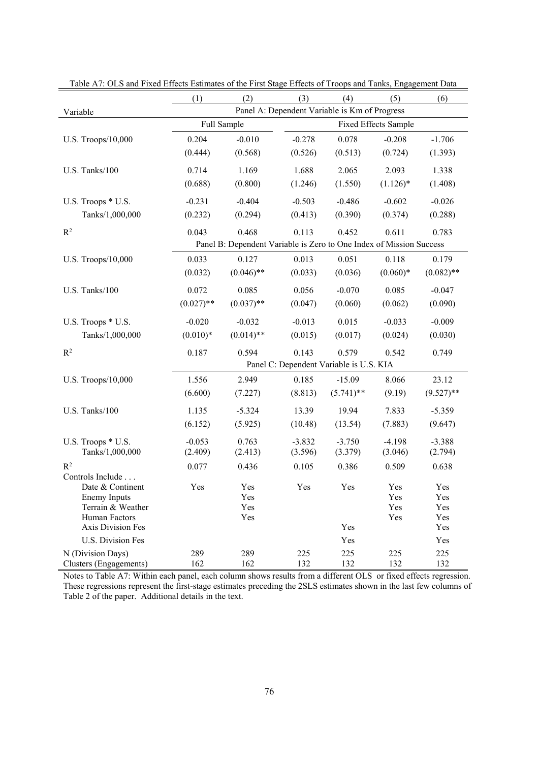|                                                                                            | (1)          | (2)                                                                          | (3)        | (4)                                           | (5)                         | (6)                      |
|--------------------------------------------------------------------------------------------|--------------|------------------------------------------------------------------------------|------------|-----------------------------------------------|-----------------------------|--------------------------|
| Variable                                                                                   |              |                                                                              |            | Panel A: Dependent Variable is Km of Progress |                             |                          |
|                                                                                            |              | Full Sample                                                                  |            |                                               | <b>Fixed Effects Sample</b> |                          |
| U.S. Troops/10,000                                                                         | 0.204        | $-0.010$                                                                     | $-0.278$   | 0.078                                         | $-0.208$                    | $-1.706$                 |
|                                                                                            | (0.444)      | (0.568)                                                                      | (0.526)    | (0.513)                                       | (0.724)                     | (1.393)                  |
| U.S. Tanks/100                                                                             | 0.714        | 1.169                                                                        | 1.688      | 2.065                                         | 2.093                       | 1.338                    |
|                                                                                            | (0.688)      | (0.800)                                                                      | (1.246)    | (1.550)                                       | $(1.126)$ *                 | (1.408)                  |
| U.S. Troops * U.S.                                                                         | $-0.231$     | $-0.404$                                                                     | $-0.503$   | $-0.486$                                      | $-0.602$                    | $-0.026$                 |
| Tanks/1,000,000                                                                            | (0.232)      | (0.294)                                                                      | (0.413)    | (0.390)                                       | (0.374)                     | (0.288)                  |
| $R^2$                                                                                      | 0.043        | 0.468<br>Panel B: Dependent Variable is Zero to One Index of Mission Success | 0.113      | 0.452                                         | 0.611                       | 0.783                    |
| U.S. Troops/10,000                                                                         | 0.033        | 0.127                                                                        | 0.013      | 0.051                                         | 0.118                       | 0.179                    |
|                                                                                            | (0.032)      | $(0.046)$ **                                                                 | (0.033)    | (0.036)                                       | $(0.060)*$                  | $(0.082)$ **             |
| U.S. Tanks/100                                                                             | 0.072        | 0.085                                                                        | 0.056      | $-0.070$                                      | 0.085                       | $-0.047$                 |
|                                                                                            | $(0.027)$ ** | $(0.037)$ **                                                                 | (0.047)    | (0.060)                                       | (0.062)                     | (0.090)                  |
| U.S. Troops * U.S.                                                                         | $-0.020$     | $-0.032$                                                                     | $-0.013$   | 0.015                                         | $-0.033$                    | $-0.009$                 |
| Tanks/1,000,000                                                                            | $(0.010)*$   | $(0.014)$ **                                                                 | (0.015)    | (0.017)                                       | (0.024)                     | (0.030)                  |
| $R^2$                                                                                      | 0.187        | 0.594                                                                        | 0.143      | 0.579                                         | 0.542                       | 0.749                    |
|                                                                                            |              |                                                                              |            | Panel C: Dependent Variable is U.S. KIA       |                             |                          |
| U.S. Troops/10,000                                                                         | 1.556        | 2.949                                                                        | 0.185      | $-15.09$                                      | 8.066                       | 23.12                    |
|                                                                                            | (6.600)      | (7.227)                                                                      | (8.813)    | $(5.741)$ **                                  | (9.19)                      | $(9.527)$ **             |
| U.S. Tanks/100                                                                             | 1.135        | $-5.324$                                                                     | 13.39      | 19.94                                         | 7.833                       | $-5.359$                 |
|                                                                                            | (6.152)      | (5.925)                                                                      | (10.48)    | (13.54)                                       | (7.883)                     | (9.647)                  |
| U.S. Troops * U.S.                                                                         | $-0.053$     | 0.763                                                                        | $-3.832$   | $-3.750$                                      | $-4.198$                    | $-3.388$                 |
| Tanks/1,000,000                                                                            | (2.409)      | (2.413)                                                                      | (3.596)    | (3.379)                                       | (3.046)                     | (2.794)                  |
| $R^2$                                                                                      | 0.077        | 0.436                                                                        | 0.105      | 0.386                                         | 0.509                       | 0.638                    |
| Controls Include<br>Date & Continent<br>Enemy Inputs<br>Terrain & Weather<br>Human Factors | Yes          | Yes<br>Yes<br>Yes<br>Yes                                                     | Yes        | Yes                                           | Yes<br>Yes<br>Yes<br>Yes    | Yes<br>Yes<br>Yes<br>Yes |
| <b>Axis Division Fes</b>                                                                   |              |                                                                              |            | Yes                                           |                             | Yes                      |
| U.S. Division Fes                                                                          |              |                                                                              |            | Yes                                           |                             | Yes                      |
| N (Division Days)<br>Clusters (Engagements)                                                | 289<br>162   | 289<br>162                                                                   | 225<br>132 | 225<br>132                                    | 225<br>132                  | 225<br>132               |

Table A7: OLS and Fixed Effects Estimates of the First Stage Effects of Troops and Tanks, Engagement Data

Notes to Table A7: Within each panel, each column shows results from a different OLS or fixed effects regression. These regressions represent the first-stage estimates preceding the 2SLS estimates shown in the last few columns of Table 2 of the paper. Additional details in the text.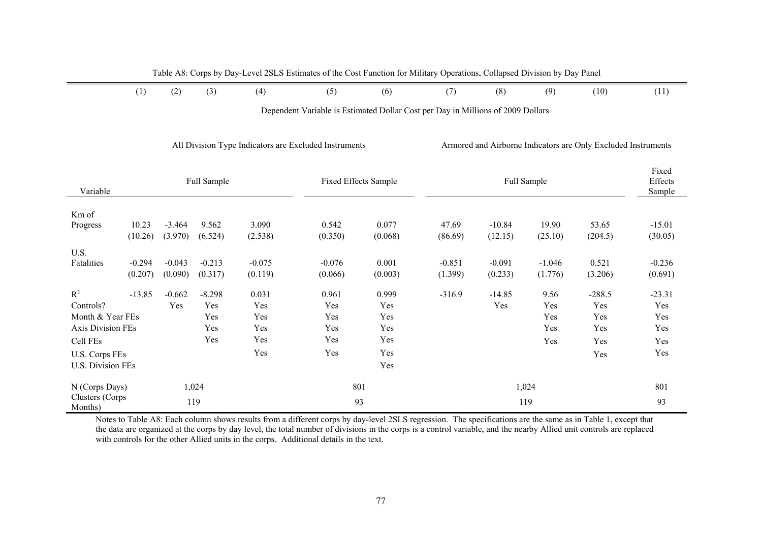|  | Table A8: Corps by Day-Level 2SLS Estimates of the Cost Function for Military Operations, Collapsed Division by Day Panel |  |  |  |
|--|---------------------------------------------------------------------------------------------------------------------------|--|--|--|
|--|---------------------------------------------------------------------------------------------------------------------------|--|--|--|

|  |  |  |  | (1) (2) (3) (4) (5) (6) (7) (8) (9) (10) (11) |  |  |  |  |  |  |
|--|--|--|--|-----------------------------------------------|--|--|--|--|--|--|
|--|--|--|--|-----------------------------------------------|--|--|--|--|--|--|

Dependent Variable is Estimated Dollar Cost per Day in Millions of 2009 Dollars

All Division Type Indicators are Excluded Instruments Armored and Airborne Indicators are Only Excluded Instruments

| Full Sample<br>Variable  |          |          |          |          |          | <b>Fixed Effects Sample</b> |          | Fixed<br>Effects<br>Sample |          |          |          |
|--------------------------|----------|----------|----------|----------|----------|-----------------------------|----------|----------------------------|----------|----------|----------|
|                          |          |          |          |          |          |                             |          |                            |          |          |          |
| Km of                    |          |          |          |          |          |                             |          |                            |          |          |          |
| Progress                 | 10.23    | $-3.464$ | 9.562    | 3.090    | 0.542    | 0.077                       | 47.69    | $-10.84$                   | 19.90    | 53.65    | $-15.01$ |
|                          | (10.26)  | (3.970)  | (6.524)  | (2.538)  | (0.350)  | (0.068)                     | (86.69)  | (12.15)                    | (25.10)  | (204.5)  | (30.05)  |
| U.S.                     |          |          |          |          |          |                             |          |                            |          |          |          |
| Fatalities               | $-0.294$ | $-0.043$ | $-0.213$ | $-0.075$ | $-0.076$ | 0.001                       | $-0.851$ | $-0.091$                   | $-1.046$ | 0.521    | $-0.236$ |
|                          | (0.207)  | (0.090)  | (0.317)  | (0.119)  | (0.066)  | (0.003)                     | (1.399)  | (0.233)                    | (1.776)  | (3.206)  | (0.691)  |
| $\mathbb{R}^2$           | $-13.85$ | $-0.662$ | $-8.298$ | 0.031    | 0.961    | 0.999                       | $-316.9$ | $-14.85$                   | 9.56     | $-288.5$ | $-23.31$ |
| Controls?                |          | Yes      | Yes      | Yes      | Yes      | Yes                         |          | Yes                        | Yes      | Yes      | Yes      |
| Month & Year FEs         |          |          | Yes      | Yes      | Yes      | Yes                         |          |                            | Yes      | Yes      | Yes      |
| <b>Axis Division FEs</b> |          |          | Yes      | Yes      | Yes      | Yes                         |          |                            | Yes      | Yes      | Yes      |
| Cell FEs                 |          |          | Yes      | Yes      | Yes      | Yes                         |          |                            | Yes      | Yes      | Yes      |
| U.S. Corps FEs           |          |          |          | Yes      | Yes      | Yes                         |          |                            |          | Yes      | Yes      |
| <b>U.S. Division FEs</b> |          |          |          |          |          | Yes                         |          |                            |          |          |          |
| N (Corps Days)           |          |          | 1,024    |          |          | 801                         |          |                            | 1,024    |          | 801      |
| Clusters (Corps<br>119   |          |          |          | 93       |          |                             | 119      |                            | 93       |          |          |
| Months)                  |          |          |          |          |          |                             |          |                            |          |          |          |

Notes to Table A8: Each column shows results from a different corps by day-level 2SLS regression. The specifications are the same as in Table 1, except that the data are organized at the corps by day level, the total number of divisions in the corps is a control variable, and the nearby Allied unit controls are replaced with controls for the other Allied units in the corps. Additional details in the text.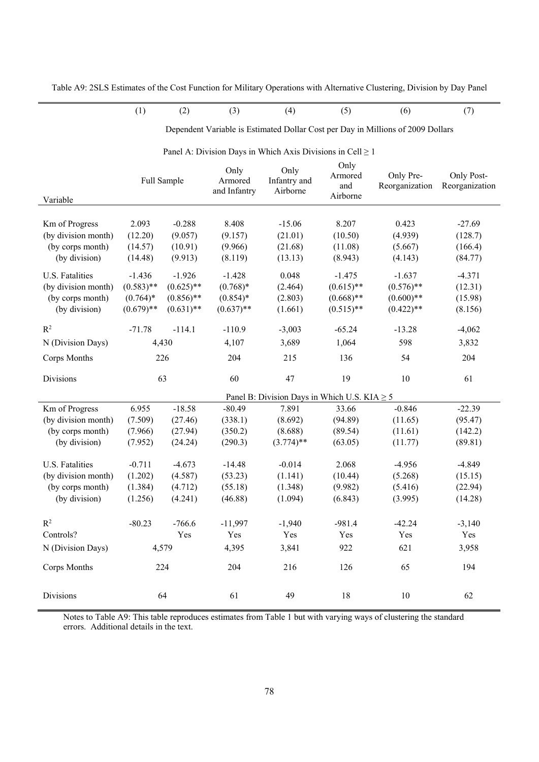Table A9: 2SLS Estimates of the Cost Function for Military Operations with Alternative Clustering, Division by Day Panel

| (1)                                                                                  | (2)                           | (3)             | (4)       | (5)            | (6)         | (7)         |
|--------------------------------------------------------------------------------------|-------------------------------|-----------------|-----------|----------------|-------------|-------------|
| Dependent Variable is Fistimated Dollar Cost per Day in Millions of 2009 Dollars     |                               |                 |           |                |             |             |
| Panel A: Division Days in Which Axis Division in Cell $\geq 1$                       |                               |                 |           |                |             |             |
| Only                                                                                 | Only                          |                 |           |                |             |             |
| Wall Sample                                                                          | Amored                        | Infanny and     | Amored    |                |             |             |
| Wariable                                                                             | Amored                        | Infanny and     | Amored    |                |             |             |
| Wariable                                                                             | Amored                        | Infinary and    | Amored    |                |             |             |
| Wariable                                                                             | Amored                        | Infinary        | and       | Reorganization |             |             |
| Wary isom                                                                            | Chly Pose-<br>and Infunry and | Amored          | Chay Cons | Chay C1.6057   | Chay C1.607 | Chay C1.607 |
| (by division month) (12.20) (9.057) (9.157) (21.01) (10.50) (4.939) (128.7)          |                               |                 |           |                |             |             |
| (by division month) (14.48) (9.913) (8.119) (13.13) (8.943) (6.433) (4.143) (8.4.77) | 4.371                         |                 |           |                |             |             |
| US version 10.0759)** (0.625)** (0.768)*                                             | 2.464) (0.61)**               | 0.769)**        | 0.231     |                |             |             |
| (by division month) (0.579)** (0.637)**                                              | 0.689*                        | 2.464) (0.61)** | 0.769**   | 0.769**        | 0.769**     |             |
| R.                                                                                   |                               |                 |           |                |             |             |

Notes to Table A9: This table reproduces estimates from Table 1 but with varying ways of clustering the standard errors. Additional details in the text.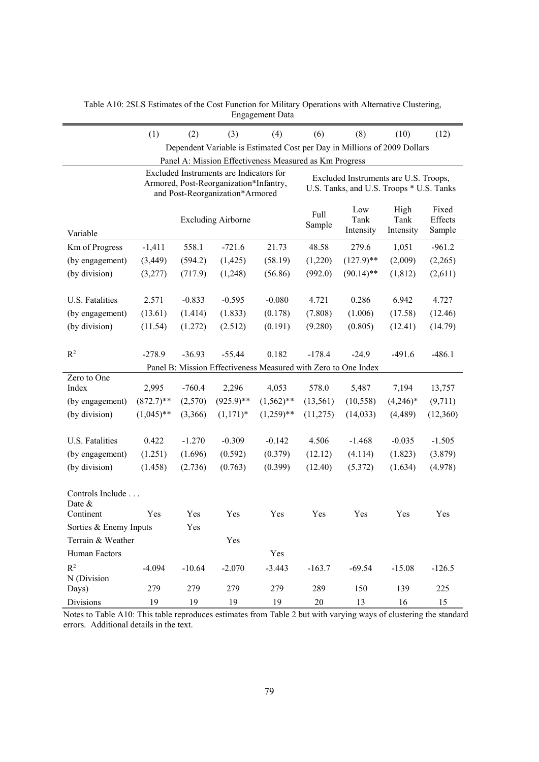|                                                                                                                                                | (1)                                                            | (2)      | (3)                                                                                                                  | (4)                                                                      | (6)       | (8)                                                                               | (10)       | (12)     |  |  |  |
|------------------------------------------------------------------------------------------------------------------------------------------------|----------------------------------------------------------------|----------|----------------------------------------------------------------------------------------------------------------------|--------------------------------------------------------------------------|-----------|-----------------------------------------------------------------------------------|------------|----------|--|--|--|
|                                                                                                                                                |                                                                |          |                                                                                                                      | Dependent Variable is Estimated Cost per Day in Millions of 2009 Dollars |           |                                                                                   |            |          |  |  |  |
|                                                                                                                                                |                                                                |          |                                                                                                                      | Panel A: Mission Effectiveness Measured as Km Progress                   |           |                                                                                   |            |          |  |  |  |
|                                                                                                                                                |                                                                |          | Excluded Instruments are Indicators for<br>Armored, Post-Reorganization*Infantry,<br>and Post-Reorganization*Armored |                                                                          |           | Excluded Instruments are U.S. Troops,<br>U.S. Tanks, and U.S. Troops * U.S. Tanks |            |          |  |  |  |
| Low<br>High<br>Fixed<br>Full<br>Tank<br>Tank<br>Effects<br><b>Excluding Airborne</b><br>Sample<br>Intensity<br>Intensity<br>Sample<br>Variable |                                                                |          |                                                                                                                      |                                                                          |           |                                                                                   |            |          |  |  |  |
| Km of Progress                                                                                                                                 | $-1,411$                                                       | 558.1    | $-721.6$                                                                                                             | 21.73                                                                    | 48.58     | 279.6                                                                             | 1,051      | $-961.2$ |  |  |  |
| (by engagement)                                                                                                                                | (3,449)                                                        | (594.2)  | (1, 425)                                                                                                             | (58.19)                                                                  | (1,220)   | $(127.9)$ **                                                                      | (2,009)    | (2,265)  |  |  |  |
| (by division)                                                                                                                                  | (3,277)                                                        | (717.9)  | (1,248)                                                                                                              | (56.86)                                                                  | (992.0)   | $(90.14)$ **                                                                      | (1, 812)   | (2,611)  |  |  |  |
|                                                                                                                                                |                                                                |          |                                                                                                                      |                                                                          |           |                                                                                   |            |          |  |  |  |
| U.S. Fatalities                                                                                                                                | 2.571                                                          | $-0.833$ | $-0.595$                                                                                                             | $-0.080$                                                                 | 4.721     | 0.286                                                                             | 6.942      | 4.727    |  |  |  |
| (by engagement)                                                                                                                                | (13.61)                                                        | (1.414)  | (1.833)                                                                                                              | (0.178)                                                                  | (7.808)   | (1.006)                                                                           | (17.58)    | (12.46)  |  |  |  |
| (by division)                                                                                                                                  | (11.54)                                                        | (1.272)  | (2.512)                                                                                                              | (0.191)                                                                  | (9.280)   | (0.805)                                                                           | (12.41)    | (14.79)  |  |  |  |
|                                                                                                                                                |                                                                |          |                                                                                                                      |                                                                          |           |                                                                                   |            |          |  |  |  |
| $R^2$                                                                                                                                          | $-278.9$                                                       | $-36.93$ | $-55.44$                                                                                                             | 0.182                                                                    | $-178.4$  | $-24.9$                                                                           | $-491.6$   | $-486.1$ |  |  |  |
|                                                                                                                                                | Panel B: Mission Effectiveness Measured with Zero to One Index |          |                                                                                                                      |                                                                          |           |                                                                                   |            |          |  |  |  |
| Zero to One                                                                                                                                    |                                                                |          |                                                                                                                      |                                                                          |           |                                                                                   |            |          |  |  |  |
| Index                                                                                                                                          | 2,995                                                          | $-760.4$ | 2,296                                                                                                                | 4,053                                                                    | 578.0     | 5,487                                                                             | 7,194      | 13,757   |  |  |  |
| (by engagement)                                                                                                                                | $(872.7)$ **                                                   | (2,570)  | $(925.9)$ **                                                                                                         | $(1,562)$ **                                                             | (13, 561) | (10, 558)                                                                         | $(4,246)*$ | (9,711)  |  |  |  |
| (by division)                                                                                                                                  | $(1,045)$ **                                                   | (3,366)  | $(1,171)^*$                                                                                                          | $(1,259)$ **                                                             | (11,275)  | (14, 033)                                                                         | (4, 489)   | (12,360) |  |  |  |
|                                                                                                                                                |                                                                |          |                                                                                                                      |                                                                          |           |                                                                                   |            |          |  |  |  |
| U.S. Fatalities                                                                                                                                | 0.422                                                          | $-1.270$ | $-0.309$                                                                                                             | $-0.142$                                                                 | 4.506     | $-1.468$                                                                          | $-0.035$   | $-1.505$ |  |  |  |
| (by engagement)                                                                                                                                | (1.251)                                                        | (1.696)  | (0.592)                                                                                                              | (0.379)                                                                  | (12.12)   | (4.114)                                                                           | (1.823)    | (3.879)  |  |  |  |
| (by division)                                                                                                                                  | (1.458)                                                        | (2.736)  | (0.763)                                                                                                              | (0.399)                                                                  | (12.40)   | (5.372)                                                                           | (1.634)    | (4.978)  |  |  |  |
|                                                                                                                                                |                                                                |          |                                                                                                                      |                                                                          |           |                                                                                   |            |          |  |  |  |
| Controls Include<br>Date &                                                                                                                     |                                                                |          |                                                                                                                      |                                                                          |           |                                                                                   |            |          |  |  |  |
| Continent                                                                                                                                      | Yes                                                            | Yes      | Yes                                                                                                                  | Yes                                                                      | Yes       | Yes                                                                               | Yes        | Yes      |  |  |  |
| Sorties & Enemy Inputs                                                                                                                         |                                                                | Yes      |                                                                                                                      |                                                                          |           |                                                                                   |            |          |  |  |  |
| Terrain & Weather<br>Yes                                                                                                                       |                                                                |          |                                                                                                                      |                                                                          |           |                                                                                   |            |          |  |  |  |
| Human Factors                                                                                                                                  |                                                                |          |                                                                                                                      | Yes                                                                      |           |                                                                                   |            |          |  |  |  |
| $R^2$                                                                                                                                          | $-4.094$                                                       | $-10.64$ | $-2.070$                                                                                                             | $-3.443$                                                                 | $-163.7$  | $-69.54$                                                                          | $-15.08$   | $-126.5$ |  |  |  |
| N (Division<br>Days)                                                                                                                           | 279                                                            | 279      | 279                                                                                                                  | 279                                                                      | 289       | 150                                                                               | 139        | 225      |  |  |  |
| Divisions                                                                                                                                      | 19                                                             | 19       | 19                                                                                                                   | 19                                                                       | $20\,$    | 13                                                                                | 16         | 15       |  |  |  |

Table A10: 2SLS Estimates of the Cost Function for Military Operations with Alternative Clustering, Engagement Data

Notes to Table A10: This table reproduces estimates from Table 2 but with varying ways of clustering the standard errors. Additional details in the text.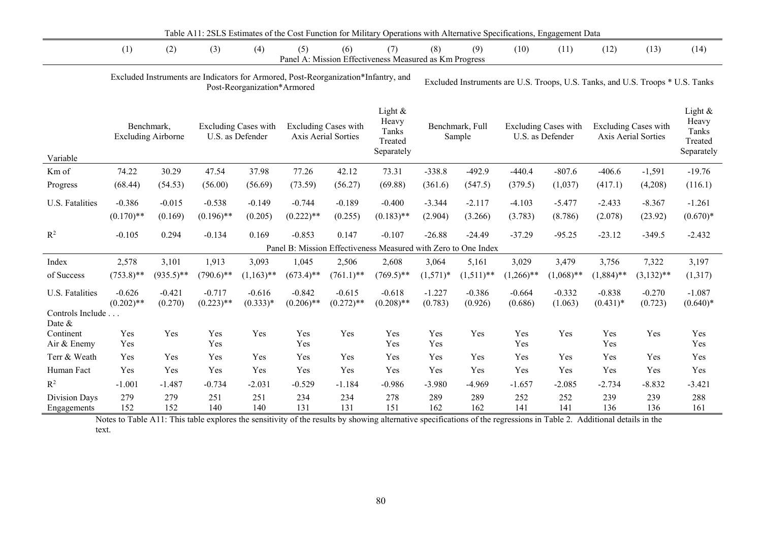|                              |                          |                                         |                          |                                                 |                          |                                                                                    | Table A11: 2SLS Estimates of the Cost Function for Military Operations with Alternative Specifications, Engagement Data |                     |                           |                     |                                                                                |                         |                                                    |                                                       |
|------------------------------|--------------------------|-----------------------------------------|--------------------------|-------------------------------------------------|--------------------------|------------------------------------------------------------------------------------|-------------------------------------------------------------------------------------------------------------------------|---------------------|---------------------------|---------------------|--------------------------------------------------------------------------------|-------------------------|----------------------------------------------------|-------------------------------------------------------|
|                              | (1)                      | (2)                                     | (3)                      | (4)                                             | (5)                      | (6)                                                                                | (7)<br>Panel A: Mission Effectiveness Measured as Km Progress                                                           | (8)                 | (9)                       | (10)                | (11)                                                                           | (12)                    | (13)                                               | (14)                                                  |
|                              |                          |                                         |                          | Post-Reorganization*Armored                     |                          | Excluded Instruments are Indicators for Armored, Post-Reorganization*Infantry, and |                                                                                                                         |                     |                           |                     | Excluded Instruments are U.S. Troops, U.S. Tanks, and U.S. Troops * U.S. Tanks |                         |                                                    |                                                       |
| Variable                     |                          | Benchmark,<br><b>Excluding Airborne</b> |                          | <b>Excluding Cases with</b><br>U.S. as Defender |                          | <b>Excluding Cases with</b><br>Axis Aerial Sorties                                 | Light $&$<br>Heavy<br>Tanks<br>Treated<br>Separately                                                                    |                     | Benchmark, Full<br>Sample |                     | <b>Excluding Cases with</b><br>U.S. as Defender                                |                         | <b>Excluding Cases with</b><br>Axis Aerial Sorties | Light $\&$<br>Heavy<br>Tanks<br>Treated<br>Separately |
| Km of                        | 74.22                    | 30.29                                   | 47.54                    | 37.98                                           | 77.26                    | 42.12                                                                              | 73.31                                                                                                                   | $-338.8$            | $-492.9$                  | $-440.4$            | $-807.6$                                                                       | $-406.6$                | $-1,591$                                           | $-19.76$                                              |
| Progress                     | (68.44)                  | (54.53)                                 | (56.00)                  | (56.69)                                         | (73.59)                  | (56.27)                                                                            | (69.88)                                                                                                                 | (361.6)             | (547.5)                   | (379.5)             | (1,037)                                                                        | (417.1)                 | (4,208)                                            | (116.1)                                               |
| U.S. Fatalities              | $-0.386$                 | $-0.015$                                | $-0.538$                 | $-0.149$                                        | $-0.744$                 | $-0.189$                                                                           | $-0.400$                                                                                                                | $-3.344$            | $-2.117$                  | $-4.103$            | $-5.477$                                                                       | $-2.433$                | $-8.367$                                           | $-1.261$                                              |
|                              | $(0.170)$ **             | (0.169)                                 | $(0.196)$ **             | (0.205)                                         | $(0.222)$ **             | (0.255)                                                                            | $(0.183)$ **                                                                                                            | (2.904)             | (3.266)                   | (3.783)             | (8.786)                                                                        | (2.078)                 | (23.92)                                            | $(0.670)*$                                            |
| $R^2$                        | $-0.105$                 | 0.294                                   | $-0.134$                 | 0.169                                           | $-0.853$                 | 0.147                                                                              | $-0.107$                                                                                                                | $-26.88$            | $-24.49$                  | $-37.29$            | $-95.25$                                                                       | $-23.12$                | $-349.5$                                           | $-2.432$                                              |
|                              |                          |                                         |                          |                                                 |                          |                                                                                    | Panel B: Mission Effectiveness Measured with Zero to One Index                                                          |                     |                           |                     |                                                                                |                         |                                                    |                                                       |
| Index                        | 2,578                    | 3,101                                   | 1,913                    | 3,093                                           | 1,045                    | 2,506                                                                              | 2,608                                                                                                                   | 3,064               | 5,161                     | 3,029               | 3,479                                                                          | 3,756                   | 7,322                                              | 3,197                                                 |
| of Success                   | $(753.8)$ **             | $(935.5)$ **                            | $(790.6)$ **             | $(1,163)$ **                                    | $(673.4)$ **             | $(761.1)$ **                                                                       | $(769.5)$ **                                                                                                            | $(1,571)*$          | $(1,511)$ **              | $(1,266)$ **        | $(1,068)$ **                                                                   | $(1,884)$ **            | $(3,132)$ **                                       | (1,317)                                               |
| U.S. Fatalities              | $-0.626$<br>$(0.202)$ ** | $-0.421$<br>(0.270)                     | $-0.717$<br>$(0.223)$ ** | $-0.616$<br>$(0.333)*$                          | $-0.842$<br>$(0.206)$ ** | $-0.615$<br>$(0.272)$ **                                                           | $-0.618$<br>$(0.208)$ **                                                                                                | $-1.227$<br>(0.783) | $-0.386$<br>(0.926)       | $-0.664$<br>(0.686) | $-0.332$<br>(1.063)                                                            | $-0.838$<br>$(0.431)^*$ | $-0.270$<br>(0.723)                                | $-1.087$<br>$(0.640)*$                                |
| Controls Include.<br>Date &  |                          |                                         |                          |                                                 |                          |                                                                                    |                                                                                                                         |                     |                           |                     |                                                                                |                         |                                                    |                                                       |
| Continent<br>Air & Enemy     | Yes<br>Yes               | Yes                                     | Yes<br>Yes               | Yes                                             | Yes<br>Yes               | Yes                                                                                | Yes<br>Yes                                                                                                              | Yes<br>Yes          | Yes                       | Yes<br>Yes          | Yes                                                                            | Yes<br>Yes              | Yes                                                | Yes<br>Yes                                            |
| Terr & Weath                 | Yes                      | Yes                                     | Yes                      | Yes                                             | Yes                      | Yes                                                                                | Yes                                                                                                                     | Yes                 | Yes                       | Yes                 | Yes                                                                            | Yes                     | Yes                                                | Yes                                                   |
| Human Fact                   | Yes                      | Yes                                     | Yes                      | Yes                                             | Yes                      | Yes                                                                                | Yes                                                                                                                     | Yes                 | Yes                       | Yes                 | Yes                                                                            | Yes                     | Yes                                                | Yes                                                   |
| $R^2$                        | $-1.001$                 | $-1.487$                                | $-0.734$                 | $-2.031$                                        | $-0.529$                 | $-1.184$                                                                           | $-0.986$                                                                                                                | $-3.980$            | $-4.969$                  | $-1.657$            | $-2.085$                                                                       | $-2.734$                | $-8.832$                                           | $-3.421$                                              |
| Division Days<br>Engagements | 279<br>152               | 279<br>152                              | 251<br>140               | 251<br>140                                      | 234<br>131               | 234<br>131                                                                         | 278<br>151                                                                                                              | 289<br>162          | 289<br>162                | 252<br>141          | 252<br>141                                                                     | 239<br>136              | 239<br>136                                         | 288<br>161                                            |

Notes to Table A11: This table explores the sensitivity of the results by showing alternative specifications of the regressions in Table 2. Additional details in the text.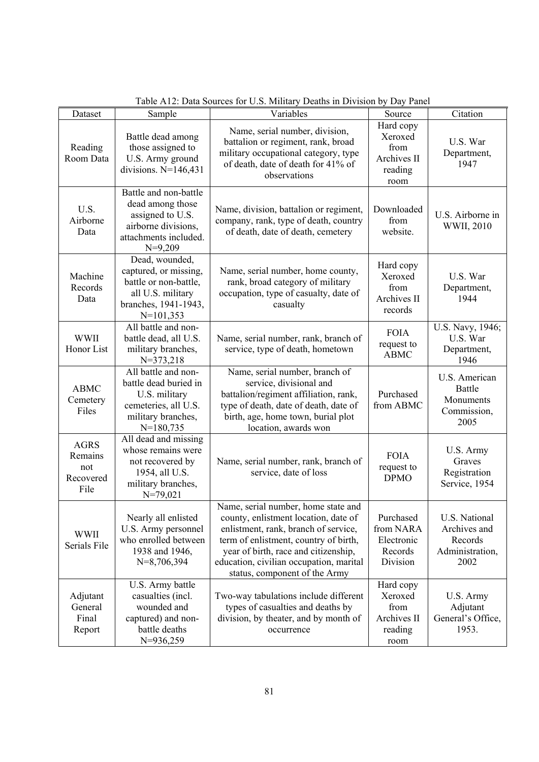| Dataset                                            | Sample                                                                                                                       | Variables                                                                                                                                                                                                                                                                        | Source                                                         | Citation                                                            |
|----------------------------------------------------|------------------------------------------------------------------------------------------------------------------------------|----------------------------------------------------------------------------------------------------------------------------------------------------------------------------------------------------------------------------------------------------------------------------------|----------------------------------------------------------------|---------------------------------------------------------------------|
| Reading<br>Room Data                               | Battle dead among<br>those assigned to<br>U.S. Army ground<br>divisions. $N=146,431$                                         | Name, serial number, division,<br>battalion or regiment, rank, broad<br>military occupational category, type<br>of death, date of death for 41% of<br>observations                                                                                                               | Hard copy<br>Xeroxed<br>from<br>Archives II<br>reading<br>room | U.S. War<br>Department,<br>1947                                     |
| U.S.<br>Airborne<br>Data                           | Battle and non-battle<br>dead among those<br>assigned to U.S.<br>airborne divisions,<br>attachments included.<br>$N=9,209$   | Name, division, battalion or regiment,<br>company, rank, type of death, country<br>of death, date of death, cemetery                                                                                                                                                             | Downloaded<br>from<br>website.                                 | U.S. Airborne in<br>WWII, 2010                                      |
| Machine<br>Records<br>Data                         | Dead, wounded,<br>captured, or missing,<br>battle or non-battle,<br>all U.S. military<br>branches, 1941-1943,<br>$N=101,353$ | Name, serial number, home county,<br>rank, broad category of military<br>occupation, type of casualty, date of<br>casualty                                                                                                                                                       | Hard copy<br>Xeroxed<br>from<br>Archives II<br>records         | U.S. War<br>Department,<br>1944                                     |
| <b>WWII</b><br>Honor List                          | All battle and non-<br>battle dead, all U.S.<br>military branches,<br>$N = 373,218$                                          | Name, serial number, rank, branch of<br>service, type of death, hometown                                                                                                                                                                                                         | <b>FOIA</b><br>request to<br><b>ABMC</b>                       | U.S. Navy, 1946;<br>U.S. War<br>Department,<br>1946                 |
| <b>ABMC</b><br>Cemetery<br>Files                   | All battle and non-<br>battle dead buried in<br>U.S. military<br>cemeteries, all U.S.<br>military branches,<br>$N=180,735$   | Name, serial number, branch of<br>service, divisional and<br>battalion/regiment affiliation, rank,<br>type of death, date of death, date of<br>birth, age, home town, burial plot<br>location, awards won                                                                        | Purchased<br>from ABMC                                         | U.S. American<br>Battle<br>Monuments<br>Commission,<br>2005         |
| <b>AGRS</b><br>Remains<br>not<br>Recovered<br>File | All dead and missing<br>whose remains were<br>not recovered by<br>1954, all U.S.<br>military branches,<br>$N=79,021$         | Name, serial number, rank, branch of<br>service, date of loss                                                                                                                                                                                                                    | <b>FOIA</b><br>request to<br><b>DPMO</b>                       | U.S. Army<br>Graves<br>Registration<br>Service, 1954                |
| <b>WWII</b><br>Serials File                        | Nearly all enlisted<br>U.S. Army personnel<br>who enrolled between<br>1938 and 1946,<br>$N=8,706,394$                        | Name, serial number, home state and<br>county, enlistment location, date of<br>enlistment, rank, branch of service,<br>term of enlistment, country of birth,<br>year of birth, race and citizenship,<br>education, civilian occupation, marital<br>status, component of the Army | Purchased<br>from NARA<br>Electronic<br>Records<br>Division    | U.S. National<br>Archives and<br>Records<br>Administration,<br>2002 |
| Adjutant<br>General<br>Final<br>Report             | U.S. Army battle<br>casualties (incl.<br>wounded and<br>captured) and non-<br>battle deaths<br>$N=936,259$                   | Two-way tabulations include different<br>types of casualties and deaths by<br>division, by theater, and by month of<br>occurrence                                                                                                                                                | Hard copy<br>Xeroxed<br>from<br>Archives II<br>reading<br>room | U.S. Army<br>Adjutant<br>General's Office,<br>1953.                 |

Table A12: Data Sources for U.S. Military Deaths in Division by Day Panel